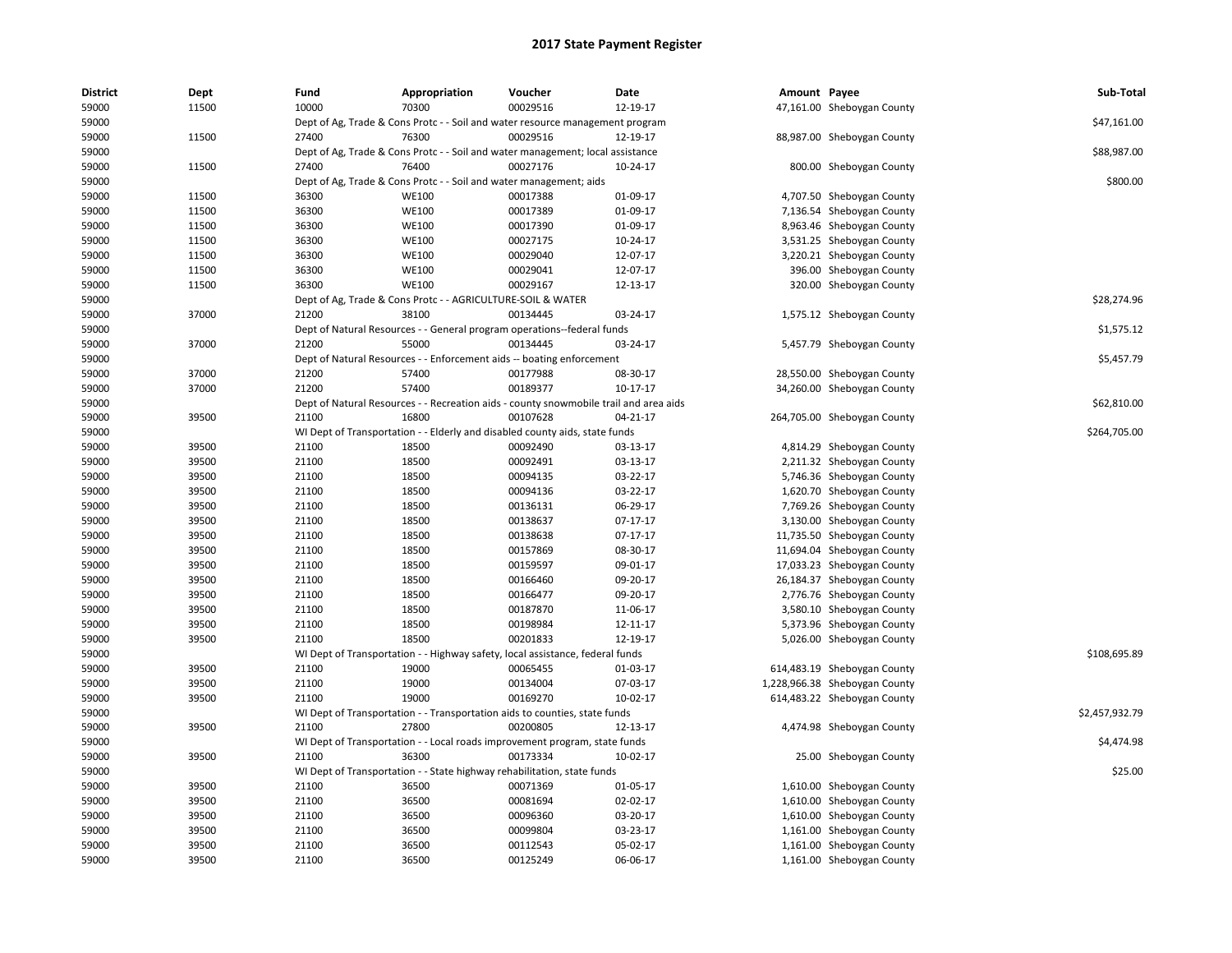| <b>District</b> | Dept  | Fund  | Appropriation                                                                         | Voucher  | Date           | Amount Payee |                               | Sub-Total      |
|-----------------|-------|-------|---------------------------------------------------------------------------------------|----------|----------------|--------------|-------------------------------|----------------|
| 59000           | 11500 | 10000 | 70300                                                                                 | 00029516 | 12-19-17       |              | 47,161.00 Sheboygan County    |                |
| 59000           |       |       | Dept of Ag, Trade & Cons Protc - - Soil and water resource management program         |          |                |              |                               | \$47,161.00    |
| 59000           | 11500 | 27400 | 76300                                                                                 | 00029516 | 12-19-17       |              | 88,987.00 Sheboygan County    |                |
| 59000           |       |       | Dept of Ag, Trade & Cons Protc - - Soil and water management; local assistance        |          |                |              |                               | \$88,987.00    |
| 59000           | 11500 | 27400 | 76400                                                                                 | 00027176 | 10-24-17       |              | 800.00 Sheboygan County       |                |
| 59000           |       |       | Dept of Ag, Trade & Cons Protc - - Soil and water management; aids                    |          |                |              |                               | \$800.00       |
| 59000           | 11500 | 36300 | <b>WE100</b>                                                                          | 00017388 | 01-09-17       |              | 4,707.50 Sheboygan County     |                |
| 59000           | 11500 | 36300 | <b>WE100</b>                                                                          | 00017389 | 01-09-17       |              | 7,136.54 Sheboygan County     |                |
| 59000           | 11500 | 36300 | <b>WE100</b>                                                                          | 00017390 | 01-09-17       |              | 8,963.46 Sheboygan County     |                |
| 59000           | 11500 | 36300 | <b>WE100</b>                                                                          | 00027175 | 10-24-17       |              | 3,531.25 Sheboygan County     |                |
| 59000           | 11500 | 36300 | <b>WE100</b>                                                                          | 00029040 | 12-07-17       |              | 3,220.21 Sheboygan County     |                |
| 59000           | 11500 | 36300 | <b>WE100</b>                                                                          | 00029041 | 12-07-17       |              | 396.00 Sheboygan County       |                |
| 59000           | 11500 | 36300 | <b>WE100</b>                                                                          | 00029167 | 12-13-17       |              | 320.00 Sheboygan County       |                |
| 59000           |       |       | Dept of Ag, Trade & Cons Protc - - AGRICULTURE-SOIL & WATER                           |          |                |              |                               | \$28,274.96    |
| 59000           | 37000 | 21200 | 38100                                                                                 | 00134445 | 03-24-17       |              | 1,575.12 Sheboygan County     |                |
| 59000           |       |       | Dept of Natural Resources - - General program operations--federal funds               |          |                |              |                               | \$1,575.12     |
| 59000           | 37000 | 21200 | 55000                                                                                 | 00134445 | 03-24-17       |              | 5,457.79 Sheboygan County     |                |
| 59000           |       |       | Dept of Natural Resources - - Enforcement aids -- boating enforcement                 |          |                |              |                               | \$5,457.79     |
| 59000           | 37000 | 21200 | 57400                                                                                 | 00177988 | 08-30-17       |              | 28,550.00 Sheboygan County    |                |
| 59000           | 37000 | 21200 | 57400                                                                                 | 00189377 | $10-17-17$     |              | 34,260.00 Sheboygan County    |                |
| 59000           |       |       | Dept of Natural Resources - - Recreation aids - county snowmobile trail and area aids |          |                |              |                               | \$62,810.00    |
| 59000           | 39500 | 21100 | 16800                                                                                 | 00107628 | $04 - 21 - 17$ |              | 264,705.00 Sheboygan County   |                |
| 59000           |       |       | WI Dept of Transportation - - Elderly and disabled county aids, state funds           |          |                |              |                               | \$264,705.00   |
| 59000           | 39500 | 21100 | 18500                                                                                 | 00092490 | 03-13-17       |              | 4,814.29 Sheboygan County     |                |
| 59000           | 39500 | 21100 | 18500                                                                                 | 00092491 | 03-13-17       |              | 2,211.32 Sheboygan County     |                |
| 59000           | 39500 | 21100 | 18500                                                                                 | 00094135 | 03-22-17       |              | 5,746.36 Sheboygan County     |                |
| 59000           | 39500 | 21100 | 18500                                                                                 | 00094136 | 03-22-17       |              | 1,620.70 Sheboygan County     |                |
| 59000           | 39500 | 21100 | 18500                                                                                 | 00136131 | 06-29-17       |              | 7,769.26 Sheboygan County     |                |
| 59000           | 39500 | 21100 | 18500                                                                                 | 00138637 | 07-17-17       |              | 3,130.00 Sheboygan County     |                |
| 59000           | 39500 | 21100 | 18500                                                                                 | 00138638 | 07-17-17       |              | 11,735.50 Sheboygan County    |                |
| 59000           | 39500 | 21100 | 18500                                                                                 | 00157869 | 08-30-17       |              | 11,694.04 Sheboygan County    |                |
| 59000           | 39500 | 21100 | 18500                                                                                 | 00159597 | 09-01-17       |              | 17,033.23 Sheboygan County    |                |
| 59000           | 39500 | 21100 | 18500                                                                                 | 00166460 | 09-20-17       |              | 26,184.37 Sheboygan County    |                |
| 59000           | 39500 | 21100 | 18500                                                                                 | 00166477 | 09-20-17       |              | 2,776.76 Sheboygan County     |                |
| 59000           | 39500 | 21100 | 18500                                                                                 | 00187870 | 11-06-17       |              | 3,580.10 Sheboygan County     |                |
| 59000           | 39500 | 21100 | 18500                                                                                 | 00198984 | 12-11-17       |              | 5,373.96 Sheboygan County     |                |
| 59000           | 39500 | 21100 | 18500                                                                                 | 00201833 | 12-19-17       |              | 5,026.00 Sheboygan County     |                |
| 59000           |       |       | WI Dept of Transportation - - Highway safety, local assistance, federal funds         |          |                |              |                               | \$108,695.89   |
| 59000           | 39500 | 21100 | 19000                                                                                 | 00065455 | 01-03-17       |              | 614,483.19 Sheboygan County   |                |
| 59000           | 39500 | 21100 | 19000                                                                                 | 00134004 | 07-03-17       |              | 1,228,966.38 Sheboygan County |                |
|                 | 39500 | 21100 | 19000                                                                                 | 00169270 | 10-02-17       |              |                               |                |
| 59000           |       |       |                                                                                       |          |                |              | 614,483.22 Sheboygan County   | \$2,457,932.79 |
| 59000           |       |       | WI Dept of Transportation - - Transportation aids to counties, state funds            |          |                |              |                               |                |
| 59000           | 39500 | 21100 | 27800                                                                                 | 00200805 | 12-13-17       |              | 4,474.98 Sheboygan County     |                |
| 59000           |       |       | WI Dept of Transportation - - Local roads improvement program, state funds            |          |                |              |                               | \$4,474.98     |
| 59000           | 39500 | 21100 | 36300                                                                                 | 00173334 | 10-02-17       |              | 25.00 Sheboygan County        |                |
| 59000           |       |       | WI Dept of Transportation - - State highway rehabilitation, state funds               |          |                |              |                               | \$25.00        |
| 59000           | 39500 | 21100 | 36500                                                                                 | 00071369 | 01-05-17       |              | 1,610.00 Sheboygan County     |                |
| 59000           | 39500 | 21100 | 36500                                                                                 | 00081694 | 02-02-17       |              | 1,610.00 Sheboygan County     |                |
| 59000           | 39500 | 21100 | 36500                                                                                 | 00096360 | 03-20-17       |              | 1,610.00 Sheboygan County     |                |
| 59000           | 39500 | 21100 | 36500                                                                                 | 00099804 | 03-23-17       |              | 1,161.00 Sheboygan County     |                |
| 59000           | 39500 | 21100 | 36500                                                                                 | 00112543 | 05-02-17       |              | 1,161.00 Sheboygan County     |                |
| 59000           | 39500 | 21100 | 36500                                                                                 | 00125249 | 06-06-17       |              | 1,161.00 Sheboygan County     |                |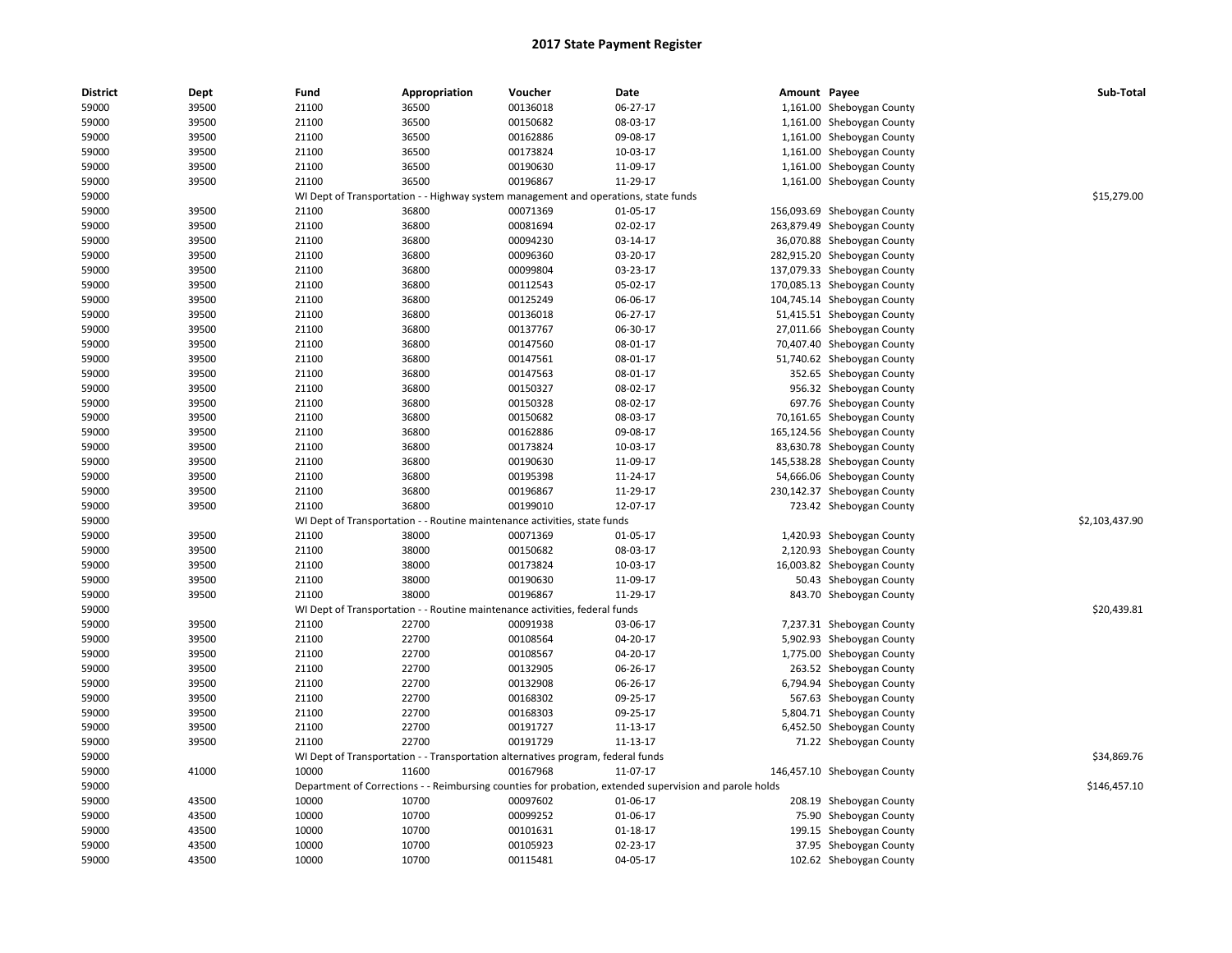| <b>District</b> | Dept  | Fund  | Appropriation                                                                       | Voucher  | Date                                                                                                    | Amount Payee |                             | Sub-Total      |
|-----------------|-------|-------|-------------------------------------------------------------------------------------|----------|---------------------------------------------------------------------------------------------------------|--------------|-----------------------------|----------------|
| 59000           | 39500 | 21100 | 36500                                                                               | 00136018 | 06-27-17                                                                                                |              | 1,161.00 Sheboygan County   |                |
| 59000           | 39500 | 21100 | 36500                                                                               | 00150682 | 08-03-17                                                                                                |              | 1,161.00 Sheboygan County   |                |
| 59000           | 39500 | 21100 | 36500                                                                               | 00162886 | 09-08-17                                                                                                |              | 1,161.00 Sheboygan County   |                |
| 59000           | 39500 | 21100 | 36500                                                                               | 00173824 | 10-03-17                                                                                                |              | 1,161.00 Sheboygan County   |                |
| 59000           | 39500 | 21100 | 36500                                                                               | 00190630 | 11-09-17                                                                                                |              | 1,161.00 Sheboygan County   |                |
| 59000           | 39500 | 21100 | 36500                                                                               | 00196867 | 11-29-17                                                                                                |              | 1,161.00 Sheboygan County   |                |
| 59000           |       |       | WI Dept of Transportation - - Highway system management and operations, state funds |          |                                                                                                         |              |                             | \$15,279.00    |
| 59000           | 39500 | 21100 | 36800                                                                               | 00071369 | 01-05-17                                                                                                |              | 156,093.69 Sheboygan County |                |
| 59000           | 39500 | 21100 | 36800                                                                               | 00081694 | 02-02-17                                                                                                |              | 263,879.49 Sheboygan County |                |
| 59000           | 39500 | 21100 | 36800                                                                               | 00094230 | 03-14-17                                                                                                |              | 36,070.88 Sheboygan County  |                |
| 59000           | 39500 | 21100 | 36800                                                                               | 00096360 | 03-20-17                                                                                                |              | 282,915.20 Sheboygan County |                |
| 59000           | 39500 | 21100 | 36800                                                                               | 00099804 | 03-23-17                                                                                                |              | 137,079.33 Sheboygan County |                |
| 59000           | 39500 | 21100 | 36800                                                                               | 00112543 | 05-02-17                                                                                                |              | 170,085.13 Sheboygan County |                |
| 59000           | 39500 | 21100 | 36800                                                                               | 00125249 | 06-06-17                                                                                                |              | 104,745.14 Sheboygan County |                |
| 59000           | 39500 | 21100 | 36800                                                                               | 00136018 | 06-27-17                                                                                                |              | 51,415.51 Sheboygan County  |                |
| 59000           | 39500 | 21100 | 36800                                                                               | 00137767 | 06-30-17                                                                                                |              | 27,011.66 Sheboygan County  |                |
| 59000           | 39500 | 21100 | 36800                                                                               | 00147560 | 08-01-17                                                                                                | 70,407.40    | Sheboygan County            |                |
| 59000           | 39500 | 21100 | 36800                                                                               | 00147561 | 08-01-17                                                                                                |              | 51,740.62 Sheboygan County  |                |
| 59000           | 39500 | 21100 | 36800                                                                               | 00147563 | 08-01-17                                                                                                |              | 352.65 Sheboygan County     |                |
| 59000           | 39500 | 21100 | 36800                                                                               | 00150327 | 08-02-17                                                                                                |              | 956.32 Sheboygan County     |                |
| 59000           | 39500 | 21100 | 36800                                                                               | 00150328 | 08-02-17                                                                                                |              | 697.76 Sheboygan County     |                |
| 59000           | 39500 | 21100 | 36800                                                                               | 00150682 | 08-03-17                                                                                                |              | 70,161.65 Sheboygan County  |                |
| 59000           | 39500 | 21100 | 36800                                                                               | 00162886 | 09-08-17                                                                                                |              | 165,124.56 Sheboygan County |                |
| 59000           | 39500 | 21100 | 36800                                                                               | 00173824 | 10-03-17                                                                                                |              | 83,630.78 Sheboygan County  |                |
| 59000           | 39500 | 21100 | 36800                                                                               | 00190630 | 11-09-17                                                                                                |              | 145,538.28 Sheboygan County |                |
| 59000           | 39500 | 21100 | 36800                                                                               | 00195398 | 11-24-17                                                                                                |              | 54,666.06 Sheboygan County  |                |
| 59000           | 39500 | 21100 | 36800                                                                               | 00196867 | 11-29-17                                                                                                |              | 230,142.37 Sheboygan County |                |
| 59000           | 39500 | 21100 | 36800                                                                               | 00199010 | 12-07-17                                                                                                |              | 723.42 Sheboygan County     |                |
| 59000           |       |       | WI Dept of Transportation - - Routine maintenance activities, state funds           |          |                                                                                                         |              |                             | \$2,103,437.90 |
| 59000           | 39500 | 21100 | 38000                                                                               | 00071369 | 01-05-17                                                                                                |              | 1,420.93 Sheboygan County   |                |
| 59000           | 39500 | 21100 | 38000                                                                               | 00150682 | 08-03-17                                                                                                |              | 2,120.93 Sheboygan County   |                |
| 59000           | 39500 | 21100 | 38000                                                                               | 00173824 | 10-03-17                                                                                                |              | 16,003.82 Sheboygan County  |                |
| 59000           | 39500 | 21100 | 38000                                                                               | 00190630 | 11-09-17                                                                                                |              | 50.43 Sheboygan County      |                |
| 59000           | 39500 | 21100 | 38000                                                                               | 00196867 | 11-29-17                                                                                                |              | 843.70 Sheboygan County     |                |
| 59000           |       |       | WI Dept of Transportation - - Routine maintenance activities, federal funds         |          |                                                                                                         |              |                             | \$20,439.81    |
| 59000           | 39500 | 21100 | 22700                                                                               | 00091938 | 03-06-17                                                                                                |              | 7,237.31 Sheboygan County   |                |
| 59000           | 39500 | 21100 | 22700                                                                               | 00108564 | 04-20-17                                                                                                |              | 5,902.93 Sheboygan County   |                |
| 59000           | 39500 | 21100 | 22700                                                                               | 00108567 | 04-20-17                                                                                                |              | 1,775.00 Sheboygan County   |                |
| 59000           | 39500 | 21100 | 22700                                                                               | 00132905 | 06-26-17                                                                                                |              | 263.52 Sheboygan County     |                |
| 59000           | 39500 | 21100 | 22700                                                                               | 00132908 | 06-26-17                                                                                                |              | 6,794.94 Sheboygan County   |                |
| 59000           | 39500 | 21100 | 22700                                                                               | 00168302 | 09-25-17                                                                                                |              | 567.63 Sheboygan County     |                |
| 59000           | 39500 | 21100 | 22700                                                                               | 00168303 | 09-25-17                                                                                                |              | 5,804.71 Sheboygan County   |                |
| 59000           | 39500 | 21100 | 22700                                                                               | 00191727 | 11-13-17                                                                                                |              | 6,452.50 Sheboygan County   |                |
| 59000           | 39500 | 21100 | 22700                                                                               | 00191729 | 11-13-17                                                                                                |              | 71.22 Sheboygan County      |                |
| 59000           |       |       | WI Dept of Transportation - - Transportation alternatives program, federal funds    |          |                                                                                                         |              |                             | \$34,869.76    |
| 59000           | 41000 | 10000 | 11600                                                                               | 00167968 | 11-07-17                                                                                                |              | 146,457.10 Sheboygan County |                |
| 59000           |       |       |                                                                                     |          | Department of Corrections - - Reimbursing counties for probation, extended supervision and parole holds |              |                             | \$146,457.10   |
| 59000           | 43500 | 10000 | 10700                                                                               | 00097602 | 01-06-17                                                                                                |              | 208.19 Sheboygan County     |                |
| 59000           | 43500 | 10000 | 10700                                                                               | 00099252 | 01-06-17                                                                                                | 75.90        | Sheboygan County            |                |
| 59000           | 43500 | 10000 | 10700                                                                               | 00101631 | 01-18-17                                                                                                |              | 199.15 Sheboygan County     |                |
| 59000           | 43500 | 10000 | 10700                                                                               | 00105923 | 02-23-17                                                                                                |              | 37.95 Sheboygan County      |                |
| 59000           | 43500 | 10000 | 10700                                                                               | 00115481 | 04-05-17                                                                                                |              | 102.62 Sheboygan County     |                |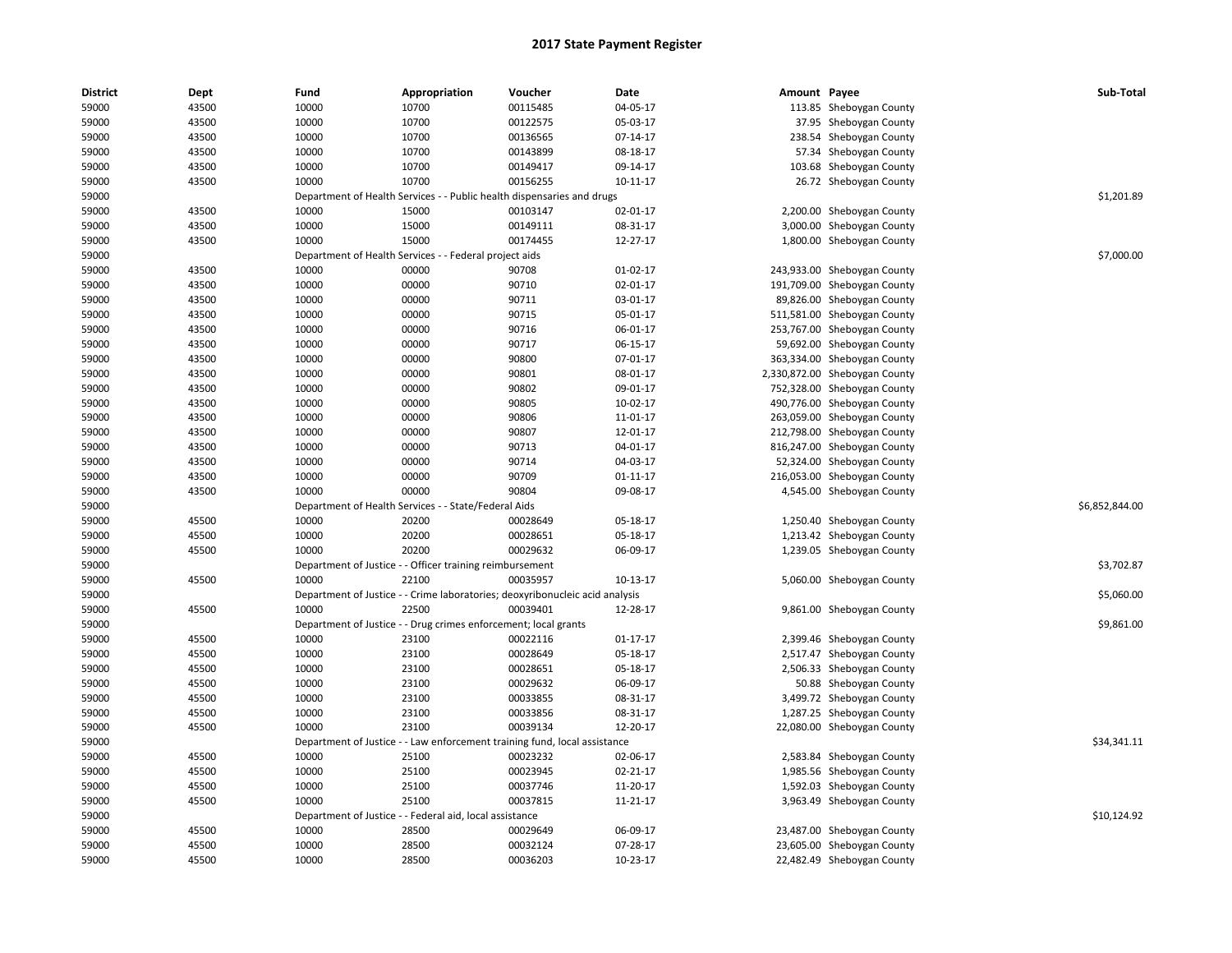| <b>District</b> | Dept  | Fund                          | Appropriation                                                                | Voucher                                | Date           | Amount Payee |                               | Sub-Total      |
|-----------------|-------|-------------------------------|------------------------------------------------------------------------------|----------------------------------------|----------------|--------------|-------------------------------|----------------|
| 59000           | 43500 | 10000                         | 10700                                                                        | 00115485                               | 04-05-17       |              | 113.85 Sheboygan County       |                |
| 59000           | 43500 | 10000                         | 10700                                                                        | 00122575                               | 05-03-17       |              | 37.95 Sheboygan County        |                |
| 59000           | 43500 | 10000                         | 10700                                                                        | 00136565                               | 07-14-17       |              | 238.54 Sheboygan County       |                |
| 59000           | 43500 | 10000                         | 10700                                                                        | 00143899                               | 08-18-17       |              | 57.34 Sheboygan County        |                |
| 59000           | 43500 | 10000                         | 10700                                                                        | 00149417                               | 09-14-17       |              | 103.68 Sheboygan County       |                |
| 59000           | 43500 | 10000                         | 10700                                                                        | 00156255                               | $10-11-17$     |              | 26.72 Sheboygan County        |                |
| 59000           |       | Department of Health Services |                                                                              | - Public health dispensaries and drugs |                |              |                               | \$1,201.89     |
| 59000           | 43500 | 10000                         | 15000                                                                        | 00103147                               | 02-01-17       |              | 2,200.00 Sheboygan County     |                |
| 59000           | 43500 | 10000                         | 15000                                                                        | 00149111                               | 08-31-17       |              | 3,000.00 Sheboygan County     |                |
| 59000           | 43500 | 10000                         | 15000                                                                        | 00174455                               | 12-27-17       |              | 1,800.00 Sheboygan County     |                |
| 59000           |       |                               | Department of Health Services - - Federal project aids                       |                                        |                |              |                               | \$7,000.00     |
| 59000           | 43500 | 10000                         | 00000                                                                        | 90708                                  | 01-02-17       |              | 243,933.00 Sheboygan County   |                |
| 59000           | 43500 | 10000                         | 00000                                                                        | 90710                                  | 02-01-17       |              | 191,709.00 Sheboygan County   |                |
| 59000           | 43500 | 10000                         | 00000                                                                        | 90711                                  | 03-01-17       |              | 89,826.00 Sheboygan County    |                |
| 59000           | 43500 | 10000                         | 00000                                                                        | 90715                                  | 05-01-17       |              | 511,581.00 Sheboygan County   |                |
| 59000           | 43500 | 10000                         | 00000                                                                        | 90716                                  | 06-01-17       |              | 253,767.00 Sheboygan County   |                |
| 59000           | 43500 | 10000                         | 00000                                                                        | 90717                                  | 06-15-17       |              | 59,692.00 Sheboygan County    |                |
| 59000           | 43500 | 10000                         | 00000                                                                        | 90800                                  | 07-01-17       |              | 363,334.00 Sheboygan County   |                |
| 59000           | 43500 | 10000                         | 00000                                                                        | 90801                                  | 08-01-17       |              | 2,330,872.00 Sheboygan County |                |
| 59000           | 43500 | 10000                         | 00000                                                                        | 90802                                  | 09-01-17       |              | 752,328.00 Sheboygan County   |                |
| 59000           | 43500 | 10000                         | 00000                                                                        | 90805                                  | 10-02-17       |              | 490,776.00 Sheboygan County   |                |
| 59000           | 43500 | 10000                         | 00000                                                                        | 90806                                  | 11-01-17       |              | 263,059.00 Sheboygan County   |                |
| 59000           | 43500 | 10000                         | 00000                                                                        | 90807                                  | 12-01-17       |              | 212,798.00 Sheboygan County   |                |
| 59000           | 43500 | 10000                         | 00000                                                                        | 90713                                  | 04-01-17       |              | 816,247.00 Sheboygan County   |                |
| 59000           | 43500 | 10000                         | 00000                                                                        | 90714                                  | 04-03-17       |              | 52,324.00 Sheboygan County    |                |
| 59000           | 43500 | 10000                         | 00000                                                                        | 90709                                  | 01-11-17       |              | 216,053.00 Sheboygan County   |                |
| 59000           | 43500 | 10000                         | 00000                                                                        | 90804                                  | 09-08-17       |              | 4,545.00 Sheboygan County     |                |
| 59000           |       |                               | Department of Health Services - - State/Federal Aids                         |                                        |                |              |                               | \$6,852,844.00 |
| 59000           | 45500 | 10000                         | 20200                                                                        | 00028649                               | 05-18-17       |              | 1,250.40 Sheboygan County     |                |
| 59000           | 45500 | 10000                         | 20200                                                                        | 00028651                               | 05-18-17       |              | 1,213.42 Sheboygan County     |                |
| 59000           | 45500 | 10000                         | 20200                                                                        | 00029632                               | 06-09-17       |              | 1,239.05 Sheboygan County     |                |
| 59000           |       |                               | Department of Justice - - Officer training reimbursement                     |                                        |                |              |                               | \$3,702.87     |
| 59000           | 45500 | 10000                         | 22100                                                                        | 00035957                               | 10-13-17       |              | 5,060.00 Sheboygan County     |                |
| 59000           |       |                               | Department of Justice - - Crime laboratories; deoxyribonucleic acid analysis |                                        |                |              |                               | \$5,060.00     |
| 59000           | 45500 | 10000                         | 22500                                                                        | 00039401                               | 12-28-17       |              | 9,861.00 Sheboygan County     |                |
| 59000           |       |                               | Department of Justice - - Drug crimes enforcement; local grants              |                                        |                |              |                               | \$9,861.00     |
| 59000           | 45500 | 10000                         | 23100                                                                        | 00022116                               | $01 - 17 - 17$ |              | 2,399.46 Sheboygan County     |                |
| 59000           | 45500 | 10000                         | 23100                                                                        | 00028649                               | 05-18-17       |              | 2,517.47 Sheboygan County     |                |
| 59000           | 45500 | 10000                         | 23100                                                                        | 00028651                               | 05-18-17       |              | 2,506.33 Sheboygan County     |                |
| 59000           | 45500 | 10000                         | 23100                                                                        | 00029632                               | 06-09-17       |              | 50.88 Sheboygan County        |                |
| 59000           | 45500 | 10000                         | 23100                                                                        | 00033855                               | 08-31-17       |              | 3,499.72 Sheboygan County     |                |
| 59000           | 45500 | 10000                         | 23100                                                                        | 00033856                               | 08-31-17       |              | 1,287.25 Sheboygan County     |                |
| 59000           | 45500 | 10000                         | 23100                                                                        | 00039134                               | 12-20-17       |              | 22,080.00 Sheboygan County    |                |
| 59000           |       |                               | Department of Justice - - Law enforcement training fund, local assistance    |                                        |                |              |                               | \$34,341.11    |
| 59000           | 45500 | 10000                         | 25100                                                                        | 00023232                               | 02-06-17       |              | 2,583.84 Sheboygan County     |                |
| 59000           | 45500 | 10000                         | 25100                                                                        | 00023945                               | 02-21-17       |              | 1,985.56 Sheboygan County     |                |
| 59000           | 45500 | 10000                         | 25100                                                                        | 00037746                               | 11-20-17       |              | 1,592.03 Sheboygan County     |                |
| 59000           | 45500 | 10000                         | 25100                                                                        | 00037815                               | 11-21-17       |              | 3,963.49 Sheboygan County     |                |
| 59000           |       |                               | Department of Justice - - Federal aid, local assistance                      |                                        |                |              |                               | \$10,124.92    |
| 59000           | 45500 | 10000                         | 28500                                                                        | 00029649                               | 06-09-17       |              | 23,487.00 Sheboygan County    |                |
| 59000           | 45500 | 10000                         | 28500                                                                        | 00032124                               | 07-28-17       |              | 23,605.00 Sheboygan County    |                |
| 59000           | 45500 | 10000                         | 28500                                                                        | 00036203                               | 10-23-17       |              | 22,482.49 Sheboygan County    |                |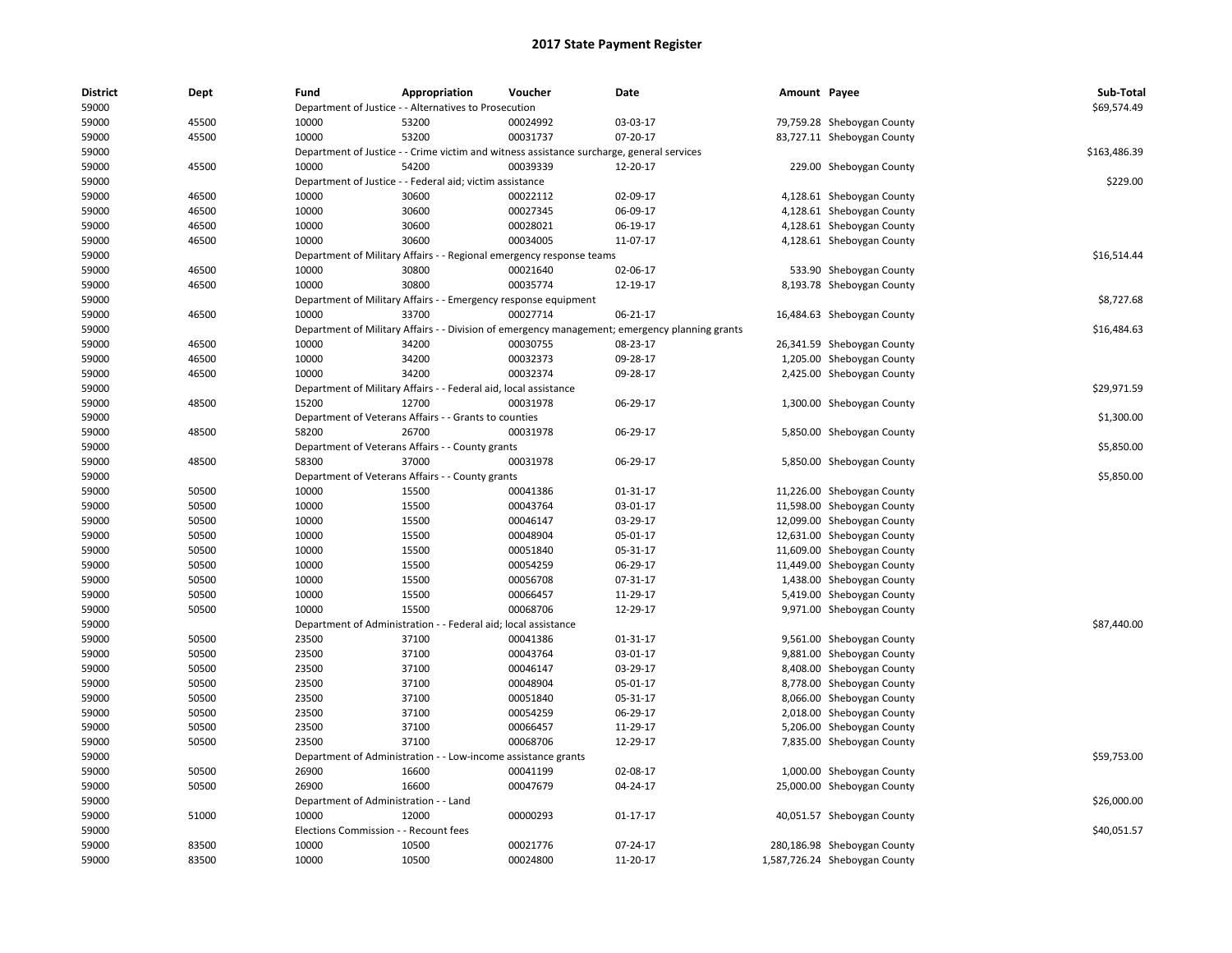| <b>District</b> | Dept  | Fund                         | Appropriation                                                        | Voucher                       | Date                                                                                           | Amount Payee |                               | Sub-Total    |
|-----------------|-------|------------------------------|----------------------------------------------------------------------|-------------------------------|------------------------------------------------------------------------------------------------|--------------|-------------------------------|--------------|
| 59000           |       |                              | Department of Justice - - Alternatives to Prosecution                |                               |                                                                                                |              |                               | \$69,574.49  |
| 59000           | 45500 | 10000                        | 53200                                                                | 00024992                      | 03-03-17                                                                                       |              | 79,759.28 Sheboygan County    |              |
| 59000           | 45500 | 10000                        | 53200                                                                | 00031737                      | 07-20-17                                                                                       |              | 83,727.11 Sheboygan County    |              |
| 59000           |       |                              |                                                                      |                               | Department of Justice - - Crime victim and witness assistance surcharge, general services      |              |                               | \$163,486.39 |
| 59000           | 45500 | 10000                        | 54200                                                                | 00039339                      | 12-20-17                                                                                       |              | 229.00 Sheboygan County       |              |
| 59000           |       |                              | Department of Justice - - Federal aid; victim assistance             |                               |                                                                                                |              |                               | \$229.00     |
| 59000           | 46500 | 10000                        | 30600                                                                | 00022112                      | 02-09-17                                                                                       |              | 4,128.61 Sheboygan County     |              |
| 59000           | 46500 | 10000                        | 30600                                                                | 00027345                      | 06-09-17                                                                                       |              | 4,128.61 Sheboygan County     |              |
| 59000           | 46500 | 10000                        | 30600                                                                | 00028021                      | 06-19-17                                                                                       |              | 4,128.61 Sheboygan County     |              |
| 59000           | 46500 | 10000                        | 30600                                                                | 00034005                      | 11-07-17                                                                                       |              | 4,128.61 Sheboygan County     |              |
| 59000           |       |                              | Department of Military Affairs - - Regional emergency response teams |                               |                                                                                                |              |                               | \$16,514.44  |
| 59000           | 46500 | 10000                        | 30800                                                                | 00021640                      | 02-06-17                                                                                       |              | 533.90 Sheboygan County       |              |
| 59000           | 46500 | 10000                        | 30800                                                                | 00035774                      | 12-19-17                                                                                       |              | 8,193.78 Sheboygan County     |              |
| 59000           |       |                              | Department of Military Affairs - - Emergency response equipment      |                               |                                                                                                |              |                               | \$8,727.68   |
| 59000           | 46500 | 10000                        | 33700                                                                | 00027714                      | 06-21-17                                                                                       |              | 16,484.63 Sheboygan County    |              |
| 59000           |       |                              |                                                                      |                               | Department of Military Affairs - - Division of emergency management; emergency planning grants |              |                               | \$16,484.63  |
| 59000           | 46500 | 10000                        | 34200                                                                | 00030755                      | 08-23-17                                                                                       |              | 26,341.59 Sheboygan County    |              |
| 59000           | 46500 | 10000                        | 34200                                                                | 00032373                      | 09-28-17                                                                                       |              | 1,205.00 Sheboygan County     |              |
| 59000           | 46500 | 10000                        | 34200                                                                | 00032374                      | 09-28-17                                                                                       |              | 2,425.00 Sheboygan County     |              |
| 59000           |       |                              | Department of Military Affairs - - Federal aid, local assistance     |                               |                                                                                                |              |                               | \$29,971.59  |
| 59000           | 48500 | 15200                        | 12700                                                                | 00031978                      | 06-29-17                                                                                       |              | 1,300.00 Sheboygan County     |              |
| 59000           |       |                              | Department of Veterans Affairs - - Grants to counties                |                               |                                                                                                |              |                               | \$1,300.00   |
| 59000           | 48500 | 58200                        | 26700                                                                | 00031978                      | 06-29-17                                                                                       |              | 5,850.00 Sheboygan County     |              |
| 59000           |       |                              | Department of Veterans Affairs - - County grants                     |                               |                                                                                                |              |                               | \$5,850.00   |
| 59000           | 48500 | 58300                        | 37000                                                                | 00031978                      | 06-29-17                                                                                       |              | 5,850.00 Sheboygan County     |              |
| 59000           |       |                              | Department of Veterans Affairs - - County grants                     |                               |                                                                                                |              |                               | \$5,850.00   |
| 59000           | 50500 | 10000                        | 15500                                                                | 00041386                      | 01-31-17                                                                                       |              | 11,226.00 Sheboygan County    |              |
| 59000           | 50500 | 10000                        | 15500                                                                | 00043764                      | 03-01-17                                                                                       |              | 11,598.00 Sheboygan County    |              |
| 59000           | 50500 | 10000                        | 15500                                                                | 00046147                      | 03-29-17                                                                                       |              | 12,099.00 Sheboygan County    |              |
| 59000           | 50500 | 10000                        | 15500                                                                | 00048904                      | 05-01-17                                                                                       |              |                               |              |
|                 |       |                              |                                                                      |                               |                                                                                                |              | 12,631.00 Sheboygan County    |              |
| 59000           | 50500 | 10000                        | 15500                                                                | 00051840                      | 05-31-17                                                                                       |              | 11,609.00 Sheboygan County    |              |
| 59000           | 50500 | 10000                        | 15500                                                                | 00054259                      | 06-29-17                                                                                       |              | 11,449.00 Sheboygan County    |              |
| 59000           | 50500 | 10000                        | 15500                                                                | 00056708                      | 07-31-17                                                                                       |              | 1,438.00 Sheboygan County     |              |
| 59000           | 50500 | 10000                        | 15500                                                                | 00066457                      | 11-29-17                                                                                       |              | 5,419.00 Sheboygan County     |              |
| 59000           | 50500 | 10000                        | 15500                                                                | 00068706                      | 12-29-17                                                                                       |              | 9,971.00 Sheboygan County     |              |
| 59000           |       | Department of Administration |                                                                      | Federal aid; local assistance |                                                                                                |              |                               | \$87.440.00  |
| 59000           | 50500 | 23500                        | 37100                                                                | 00041386                      | 01-31-17                                                                                       |              | 9,561.00 Sheboygan County     |              |
| 59000           | 50500 | 23500                        | 37100                                                                | 00043764                      | 03-01-17                                                                                       |              | 9,881.00 Sheboygan County     |              |
| 59000           | 50500 | 23500                        | 37100                                                                | 00046147                      | 03-29-17                                                                                       |              | 8,408.00 Sheboygan County     |              |
| 59000           | 50500 | 23500                        | 37100                                                                | 00048904                      | 05-01-17                                                                                       |              | 8,778.00 Sheboygan County     |              |
| 59000           | 50500 | 23500                        | 37100                                                                | 00051840                      | 05-31-17                                                                                       |              | 8,066.00 Sheboygan County     |              |
| 59000           | 50500 | 23500                        | 37100                                                                | 00054259                      | 06-29-17                                                                                       |              | 2,018.00 Sheboygan County     |              |
| 59000           | 50500 | 23500                        | 37100                                                                | 00066457                      | 11-29-17                                                                                       |              | 5,206.00 Sheboygan County     |              |
| 59000           | 50500 | 23500                        | 37100                                                                | 00068706                      | 12-29-17                                                                                       |              | 7,835.00 Sheboygan County     |              |
| 59000           |       |                              | Department of Administration - - Low-income assistance grants        |                               |                                                                                                |              |                               | \$59,753.00  |
| 59000           | 50500 | 26900                        | 16600                                                                | 00041199                      | 02-08-17                                                                                       |              | 1,000.00 Sheboygan County     |              |
| 59000           | 50500 | 26900                        | 16600                                                                | 00047679                      | 04-24-17                                                                                       |              | 25,000.00 Sheboygan County    |              |
| 59000           |       |                              | Department of Administration - - Land                                |                               |                                                                                                |              |                               | \$26,000.00  |
| 59000           | 51000 | 10000                        | 12000                                                                | 00000293                      | 01-17-17                                                                                       |              | 40,051.57 Sheboygan County    |              |
| 59000           |       |                              | Elections Commission - - Recount fees                                |                               |                                                                                                |              |                               | \$40,051.57  |
| 59000           | 83500 | 10000                        | 10500                                                                | 00021776                      | 07-24-17                                                                                       |              | 280,186.98 Sheboygan County   |              |
| 59000           | 83500 | 10000                        | 10500                                                                | 00024800                      | 11-20-17                                                                                       |              | 1,587,726.24 Sheboygan County |              |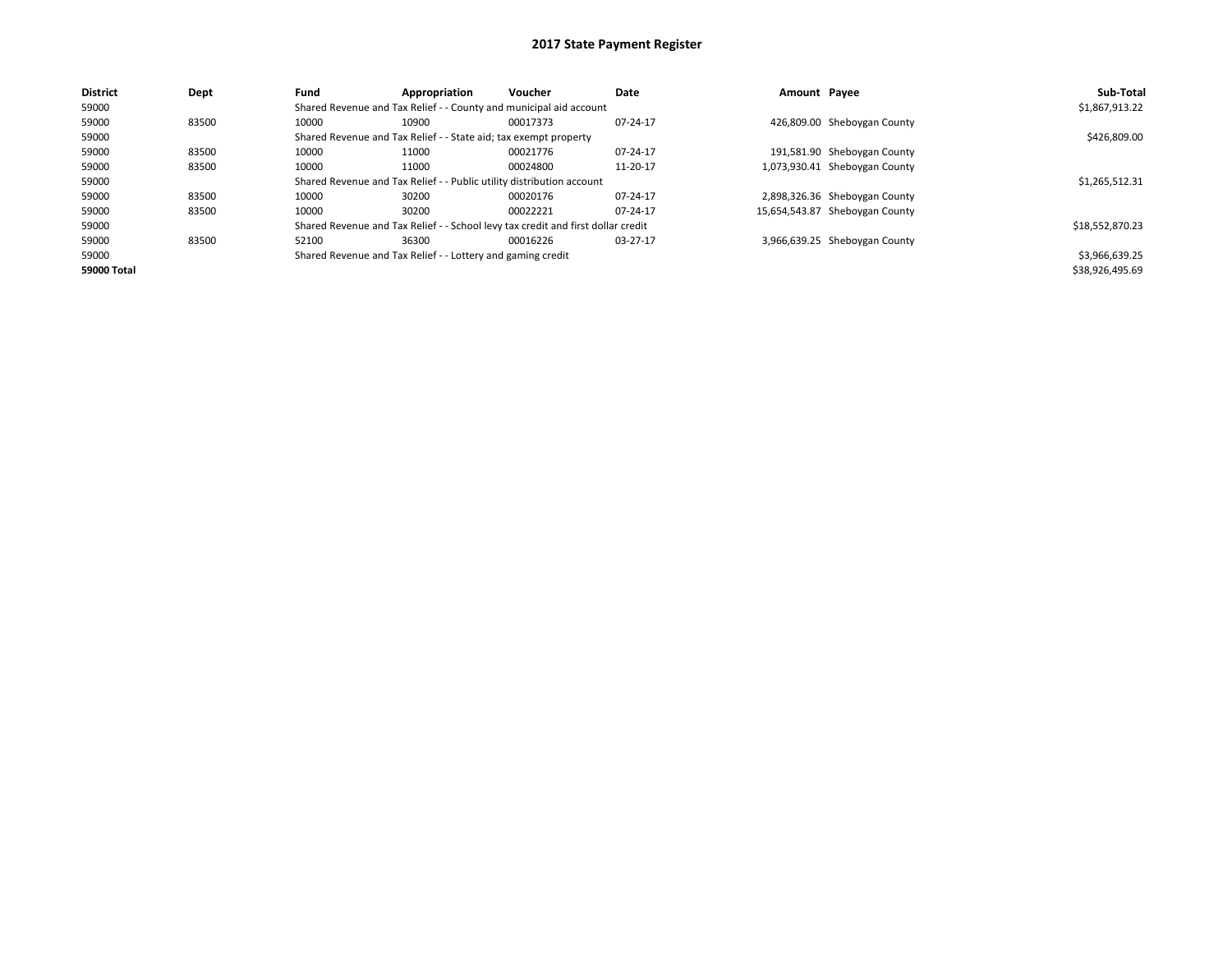| <b>District</b> | Dept  | Fund  | Appropriation                                                                    | Voucher  | Date     | Amount Payee |                                | Sub-Total       |
|-----------------|-------|-------|----------------------------------------------------------------------------------|----------|----------|--------------|--------------------------------|-----------------|
| 59000           |       |       | Shared Revenue and Tax Relief - - County and municipal aid account               |          |          |              |                                | \$1,867,913.22  |
| 59000           | 83500 | 10000 | 10900                                                                            | 00017373 | 07-24-17 |              | 426,809.00 Sheboygan County    |                 |
| 59000           |       |       | Shared Revenue and Tax Relief - - State aid; tax exempt property                 |          |          |              |                                | \$426,809.00    |
| 59000           | 83500 | 10000 | 11000                                                                            | 00021776 | 07-24-17 |              | 191,581.90 Sheboygan County    |                 |
| 59000           | 83500 | 10000 | 11000                                                                            | 00024800 | 11-20-17 |              | 1,073,930.41 Sheboygan County  |                 |
| 59000           |       |       | Shared Revenue and Tax Relief - - Public utility distribution account            |          |          |              |                                | \$1,265,512.31  |
| 59000           | 83500 | 10000 | 30200                                                                            | 00020176 | 07-24-17 |              | 2,898,326.36 Sheboygan County  |                 |
| 59000           | 83500 | 10000 | 30200                                                                            | 00022221 | 07-24-17 |              | 15,654,543.87 Sheboygan County |                 |
| 59000           |       |       | Shared Revenue and Tax Relief - - School levy tax credit and first dollar credit |          |          |              |                                | \$18,552,870.23 |
| 59000           | 83500 | 52100 | 36300                                                                            | 00016226 | 03-27-17 |              | 3,966,639.25 Sheboygan County  |                 |
| 59000           |       |       | Shared Revenue and Tax Relief - - Lottery and gaming credit                      |          |          |              |                                | \$3,966,639.25  |
| 59000 Total     |       |       |                                                                                  |          |          |              |                                | \$38,926,495.69 |
|                 |       |       |                                                                                  |          |          |              |                                |                 |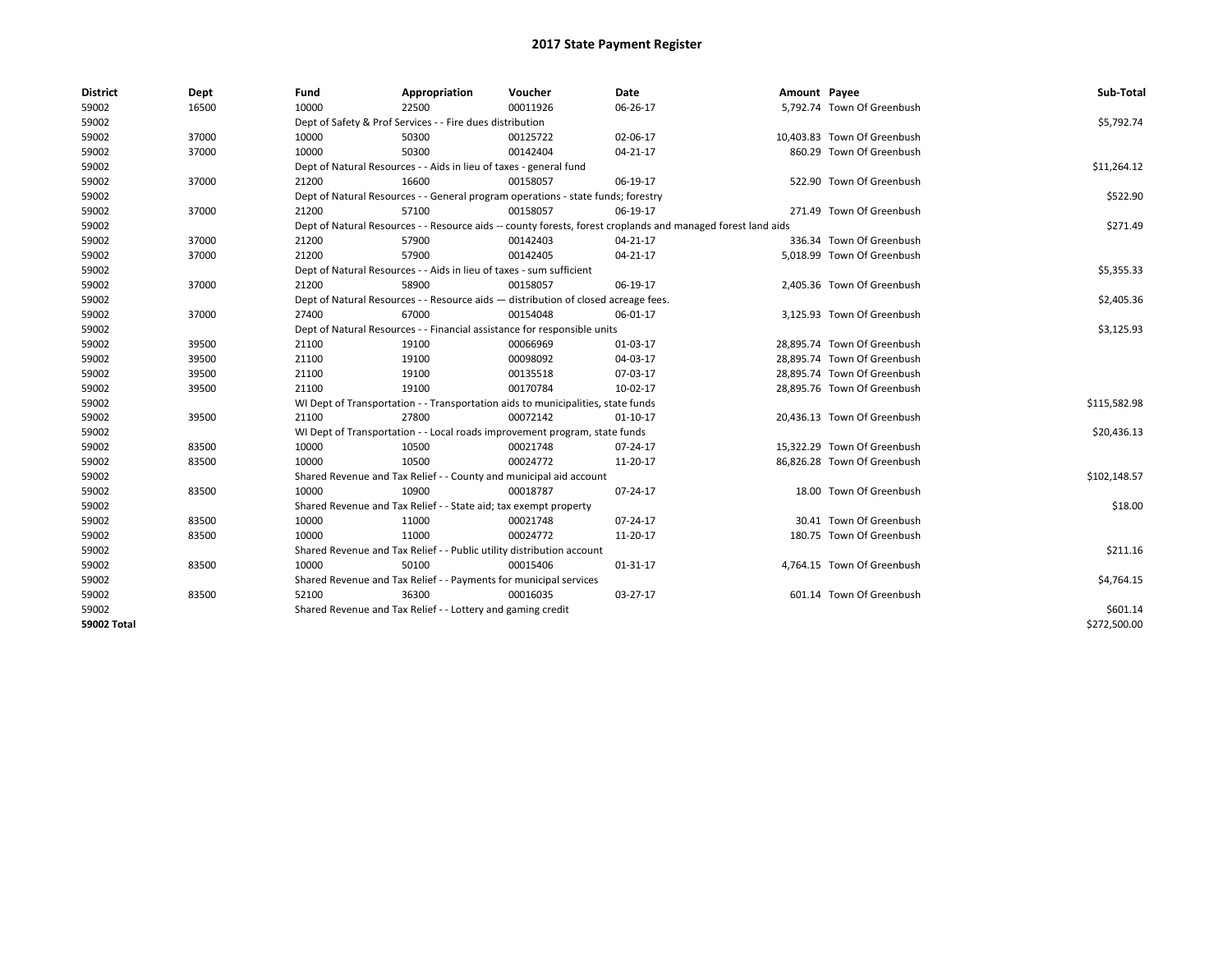| <b>District</b>    | Dept  | Fund  | Appropriation                                                                      | Voucher  | Date                                                                                                         | Amount Payee |                             | Sub-Total    |  |  |  |
|--------------------|-------|-------|------------------------------------------------------------------------------------|----------|--------------------------------------------------------------------------------------------------------------|--------------|-----------------------------|--------------|--|--|--|
| 59002              | 16500 | 10000 | 22500                                                                              | 00011926 | 06-26-17                                                                                                     |              | 5,792.74 Town Of Greenbush  |              |  |  |  |
| 59002              |       |       | Dept of Safety & Prof Services - - Fire dues distribution                          |          |                                                                                                              |              |                             | \$5,792.74   |  |  |  |
| 59002              | 37000 | 10000 | 50300                                                                              | 00125722 | 02-06-17                                                                                                     |              | 10,403.83 Town Of Greenbush |              |  |  |  |
| 59002              | 37000 | 10000 | 50300                                                                              | 00142404 | 04-21-17                                                                                                     |              | 860.29 Town Of Greenbush    |              |  |  |  |
| 59002              |       |       | Dept of Natural Resources - - Aids in lieu of taxes - general fund                 |          |                                                                                                              |              |                             | \$11,264.12  |  |  |  |
| 59002              | 37000 | 21200 | 16600                                                                              | 00158057 | 06-19-17                                                                                                     |              | 522.90 Town Of Greenbush    |              |  |  |  |
| 59002              |       |       | Dept of Natural Resources - - General program operations - state funds; forestry   |          |                                                                                                              |              |                             | \$522.90     |  |  |  |
| 59002              | 37000 | 21200 | 57100                                                                              | 00158057 | 06-19-17                                                                                                     |              | 271.49 Town Of Greenbush    |              |  |  |  |
| 59002              |       |       |                                                                                    |          | Dept of Natural Resources - - Resource aids -- county forests, forest croplands and managed forest land aids |              |                             | \$271.49     |  |  |  |
| 59002              | 37000 | 21200 | 57900                                                                              | 00142403 | $04 - 21 - 17$                                                                                               |              | 336.34 Town Of Greenbush    |              |  |  |  |
| 59002              | 37000 | 21200 | 57900                                                                              | 00142405 | $04 - 21 - 17$                                                                                               |              | 5.018.99 Town Of Greenbush  |              |  |  |  |
| 59002              |       |       | Dept of Natural Resources - - Aids in lieu of taxes - sum sufficient               |          |                                                                                                              |              |                             | \$5,355.33   |  |  |  |
| 59002              | 37000 | 21200 | 58900                                                                              | 00158057 | 06-19-17                                                                                                     |              | 2,405.36 Town Of Greenbush  |              |  |  |  |
| 59002              |       |       | Dept of Natural Resources - - Resource aids - distribution of closed acreage fees. |          |                                                                                                              |              |                             | \$2,405.36   |  |  |  |
| 59002              | 37000 | 27400 | 67000                                                                              | 00154048 | 06-01-17                                                                                                     |              | 3,125.93 Town Of Greenbush  |              |  |  |  |
| 59002              |       |       | Dept of Natural Resources - - Financial assistance for responsible units           |          |                                                                                                              |              |                             |              |  |  |  |
| 59002              | 39500 | 21100 | 19100                                                                              | 00066969 | 01-03-17                                                                                                     |              | 28,895.74 Town Of Greenbush |              |  |  |  |
| 59002              | 39500 | 21100 | 19100                                                                              | 00098092 | 04-03-17                                                                                                     |              | 28,895.74 Town Of Greenbush |              |  |  |  |
| 59002              | 39500 | 21100 | 19100                                                                              | 00135518 | 07-03-17                                                                                                     |              | 28,895.74 Town Of Greenbush |              |  |  |  |
| 59002              | 39500 | 21100 | 19100                                                                              | 00170784 | 10-02-17                                                                                                     |              | 28,895.76 Town Of Greenbush |              |  |  |  |
| 59002              |       |       | WI Dept of Transportation - - Transportation aids to municipalities, state funds   |          |                                                                                                              |              |                             | \$115,582.98 |  |  |  |
| 59002              | 39500 | 21100 | 27800                                                                              | 00072142 | $01-10-17$                                                                                                   |              | 20,436.13 Town Of Greenbush |              |  |  |  |
| 59002              |       |       | WI Dept of Transportation - - Local roads improvement program, state funds         |          |                                                                                                              |              |                             | \$20,436.13  |  |  |  |
| 59002              | 83500 | 10000 | 10500                                                                              | 00021748 | 07-24-17                                                                                                     |              | 15.322.29 Town Of Greenbush |              |  |  |  |
| 59002              | 83500 | 10000 | 10500                                                                              | 00024772 | 11-20-17                                                                                                     |              | 86,826.28 Town Of Greenbush |              |  |  |  |
| 59002              |       |       | Shared Revenue and Tax Relief - - County and municipal aid account                 |          |                                                                                                              |              |                             | \$102,148.57 |  |  |  |
| 59002              | 83500 | 10000 | 10900                                                                              | 00018787 | 07-24-17                                                                                                     |              | 18.00 Town Of Greenbush     |              |  |  |  |
| 59002              |       |       | Shared Revenue and Tax Relief - - State aid; tax exempt property                   |          |                                                                                                              |              |                             | \$18.00      |  |  |  |
| 59002              | 83500 | 10000 | 11000                                                                              | 00021748 | 07-24-17                                                                                                     |              | 30.41 Town Of Greenbush     |              |  |  |  |
| 59002              | 83500 | 10000 | 11000                                                                              | 00024772 | 11-20-17                                                                                                     |              | 180.75 Town Of Greenbush    |              |  |  |  |
| 59002              |       |       | Shared Revenue and Tax Relief - - Public utility distribution account              |          |                                                                                                              |              |                             | \$211.16     |  |  |  |
| 59002              | 83500 | 10000 | 50100                                                                              | 00015406 | 01-31-17                                                                                                     |              | 4,764.15 Town Of Greenbush  |              |  |  |  |
| 59002              |       |       | Shared Revenue and Tax Relief - - Payments for municipal services                  |          |                                                                                                              |              |                             | \$4,764.15   |  |  |  |
| 59002              | 83500 | 52100 | 36300                                                                              | 00016035 | 03-27-17                                                                                                     |              | 601.14 Town Of Greenbush    |              |  |  |  |
| 59002              |       |       | Shared Revenue and Tax Relief - - Lottery and gaming credit                        |          |                                                                                                              |              |                             | \$601.14     |  |  |  |
| <b>59002 Total</b> |       |       |                                                                                    |          |                                                                                                              |              |                             | \$272,500.00 |  |  |  |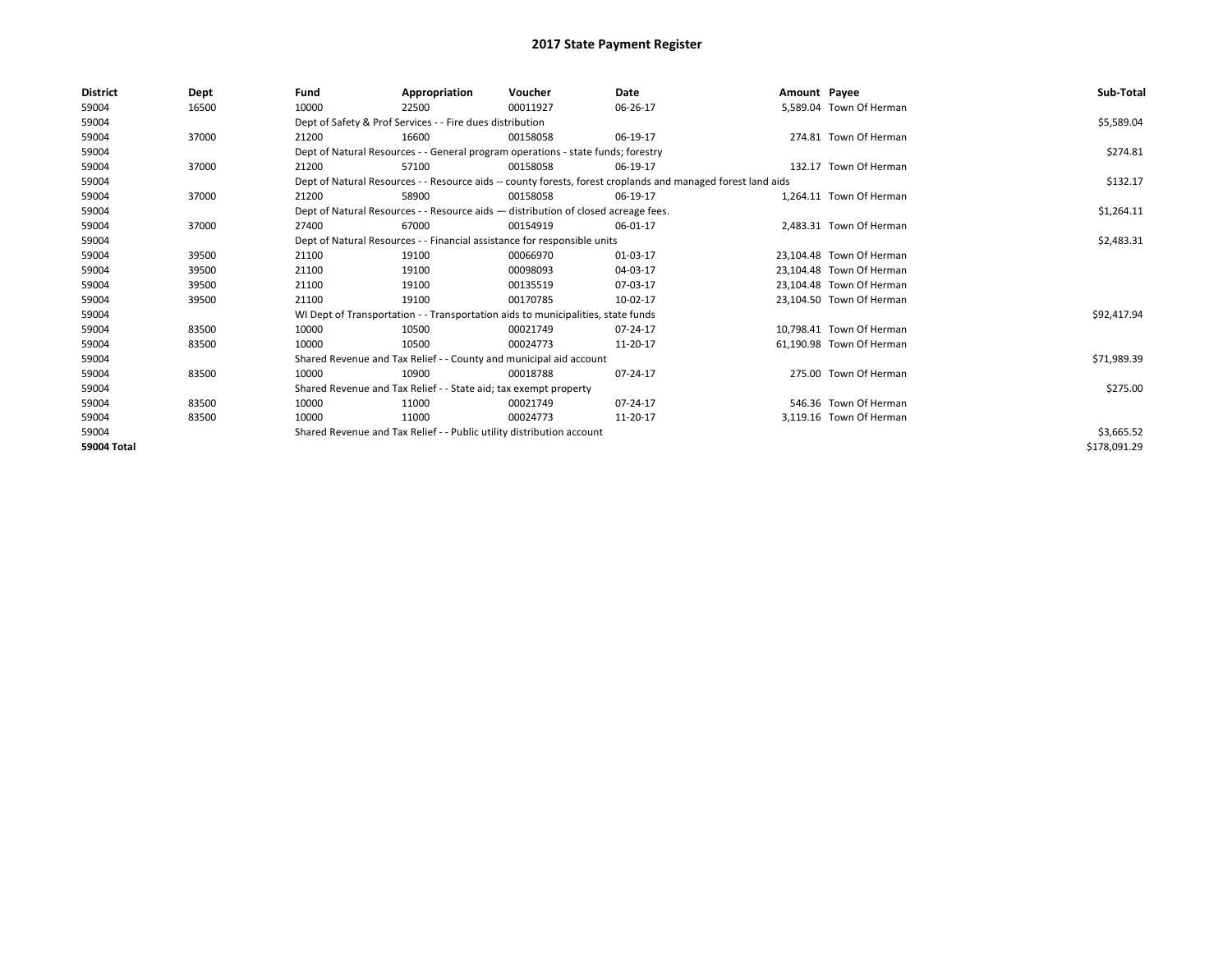| <b>District</b> | Dept  | Fund                                                                  | Appropriation                                                                      | Voucher    | Date                                                                                                         | Amount Payee |                          | Sub-Total    |
|-----------------|-------|-----------------------------------------------------------------------|------------------------------------------------------------------------------------|------------|--------------------------------------------------------------------------------------------------------------|--------------|--------------------------|--------------|
| 59004           | 16500 | 10000                                                                 | 22500                                                                              | 00011927   | 06-26-17                                                                                                     |              | 5,589.04 Town Of Herman  |              |
| 59004           |       |                                                                       | Dept of Safety & Prof Services - - Fire dues distribution                          |            |                                                                                                              |              |                          | \$5,589.04   |
| 59004           | 37000 | 21200                                                                 | 16600                                                                              | 00158058   | 06-19-17                                                                                                     |              | 274.81 Town Of Herman    |              |
| 59004           |       |                                                                       | Dept of Natural Resources - - General program operations - state funds; forestry   |            |                                                                                                              |              |                          | \$274.81     |
| 59004           | 37000 | 21200                                                                 | 57100                                                                              | 00158058   | 06-19-17                                                                                                     |              | 132.17 Town Of Herman    |              |
| 59004           |       |                                                                       |                                                                                    |            | Dept of Natural Resources - - Resource aids -- county forests, forest croplands and managed forest land aids |              |                          | \$132.17     |
| 59004           | 37000 | 21200                                                                 | 58900                                                                              | 00158058   | 06-19-17                                                                                                     |              | 1.264.11 Town Of Herman  |              |
| 59004           |       |                                                                       | Dept of Natural Resources - - Resource aids - distribution of closed acreage fees. |            |                                                                                                              |              |                          | \$1,264.11   |
| 59004           | 37000 | 27400                                                                 | 67000                                                                              | 00154919   | 06-01-17                                                                                                     |              | 2,483.31 Town Of Herman  |              |
| 59004           |       |                                                                       | Dept of Natural Resources - - Financial assistance for responsible units           |            |                                                                                                              |              |                          | \$2,483.31   |
| 59004           | 39500 | 21100                                                                 | 19100                                                                              | 00066970   | 01-03-17                                                                                                     |              | 23.104.48 Town Of Herman |              |
| 59004           | 39500 | 21100                                                                 | 19100                                                                              | 00098093   | 04-03-17                                                                                                     |              | 23,104.48 Town Of Herman |              |
| 59004           | 39500 | 21100                                                                 | 19100                                                                              | 00135519   | 07-03-17                                                                                                     |              | 23.104.48 Town Of Herman |              |
| 59004           | 39500 | 21100                                                                 | 19100                                                                              | 00170785   | 10-02-17                                                                                                     |              | 23,104.50 Town Of Herman |              |
| 59004           |       |                                                                       | WI Dept of Transportation - - Transportation aids to municipalities, state funds   |            |                                                                                                              |              |                          | \$92,417.94  |
| 59004           | 83500 | 10000                                                                 | 10500                                                                              | 00021749   | 07-24-17                                                                                                     |              | 10,798.41 Town Of Herman |              |
| 59004           | 83500 | 10000                                                                 | 10500                                                                              | 00024773   | 11-20-17                                                                                                     |              | 61,190.98 Town Of Herman |              |
| 59004           |       |                                                                       | Shared Revenue and Tax Relief - - County and municipal aid account                 |            |                                                                                                              |              |                          | \$71,989.39  |
| 59004           | 83500 | 10000                                                                 | 10900                                                                              | 00018788   | 07-24-17                                                                                                     |              | 275.00 Town Of Herman    |              |
| 59004           |       |                                                                       | Shared Revenue and Tax Relief - - State aid; tax exempt property                   |            |                                                                                                              |              |                          | \$275.00     |
| 59004           | 83500 | 10000                                                                 | 11000                                                                              | 00021749   | 07-24-17                                                                                                     |              | 546.36 Town Of Herman    |              |
| 59004           | 83500 | 10000                                                                 | 11000                                                                              | 00024773   | 11-20-17                                                                                                     |              | 3,119.16 Town Of Herman  |              |
| 59004           |       | Shared Revenue and Tax Relief - - Public utility distribution account |                                                                                    | \$3,665.52 |                                                                                                              |              |                          |              |
| 59004 Total     |       |                                                                       |                                                                                    |            |                                                                                                              |              |                          | \$178,091.29 |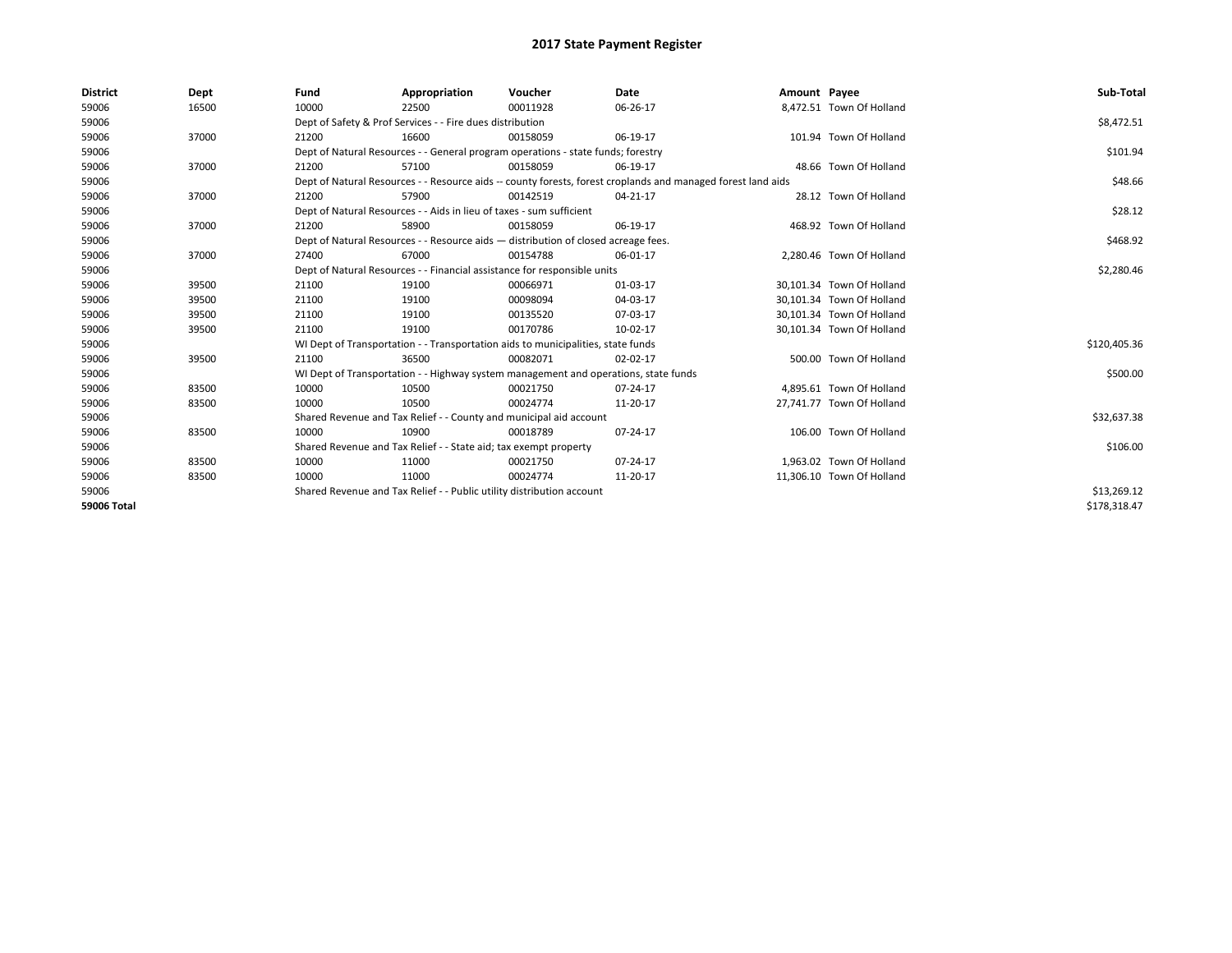| <b>District</b>    | Dept  | Fund  | Appropriation                                                                                                | Voucher  | Date     | Amount Payee |                           | Sub-Total    |  |  |  |
|--------------------|-------|-------|--------------------------------------------------------------------------------------------------------------|----------|----------|--------------|---------------------------|--------------|--|--|--|
| 59006              | 16500 | 10000 | 22500                                                                                                        | 00011928 | 06-26-17 |              | 8,472.51 Town Of Holland  |              |  |  |  |
| 59006              |       |       | Dept of Safety & Prof Services - - Fire dues distribution                                                    |          |          |              |                           | \$8,472.51   |  |  |  |
| 59006              | 37000 | 21200 | 16600                                                                                                        | 00158059 | 06-19-17 |              | 101.94 Town Of Holland    |              |  |  |  |
| 59006              |       |       | Dept of Natural Resources - - General program operations - state funds; forestry                             |          |          |              |                           | \$101.94     |  |  |  |
| 59006              | 37000 | 21200 | 57100                                                                                                        | 00158059 | 06-19-17 |              | 48.66 Town Of Holland     |              |  |  |  |
| 59006              |       |       | Dept of Natural Resources - - Resource aids -- county forests, forest croplands and managed forest land aids |          |          |              |                           | \$48.66      |  |  |  |
| 59006              | 37000 | 21200 | 57900                                                                                                        | 00142519 | 04-21-17 |              | 28.12 Town Of Holland     |              |  |  |  |
| 59006              |       |       | Dept of Natural Resources - - Aids in lieu of taxes - sum sufficient                                         |          |          |              |                           | \$28.12      |  |  |  |
| 59006              | 37000 | 21200 | 58900                                                                                                        | 00158059 | 06-19-17 |              | 468.92 Town Of Holland    |              |  |  |  |
| 59006              |       |       | Dept of Natural Resources - - Resource aids - distribution of closed acreage fees.                           |          |          |              |                           | \$468.92     |  |  |  |
| 59006              | 37000 | 27400 | 67000                                                                                                        | 00154788 | 06-01-17 |              | 2.280.46 Town Of Holland  |              |  |  |  |
| 59006              |       |       | Dept of Natural Resources - - Financial assistance for responsible units                                     |          |          |              |                           |              |  |  |  |
| 59006              | 39500 | 21100 | 19100                                                                                                        | 00066971 | 01-03-17 |              | 30,101.34 Town Of Holland |              |  |  |  |
| 59006              | 39500 | 21100 | 19100                                                                                                        | 00098094 | 04-03-17 |              | 30,101.34 Town Of Holland |              |  |  |  |
| 59006              | 39500 | 21100 | 19100                                                                                                        | 00135520 | 07-03-17 |              | 30,101.34 Town Of Holland |              |  |  |  |
| 59006              | 39500 | 21100 | 19100                                                                                                        | 00170786 | 10-02-17 |              | 30,101.34 Town Of Holland |              |  |  |  |
| 59006              |       |       | WI Dept of Transportation - - Transportation aids to municipalities, state funds                             |          |          |              |                           | \$120,405.36 |  |  |  |
| 59006              | 39500 | 21100 | 36500                                                                                                        | 00082071 | 02-02-17 |              | 500.00 Town Of Holland    |              |  |  |  |
| 59006              |       |       | WI Dept of Transportation - - Highway system management and operations, state funds                          |          |          |              |                           | \$500.00     |  |  |  |
| 59006              | 83500 | 10000 | 10500                                                                                                        | 00021750 | 07-24-17 |              | 4,895.61 Town Of Holland  |              |  |  |  |
| 59006              | 83500 | 10000 | 10500                                                                                                        | 00024774 | 11-20-17 |              | 27,741.77 Town Of Holland |              |  |  |  |
| 59006              |       |       | Shared Revenue and Tax Relief - - County and municipal aid account                                           |          |          |              |                           | \$32,637.38  |  |  |  |
| 59006              | 83500 | 10000 | 10900                                                                                                        | 00018789 | 07-24-17 |              | 106.00 Town Of Holland    |              |  |  |  |
| 59006              |       |       | Shared Revenue and Tax Relief - - State aid; tax exempt property                                             |          |          |              |                           | \$106.00     |  |  |  |
| 59006              | 83500 | 10000 | 11000                                                                                                        | 00021750 | 07-24-17 |              | 1,963.02 Town Of Holland  |              |  |  |  |
| 59006              | 83500 | 10000 | 11000                                                                                                        | 00024774 | 11-20-17 |              | 11,306.10 Town Of Holland |              |  |  |  |
| 59006              |       |       | Shared Revenue and Tax Relief - - Public utility distribution account                                        |          |          |              |                           | \$13,269.12  |  |  |  |
| <b>59006 Total</b> |       |       |                                                                                                              |          |          |              |                           | \$178.318.47 |  |  |  |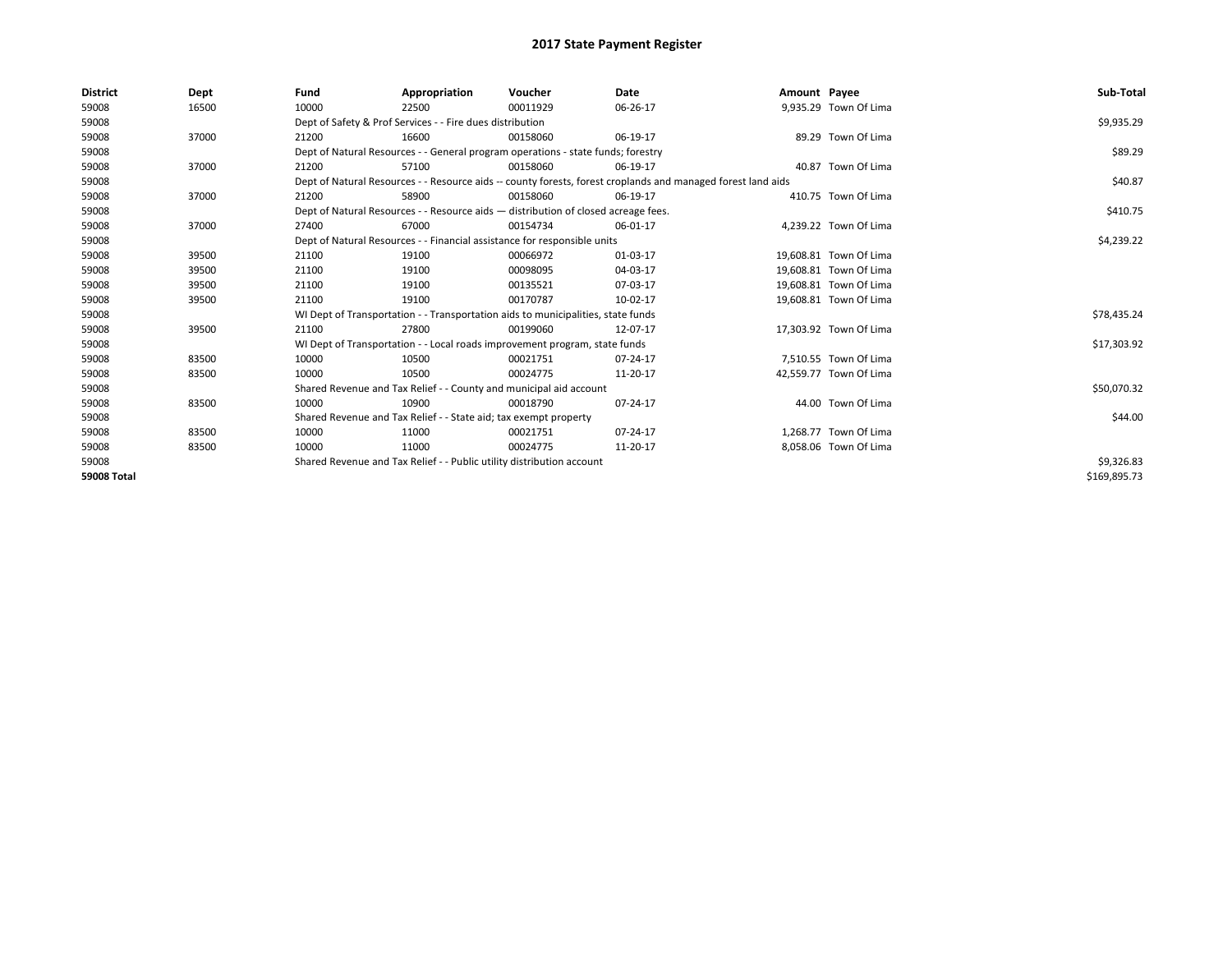| <b>District</b> | Dept  | Fund                                                                                                         | Appropriation                                                                      | Voucher    | Date     | Amount Payee |                        | Sub-Total    |
|-----------------|-------|--------------------------------------------------------------------------------------------------------------|------------------------------------------------------------------------------------|------------|----------|--------------|------------------------|--------------|
| 59008           | 16500 | 10000                                                                                                        | 22500                                                                              | 00011929   | 06-26-17 |              | 9,935.29 Town Of Lima  |              |
| 59008           |       |                                                                                                              | Dept of Safety & Prof Services - - Fire dues distribution                          |            |          |              |                        | \$9,935.29   |
| 59008           | 37000 | 21200                                                                                                        | 16600                                                                              | 00158060   | 06-19-17 |              | 89.29 Town Of Lima     |              |
| 59008           |       |                                                                                                              | Dept of Natural Resources - - General program operations - state funds; forestry   |            |          |              |                        | \$89.29      |
| 59008           | 37000 | 21200                                                                                                        | 57100                                                                              | 00158060   | 06-19-17 |              | 40.87 Town Of Lima     |              |
| 59008           |       | Dept of Natural Resources - - Resource aids -- county forests, forest croplands and managed forest land aids |                                                                                    | \$40.87    |          |              |                        |              |
| 59008           | 37000 | 21200                                                                                                        | 58900                                                                              | 00158060   | 06-19-17 |              | 410.75 Town Of Lima    |              |
| 59008           |       |                                                                                                              | Dept of Natural Resources - - Resource aids - distribution of closed acreage fees. |            |          |              |                        | \$410.75     |
| 59008           | 37000 | 27400                                                                                                        | 67000                                                                              | 00154734   | 06-01-17 |              | 4,239.22 Town Of Lima  |              |
| 59008           |       |                                                                                                              | Dept of Natural Resources - - Financial assistance for responsible units           |            |          |              |                        | \$4,239.22   |
| 59008           | 39500 | 21100                                                                                                        | 19100                                                                              | 00066972   | 01-03-17 |              | 19.608.81 Town Of Lima |              |
| 59008           | 39500 | 21100                                                                                                        | 19100                                                                              | 00098095   | 04-03-17 |              | 19,608.81 Town Of Lima |              |
| 59008           | 39500 | 21100                                                                                                        | 19100                                                                              | 00135521   | 07-03-17 |              | 19,608.81 Town Of Lima |              |
| 59008           | 39500 | 21100                                                                                                        | 19100                                                                              | 00170787   | 10-02-17 |              | 19,608.81 Town Of Lima |              |
| 59008           |       |                                                                                                              | WI Dept of Transportation - - Transportation aids to municipalities, state funds   |            |          |              |                        | \$78,435.24  |
| 59008           | 39500 | 21100                                                                                                        | 27800                                                                              | 00199060   | 12-07-17 |              | 17,303.92 Town Of Lima |              |
| 59008           |       |                                                                                                              | WI Dept of Transportation - - Local roads improvement program, state funds         |            |          |              |                        | \$17,303.92  |
| 59008           | 83500 | 10000                                                                                                        | 10500                                                                              | 00021751   | 07-24-17 |              | 7.510.55 Town Of Lima  |              |
| 59008           | 83500 | 10000                                                                                                        | 10500                                                                              | 00024775   | 11-20-17 |              | 42,559.77 Town Of Lima |              |
| 59008           |       |                                                                                                              | Shared Revenue and Tax Relief - - County and municipal aid account                 |            |          |              |                        | \$50,070.32  |
| 59008           | 83500 | 10000                                                                                                        | 10900                                                                              | 00018790   | 07-24-17 |              | 44.00 Town Of Lima     |              |
| 59008           |       |                                                                                                              | Shared Revenue and Tax Relief - - State aid; tax exempt property                   |            |          |              |                        | \$44.00      |
| 59008           | 83500 | 10000                                                                                                        | 11000                                                                              | 00021751   | 07-24-17 |              | 1.268.77 Town Of Lima  |              |
| 59008           | 83500 | 10000                                                                                                        | 11000                                                                              | 00024775   | 11-20-17 |              | 8,058.06 Town Of Lima  |              |
| 59008           |       | Shared Revenue and Tax Relief - - Public utility distribution account                                        |                                                                                    | \$9,326.83 |          |              |                        |              |
| 59008 Total     |       |                                                                                                              |                                                                                    |            |          |              |                        | \$169,895.73 |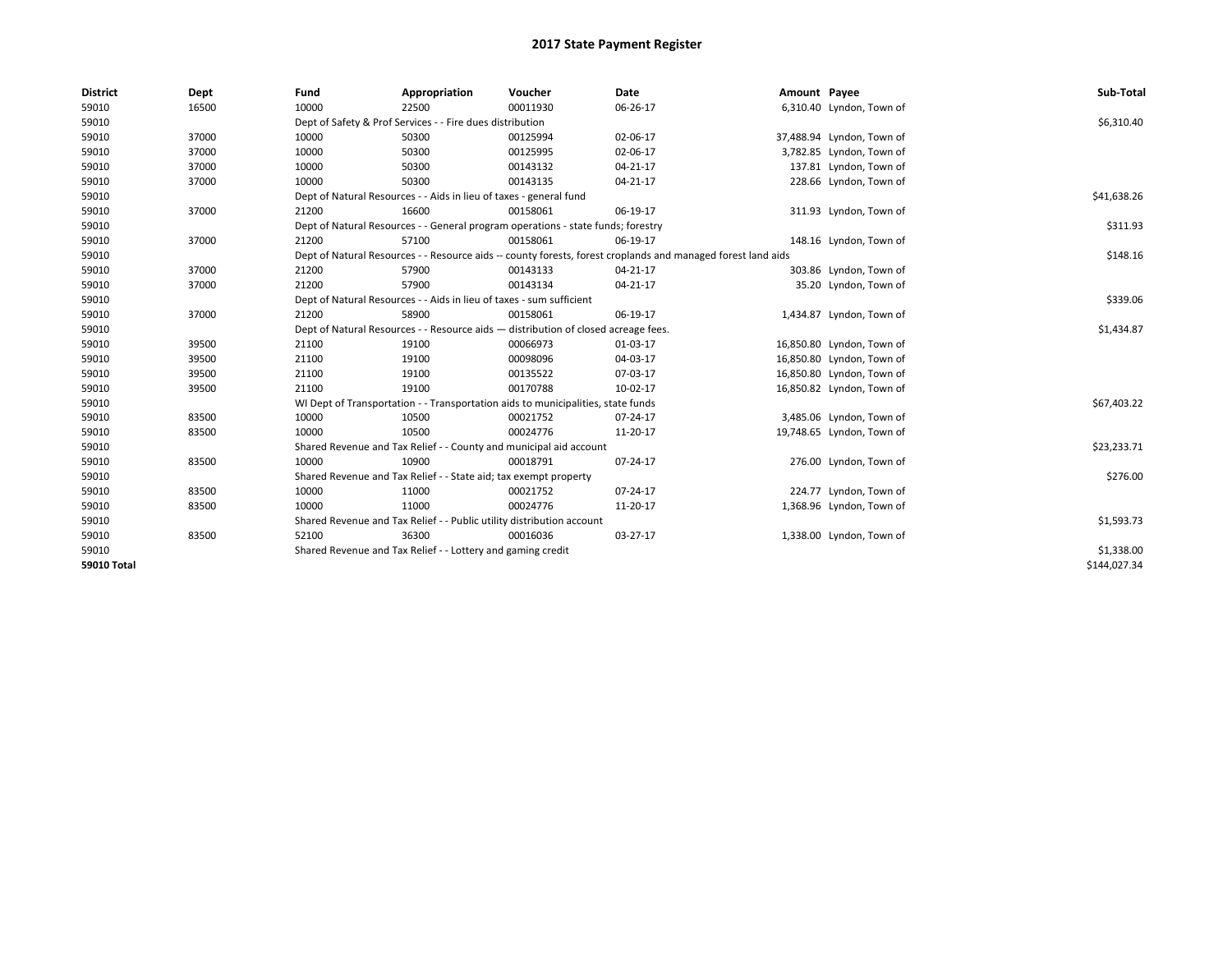| <b>District</b>    | Dept  | Fund  | Appropriation                                                                      | Voucher  | Date                                                                                                         | Amount Payee |                           | Sub-Total    |
|--------------------|-------|-------|------------------------------------------------------------------------------------|----------|--------------------------------------------------------------------------------------------------------------|--------------|---------------------------|--------------|
| 59010              | 16500 | 10000 | 22500                                                                              | 00011930 | 06-26-17                                                                                                     |              | 6,310.40 Lyndon, Town of  |              |
| 59010              |       |       | Dept of Safety & Prof Services - - Fire dues distribution                          |          |                                                                                                              |              |                           | \$6,310.40   |
| 59010              | 37000 | 10000 | 50300                                                                              | 00125994 | 02-06-17                                                                                                     |              | 37,488.94 Lyndon, Town of |              |
| 59010              | 37000 | 10000 | 50300                                                                              | 00125995 | 02-06-17                                                                                                     |              | 3,782.85 Lyndon, Town of  |              |
| 59010              | 37000 | 10000 | 50300                                                                              | 00143132 | 04-21-17                                                                                                     |              | 137.81 Lyndon, Town of    |              |
| 59010              | 37000 | 10000 | 50300                                                                              | 00143135 | 04-21-17                                                                                                     |              | 228.66 Lyndon, Town of    |              |
| 59010              |       |       | Dept of Natural Resources - - Aids in lieu of taxes - general fund                 |          |                                                                                                              |              |                           | \$41,638.26  |
| 59010              | 37000 | 21200 | 16600                                                                              | 00158061 | 06-19-17                                                                                                     |              | 311.93 Lyndon, Town of    |              |
| 59010              |       |       | Dept of Natural Resources - - General program operations - state funds; forestry   |          |                                                                                                              |              |                           | \$311.93     |
| 59010              | 37000 | 21200 | 57100                                                                              | 00158061 | 06-19-17                                                                                                     |              | 148.16 Lyndon, Town of    |              |
| 59010              |       |       |                                                                                    |          | Dept of Natural Resources - - Resource aids -- county forests, forest croplands and managed forest land aids |              |                           | \$148.16     |
| 59010              | 37000 | 21200 | 57900                                                                              | 00143133 | $04 - 21 - 17$                                                                                               |              | 303.86 Lyndon, Town of    |              |
| 59010              | 37000 | 21200 | 57900                                                                              | 00143134 | 04-21-17                                                                                                     |              | 35.20 Lyndon, Town of     |              |
| 59010              |       |       | Dept of Natural Resources - - Aids in lieu of taxes - sum sufficient               |          |                                                                                                              |              |                           | \$339.06     |
| 59010              | 37000 | 21200 | 58900                                                                              | 00158061 | 06-19-17                                                                                                     |              | 1,434.87 Lyndon, Town of  |              |
| 59010              |       |       | Dept of Natural Resources - - Resource aids - distribution of closed acreage fees. |          |                                                                                                              |              |                           | \$1,434.87   |
| 59010              | 39500 | 21100 | 19100                                                                              | 00066973 | 01-03-17                                                                                                     |              | 16,850.80 Lyndon, Town of |              |
| 59010              | 39500 | 21100 | 19100                                                                              | 00098096 | 04-03-17                                                                                                     |              | 16,850.80 Lyndon, Town of |              |
| 59010              | 39500 | 21100 | 19100                                                                              | 00135522 | 07-03-17                                                                                                     |              | 16,850.80 Lyndon, Town of |              |
| 59010              | 39500 | 21100 | 19100                                                                              | 00170788 | 10-02-17                                                                                                     |              | 16,850.82 Lyndon, Town of |              |
| 59010              |       |       | WI Dept of Transportation - - Transportation aids to municipalities, state funds   |          |                                                                                                              |              |                           | \$67,403.22  |
| 59010              | 83500 | 10000 | 10500                                                                              | 00021752 | $07 - 24 - 17$                                                                                               |              | 3,485.06 Lyndon, Town of  |              |
| 59010              | 83500 | 10000 | 10500                                                                              | 00024776 | 11-20-17                                                                                                     |              | 19,748.65 Lyndon, Town of |              |
| 59010              |       |       | Shared Revenue and Tax Relief - - County and municipal aid account                 |          |                                                                                                              |              |                           | \$23,233.71  |
| 59010              | 83500 | 10000 | 10900                                                                              | 00018791 | 07-24-17                                                                                                     |              | 276.00 Lyndon, Town of    |              |
| 59010              |       |       | Shared Revenue and Tax Relief - - State aid; tax exempt property                   |          |                                                                                                              |              |                           | \$276.00     |
| 59010              | 83500 | 10000 | 11000                                                                              | 00021752 | 07-24-17                                                                                                     |              | 224.77 Lyndon, Town of    |              |
| 59010              | 83500 | 10000 | 11000                                                                              | 00024776 | 11-20-17                                                                                                     |              | 1,368.96 Lyndon, Town of  |              |
| 59010              |       |       | Shared Revenue and Tax Relief - - Public utility distribution account              |          |                                                                                                              |              |                           | \$1,593.73   |
| 59010              | 83500 | 52100 | 36300                                                                              | 00016036 | 03-27-17                                                                                                     |              | 1,338.00 Lyndon, Town of  |              |
| 59010              |       |       | Shared Revenue and Tax Relief - - Lottery and gaming credit                        |          |                                                                                                              |              |                           | \$1,338.00   |
| <b>59010 Total</b> |       |       |                                                                                    |          |                                                                                                              |              |                           | \$144,027.34 |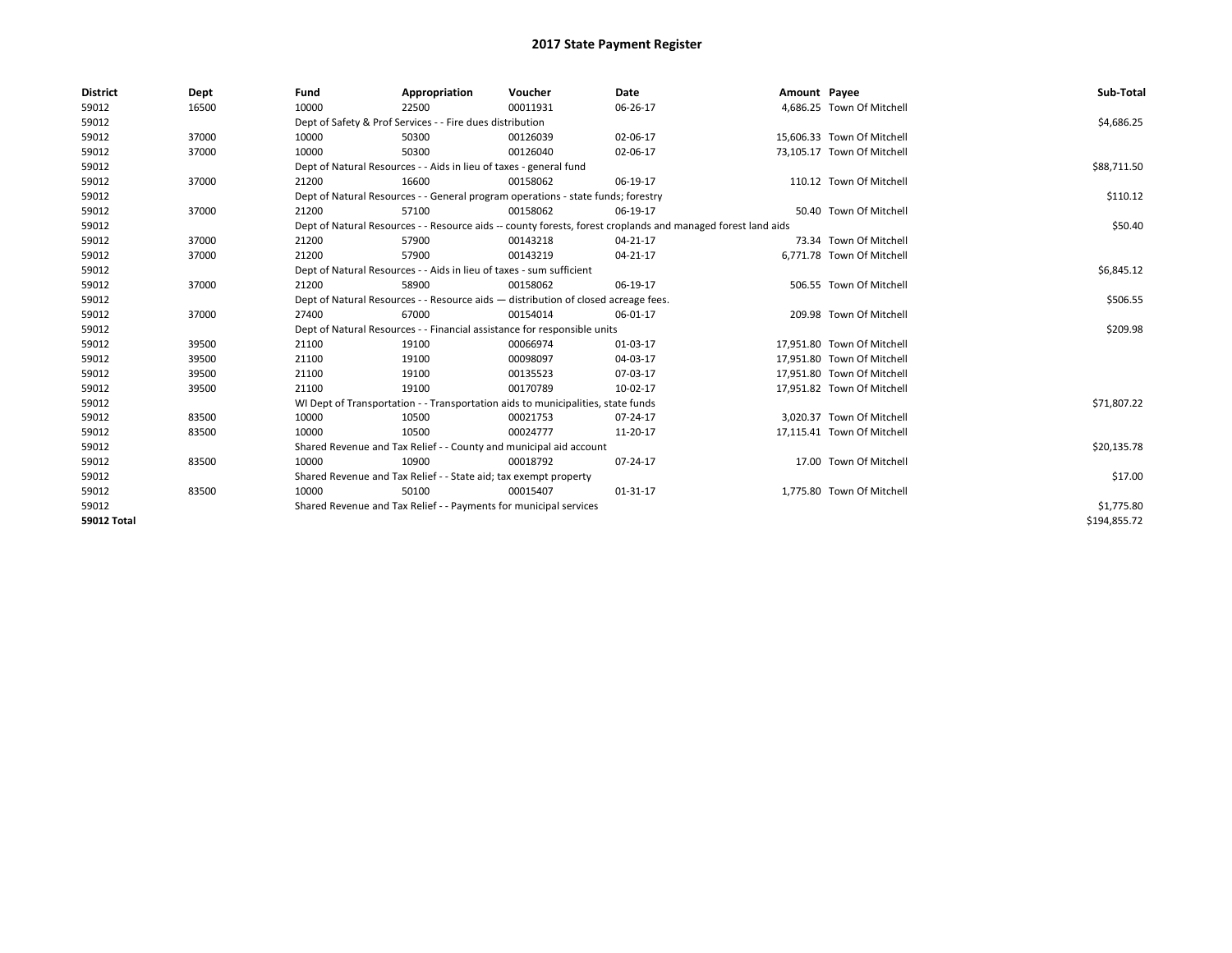| <b>District</b>    | Dept  | Fund                                                                               | Appropriation                                                                    | Voucher  | Date                                                                                                         | Amount Payee |                            | Sub-Total    |
|--------------------|-------|------------------------------------------------------------------------------------|----------------------------------------------------------------------------------|----------|--------------------------------------------------------------------------------------------------------------|--------------|----------------------------|--------------|
| 59012              | 16500 | 10000                                                                              | 22500                                                                            | 00011931 | 06-26-17                                                                                                     |              | 4,686.25 Town Of Mitchell  |              |
| 59012              |       |                                                                                    | Dept of Safety & Prof Services - - Fire dues distribution                        |          |                                                                                                              |              |                            | \$4,686.25   |
| 59012              | 37000 | 10000                                                                              | 50300                                                                            | 00126039 | 02-06-17                                                                                                     |              | 15,606.33 Town Of Mitchell |              |
| 59012              | 37000 | 10000                                                                              | 50300                                                                            | 00126040 | 02-06-17                                                                                                     |              | 73,105.17 Town Of Mitchell |              |
| 59012              |       |                                                                                    | Dept of Natural Resources - - Aids in lieu of taxes - general fund               |          |                                                                                                              |              |                            | \$88,711.50  |
| 59012              | 37000 | 21200                                                                              | 16600                                                                            | 00158062 | 06-19-17                                                                                                     |              | 110.12 Town Of Mitchell    |              |
| 59012              |       |                                                                                    | Dept of Natural Resources - - General program operations - state funds; forestry |          |                                                                                                              |              |                            | \$110.12     |
| 59012              | 37000 | 21200                                                                              | 57100                                                                            | 00158062 | 06-19-17                                                                                                     |              | 50.40 Town Of Mitchell     |              |
| 59012              |       |                                                                                    |                                                                                  |          | Dept of Natural Resources - - Resource aids -- county forests, forest croplands and managed forest land aids |              |                            | \$50.40      |
| 59012              | 37000 | 21200                                                                              | 57900                                                                            | 00143218 | 04-21-17                                                                                                     |              | 73.34 Town Of Mitchell     |              |
| 59012              | 37000 | 21200                                                                              | 57900                                                                            | 00143219 | 04-21-17                                                                                                     |              | 6,771.78 Town Of Mitchell  |              |
| 59012              |       |                                                                                    | Dept of Natural Resources - - Aids in lieu of taxes - sum sufficient             |          |                                                                                                              |              |                            | \$6,845.12   |
| 59012              | 37000 | 21200                                                                              | 58900                                                                            | 00158062 | 06-19-17                                                                                                     |              | 506.55 Town Of Mitchell    |              |
| 59012              |       | Dept of Natural Resources - - Resource aids - distribution of closed acreage fees. |                                                                                  | \$506.55 |                                                                                                              |              |                            |              |
| 59012              | 37000 | 27400                                                                              | 67000                                                                            | 00154014 | 06-01-17                                                                                                     |              | 209.98 Town Of Mitchell    |              |
| 59012              |       |                                                                                    | Dept of Natural Resources - - Financial assistance for responsible units         |          |                                                                                                              |              |                            | \$209.98     |
| 59012              | 39500 | 21100                                                                              | 19100                                                                            | 00066974 | 01-03-17                                                                                                     |              | 17,951.80 Town Of Mitchell |              |
| 59012              | 39500 | 21100                                                                              | 19100                                                                            | 00098097 | 04-03-17                                                                                                     |              | 17.951.80 Town Of Mitchell |              |
| 59012              | 39500 | 21100                                                                              | 19100                                                                            | 00135523 | 07-03-17                                                                                                     |              | 17,951.80 Town Of Mitchell |              |
| 59012              | 39500 | 21100                                                                              | 19100                                                                            | 00170789 | 10-02-17                                                                                                     |              | 17,951.82 Town Of Mitchell |              |
| 59012              |       |                                                                                    | WI Dept of Transportation - - Transportation aids to municipalities, state funds |          |                                                                                                              |              |                            | \$71,807.22  |
| 59012              | 83500 | 10000                                                                              | 10500                                                                            | 00021753 | 07-24-17                                                                                                     |              | 3,020.37 Town Of Mitchell  |              |
| 59012              | 83500 | 10000                                                                              | 10500                                                                            | 00024777 | 11-20-17                                                                                                     |              | 17,115.41 Town Of Mitchell |              |
| 59012              |       |                                                                                    | Shared Revenue and Tax Relief - - County and municipal aid account               |          |                                                                                                              |              |                            | \$20,135.78  |
| 59012              | 83500 | 10000                                                                              | 10900                                                                            | 00018792 | 07-24-17                                                                                                     |              | 17.00 Town Of Mitchell     |              |
| 59012              |       |                                                                                    | Shared Revenue and Tax Relief - - State aid; tax exempt property                 |          |                                                                                                              |              |                            | \$17.00      |
| 59012              | 83500 | 10000                                                                              | 50100                                                                            | 00015407 | 01-31-17                                                                                                     |              | 1,775.80 Town Of Mitchell  |              |
| 59012              |       |                                                                                    | Shared Revenue and Tax Relief - - Payments for municipal services                |          |                                                                                                              |              |                            | \$1,775.80   |
| <b>59012 Total</b> |       |                                                                                    |                                                                                  |          |                                                                                                              |              |                            | \$194,855.72 |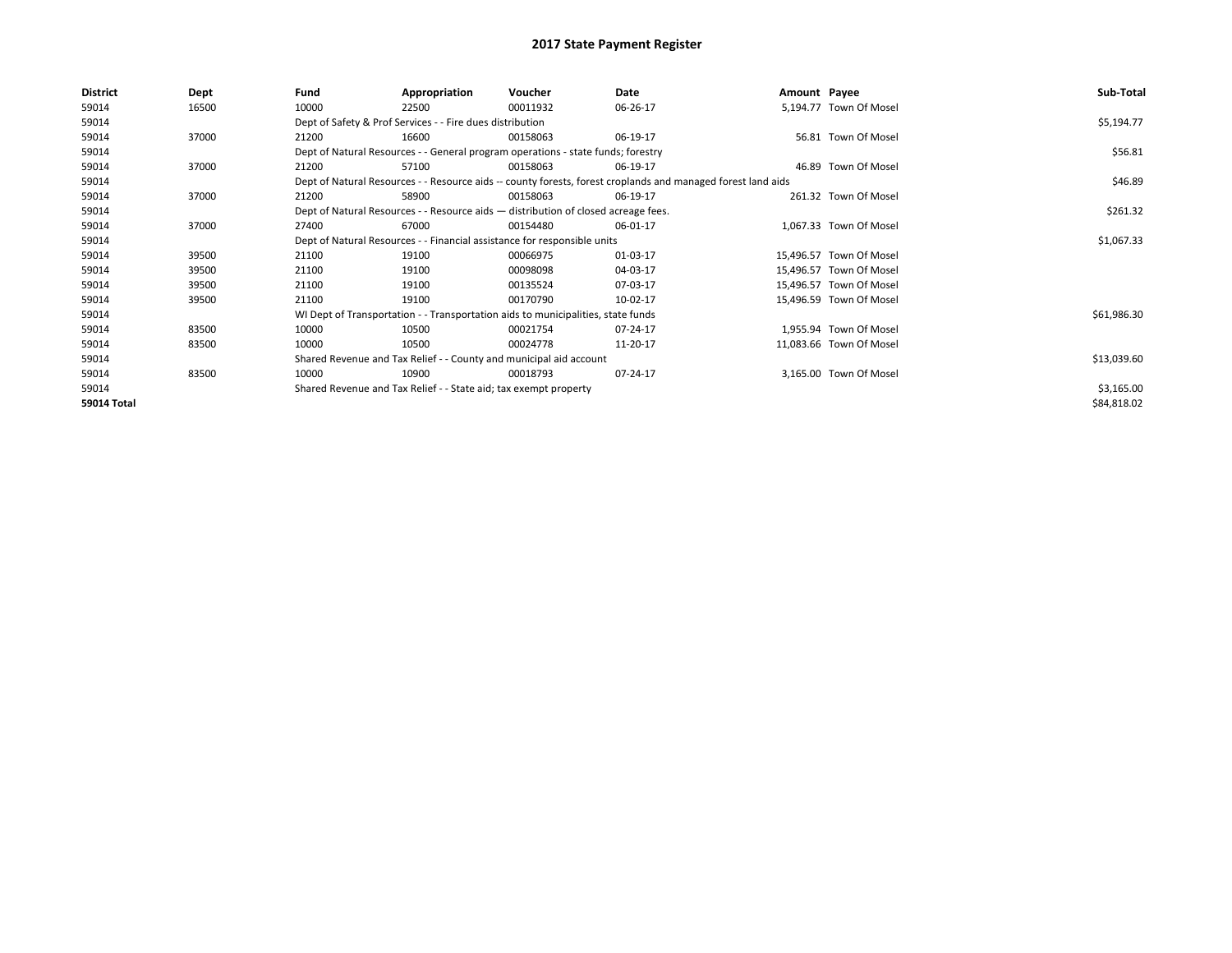| <b>District</b> | Dept  | Fund                                                                                                         | Appropriation                                                                      | Voucher    | Date     | Amount Payee |                         | Sub-Total   |
|-----------------|-------|--------------------------------------------------------------------------------------------------------------|------------------------------------------------------------------------------------|------------|----------|--------------|-------------------------|-------------|
| 59014           | 16500 | 10000                                                                                                        | 22500                                                                              | 00011932   | 06-26-17 |              | 5,194.77 Town Of Mosel  |             |
| 59014           |       |                                                                                                              | Dept of Safety & Prof Services - - Fire dues distribution                          |            |          |              |                         | \$5,194.77  |
| 59014           | 37000 | 21200                                                                                                        | 16600                                                                              | 00158063   | 06-19-17 |              | 56.81 Town Of Mosel     |             |
| 59014           |       |                                                                                                              | Dept of Natural Resources - - General program operations - state funds; forestry   |            |          |              |                         | \$56.81     |
| 59014           | 37000 | 21200                                                                                                        | 57100                                                                              | 00158063   | 06-19-17 |              | 46.89 Town Of Mosel     |             |
| 59014           |       | Dept of Natural Resources - - Resource aids -- county forests, forest croplands and managed forest land aids |                                                                                    | \$46.89    |          |              |                         |             |
| 59014           | 37000 | 21200                                                                                                        | 58900                                                                              | 00158063   | 06-19-17 |              | 261.32 Town Of Mosel    |             |
| 59014           |       |                                                                                                              | Dept of Natural Resources - - Resource aids - distribution of closed acreage fees. |            |          |              |                         | \$261.32    |
| 59014           | 37000 | 27400                                                                                                        | 67000                                                                              | 00154480   | 06-01-17 |              | 1,067.33 Town Of Mosel  |             |
| 59014           |       | Dept of Natural Resources - - Financial assistance for responsible units                                     |                                                                                    | \$1,067.33 |          |              |                         |             |
| 59014           | 39500 | 21100                                                                                                        | 19100                                                                              | 00066975   | 01-03-17 |              | 15,496.57 Town Of Mosel |             |
| 59014           | 39500 | 21100                                                                                                        | 19100                                                                              | 00098098   | 04-03-17 |              | 15,496.57 Town Of Mosel |             |
| 59014           | 39500 | 21100                                                                                                        | 19100                                                                              | 00135524   | 07-03-17 |              | 15,496.57 Town Of Mosel |             |
| 59014           | 39500 | 21100                                                                                                        | 19100                                                                              | 00170790   | 10-02-17 |              | 15,496.59 Town Of Mosel |             |
| 59014           |       |                                                                                                              | WI Dept of Transportation - - Transportation aids to municipalities, state funds   |            |          |              |                         | \$61,986.30 |
| 59014           | 83500 | 10000                                                                                                        | 10500                                                                              | 00021754   | 07-24-17 |              | 1.955.94 Town Of Mosel  |             |
| 59014           | 83500 | 10000                                                                                                        | 10500                                                                              | 00024778   | 11-20-17 |              | 11,083.66 Town Of Mosel |             |
| 59014           |       |                                                                                                              | Shared Revenue and Tax Relief - - County and municipal aid account                 |            |          |              |                         | \$13,039.60 |
| 59014           | 83500 | 10000                                                                                                        | 10900                                                                              | 00018793   | 07-24-17 |              | 3,165.00 Town Of Mosel  |             |
| 59014           |       |                                                                                                              | Shared Revenue and Tax Relief - - State aid; tax exempt property                   |            |          |              |                         | \$3,165.00  |
| 59014 Total     |       |                                                                                                              |                                                                                    |            |          |              |                         | \$84,818.02 |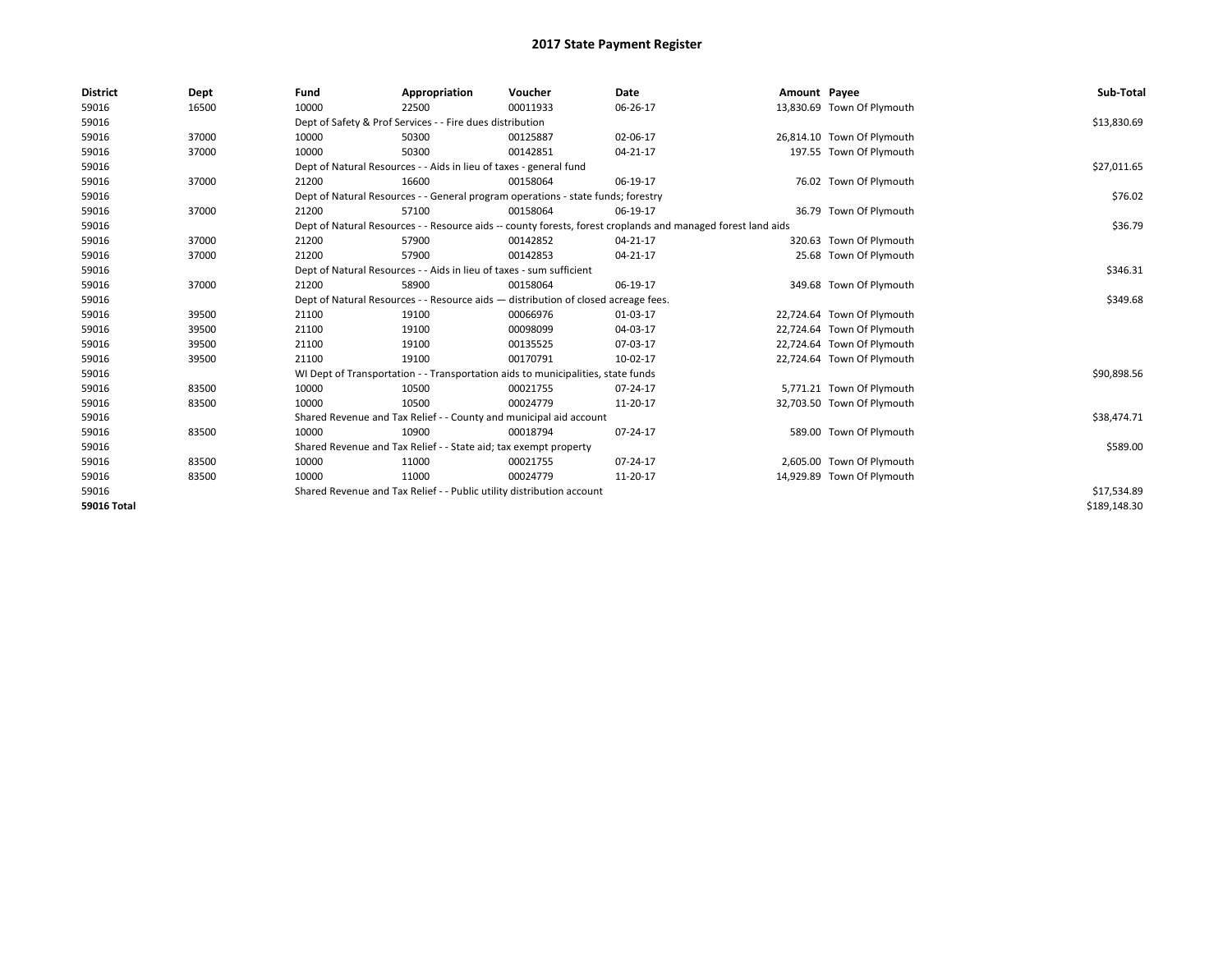| <b>District</b>    | Dept  | Fund  | Appropriation                                                                      | Voucher  | Date                                                                                                         | Amount Payee |                            | Sub-Total    |
|--------------------|-------|-------|------------------------------------------------------------------------------------|----------|--------------------------------------------------------------------------------------------------------------|--------------|----------------------------|--------------|
| 59016              | 16500 | 10000 | 22500                                                                              | 00011933 | 06-26-17                                                                                                     |              | 13,830.69 Town Of Plymouth |              |
| 59016              |       |       | Dept of Safety & Prof Services - - Fire dues distribution                          |          |                                                                                                              |              |                            | \$13,830.69  |
| 59016              | 37000 | 10000 | 50300                                                                              | 00125887 | 02-06-17                                                                                                     |              | 26,814.10 Town Of Plymouth |              |
| 59016              | 37000 | 10000 | 50300                                                                              | 00142851 | 04-21-17                                                                                                     |              | 197.55 Town Of Plymouth    |              |
| 59016              |       |       | Dept of Natural Resources - - Aids in lieu of taxes - general fund                 |          |                                                                                                              |              |                            | \$27,011.65  |
| 59016              | 37000 | 21200 | 16600                                                                              | 00158064 | 06-19-17                                                                                                     |              | 76.02 Town Of Plymouth     |              |
| 59016              |       |       | Dept of Natural Resources - - General program operations - state funds; forestry   |          |                                                                                                              |              |                            | \$76.02      |
| 59016              | 37000 | 21200 | 57100                                                                              | 00158064 | 06-19-17                                                                                                     |              | 36.79 Town Of Plymouth     |              |
| 59016              |       |       |                                                                                    |          | Dept of Natural Resources - - Resource aids -- county forests, forest croplands and managed forest land aids |              |                            | \$36.79      |
| 59016              | 37000 | 21200 | 57900                                                                              | 00142852 | 04-21-17                                                                                                     |              | 320.63 Town Of Plymouth    |              |
| 59016              | 37000 | 21200 | 57900                                                                              | 00142853 | 04-21-17                                                                                                     |              | 25.68 Town Of Plymouth     |              |
| 59016              |       |       | Dept of Natural Resources - - Aids in lieu of taxes - sum sufficient               |          |                                                                                                              |              |                            | \$346.31     |
| 59016              | 37000 | 21200 | 58900                                                                              | 00158064 | 06-19-17                                                                                                     |              | 349.68 Town Of Plymouth    |              |
| 59016              |       |       | Dept of Natural Resources - - Resource aids - distribution of closed acreage fees. |          |                                                                                                              |              |                            | \$349.68     |
| 59016              | 39500 | 21100 | 19100                                                                              | 00066976 | 01-03-17                                                                                                     |              | 22,724.64 Town Of Plymouth |              |
| 59016              | 39500 | 21100 | 19100                                                                              | 00098099 | 04-03-17                                                                                                     |              | 22,724.64 Town Of Plymouth |              |
| 59016              | 39500 | 21100 | 19100                                                                              | 00135525 | 07-03-17                                                                                                     |              | 22,724.64 Town Of Plymouth |              |
| 59016              | 39500 | 21100 | 19100                                                                              | 00170791 | 10-02-17                                                                                                     |              | 22,724.64 Town Of Plymouth |              |
| 59016              |       |       | WI Dept of Transportation - - Transportation aids to municipalities, state funds   |          |                                                                                                              |              |                            | \$90,898.56  |
| 59016              | 83500 | 10000 | 10500                                                                              | 00021755 | 07-24-17                                                                                                     |              | 5,771.21 Town Of Plymouth  |              |
| 59016              | 83500 | 10000 | 10500                                                                              | 00024779 | 11-20-17                                                                                                     |              | 32,703.50 Town Of Plymouth |              |
| 59016              |       |       | Shared Revenue and Tax Relief - - County and municipal aid account                 |          |                                                                                                              |              |                            | \$38,474.71  |
| 59016              | 83500 | 10000 | 10900                                                                              | 00018794 | 07-24-17                                                                                                     |              | 589.00 Town Of Plymouth    |              |
| 59016              |       |       | Shared Revenue and Tax Relief - - State aid; tax exempt property                   |          |                                                                                                              |              |                            | \$589.00     |
| 59016              | 83500 | 10000 | 11000                                                                              | 00021755 | 07-24-17                                                                                                     |              | 2,605.00 Town Of Plymouth  |              |
| 59016              | 83500 | 10000 | 11000                                                                              | 00024779 | 11-20-17                                                                                                     |              | 14,929.89 Town Of Plymouth |              |
| 59016              |       |       | Shared Revenue and Tax Relief - - Public utility distribution account              |          |                                                                                                              |              |                            | \$17,534.89  |
| <b>59016 Total</b> |       |       |                                                                                    |          |                                                                                                              |              |                            | \$189,148.30 |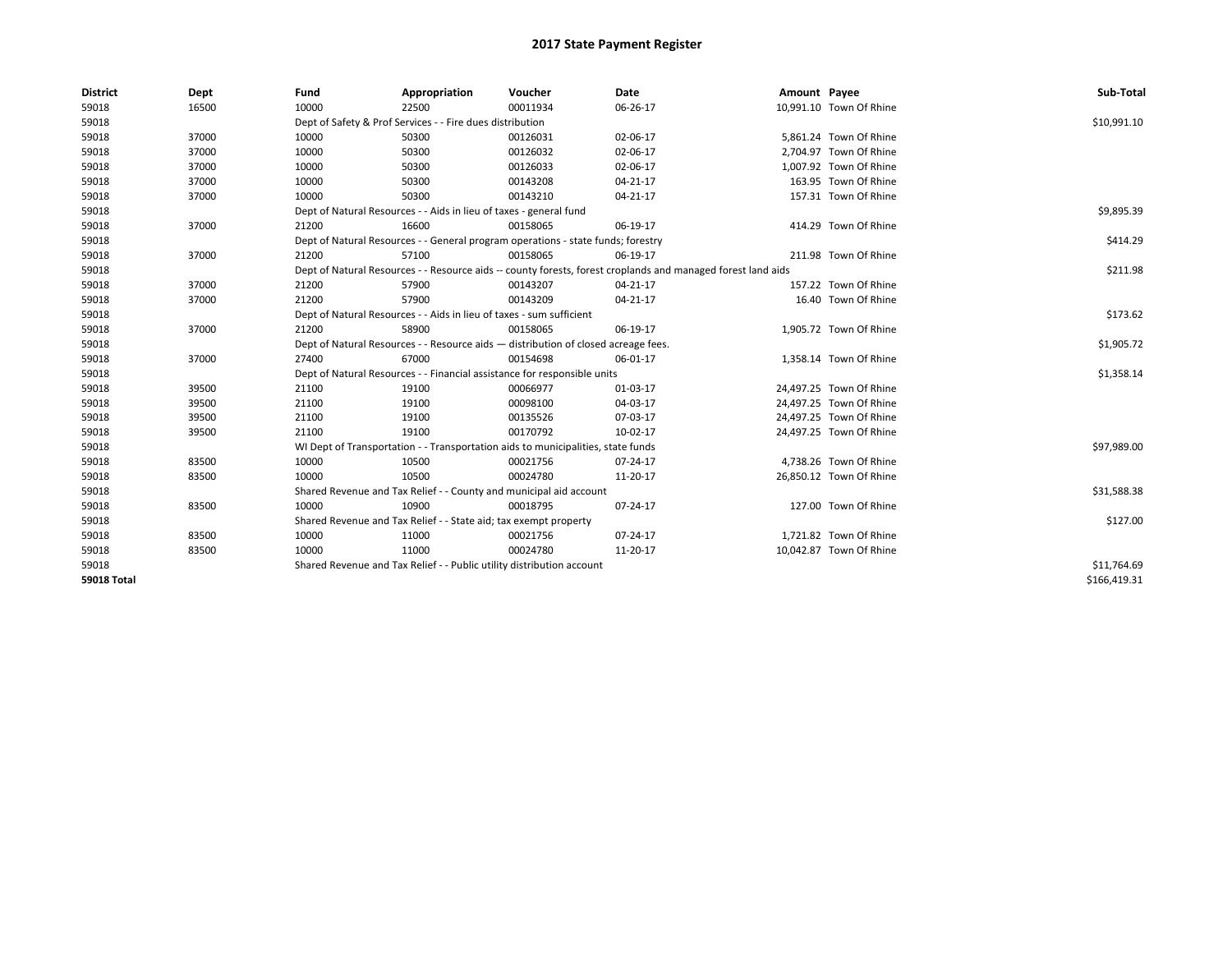| <b>District</b>    | Dept  | Fund  | Appropriation                                                                      | Voucher  | Date                                                                                                         | Amount Payee |                         | Sub-Total    |
|--------------------|-------|-------|------------------------------------------------------------------------------------|----------|--------------------------------------------------------------------------------------------------------------|--------------|-------------------------|--------------|
| 59018              | 16500 | 10000 | 22500                                                                              | 00011934 | 06-26-17                                                                                                     |              | 10,991.10 Town Of Rhine |              |
| 59018              |       |       | Dept of Safety & Prof Services - - Fire dues distribution                          |          |                                                                                                              |              |                         | \$10,991.10  |
| 59018              | 37000 | 10000 | 50300                                                                              | 00126031 | 02-06-17                                                                                                     |              | 5,861.24 Town Of Rhine  |              |
| 59018              | 37000 | 10000 | 50300                                                                              | 00126032 | 02-06-17                                                                                                     |              | 2,704.97 Town Of Rhine  |              |
| 59018              | 37000 | 10000 | 50300                                                                              | 00126033 | 02-06-17                                                                                                     |              | 1,007.92 Town Of Rhine  |              |
| 59018              | 37000 | 10000 | 50300                                                                              | 00143208 | 04-21-17                                                                                                     |              | 163.95 Town Of Rhine    |              |
| 59018              | 37000 | 10000 | 50300                                                                              | 00143210 | 04-21-17                                                                                                     |              | 157.31 Town Of Rhine    |              |
| 59018              |       |       | Dept of Natural Resources - - Aids in lieu of taxes - general fund                 |          |                                                                                                              |              |                         | \$9,895.39   |
| 59018              | 37000 | 21200 | 16600                                                                              | 00158065 | 06-19-17                                                                                                     |              | 414.29 Town Of Rhine    |              |
| 59018              |       |       | Dept of Natural Resources - - General program operations - state funds; forestry   |          |                                                                                                              |              |                         | \$414.29     |
| 59018              | 37000 | 21200 | 57100                                                                              | 00158065 | 06-19-17                                                                                                     |              | 211.98 Town Of Rhine    |              |
| 59018              |       |       |                                                                                    |          | Dept of Natural Resources - - Resource aids -- county forests, forest croplands and managed forest land aids |              |                         | \$211.98     |
| 59018              | 37000 | 21200 | 57900                                                                              | 00143207 | 04-21-17                                                                                                     |              | 157.22 Town Of Rhine    |              |
| 59018              | 37000 | 21200 | 57900                                                                              | 00143209 | 04-21-17                                                                                                     |              | 16.40 Town Of Rhine     |              |
| 59018              |       |       | Dept of Natural Resources - - Aids in lieu of taxes - sum sufficient               |          |                                                                                                              |              |                         | \$173.62     |
| 59018              | 37000 | 21200 | 58900                                                                              | 00158065 | 06-19-17                                                                                                     |              | 1,905.72 Town Of Rhine  |              |
| 59018              |       |       | Dept of Natural Resources - - Resource aids - distribution of closed acreage fees. |          |                                                                                                              |              |                         | \$1,905.72   |
| 59018              | 37000 | 27400 | 67000                                                                              | 00154698 | 06-01-17                                                                                                     |              | 1,358.14 Town Of Rhine  |              |
| 59018              |       |       | Dept of Natural Resources - - Financial assistance for responsible units           |          |                                                                                                              |              |                         | \$1,358.14   |
| 59018              | 39500 | 21100 | 19100                                                                              | 00066977 | 01-03-17                                                                                                     |              | 24,497.25 Town Of Rhine |              |
| 59018              | 39500 | 21100 | 19100                                                                              | 00098100 | 04-03-17                                                                                                     |              | 24,497.25 Town Of Rhine |              |
| 59018              | 39500 | 21100 | 19100                                                                              | 00135526 | 07-03-17                                                                                                     |              | 24,497.25 Town Of Rhine |              |
| 59018              | 39500 | 21100 | 19100                                                                              | 00170792 | 10-02-17                                                                                                     |              | 24,497.25 Town Of Rhine |              |
| 59018              |       |       | WI Dept of Transportation - - Transportation aids to municipalities, state funds   |          |                                                                                                              |              |                         | \$97,989.00  |
| 59018              | 83500 | 10000 | 10500                                                                              | 00021756 | 07-24-17                                                                                                     |              | 4,738.26 Town Of Rhine  |              |
| 59018              | 83500 | 10000 | 10500                                                                              | 00024780 | 11-20-17                                                                                                     |              | 26,850.12 Town Of Rhine |              |
| 59018              |       |       | Shared Revenue and Tax Relief - - County and municipal aid account                 |          |                                                                                                              |              |                         | \$31,588.38  |
| 59018              | 83500 | 10000 | 10900                                                                              | 00018795 | 07-24-17                                                                                                     |              | 127.00 Town Of Rhine    |              |
| 59018              |       |       | Shared Revenue and Tax Relief - - State aid; tax exempt property                   |          |                                                                                                              |              |                         | \$127.00     |
| 59018              | 83500 | 10000 | 11000                                                                              | 00021756 | 07-24-17                                                                                                     |              | 1,721.82 Town Of Rhine  |              |
| 59018              | 83500 | 10000 | 11000                                                                              | 00024780 | 11-20-17                                                                                                     |              | 10,042.87 Town Of Rhine |              |
| 59018              |       |       | Shared Revenue and Tax Relief - - Public utility distribution account              |          |                                                                                                              |              |                         | \$11,764.69  |
| <b>59018 Total</b> |       |       |                                                                                    |          |                                                                                                              |              |                         | \$166,419.31 |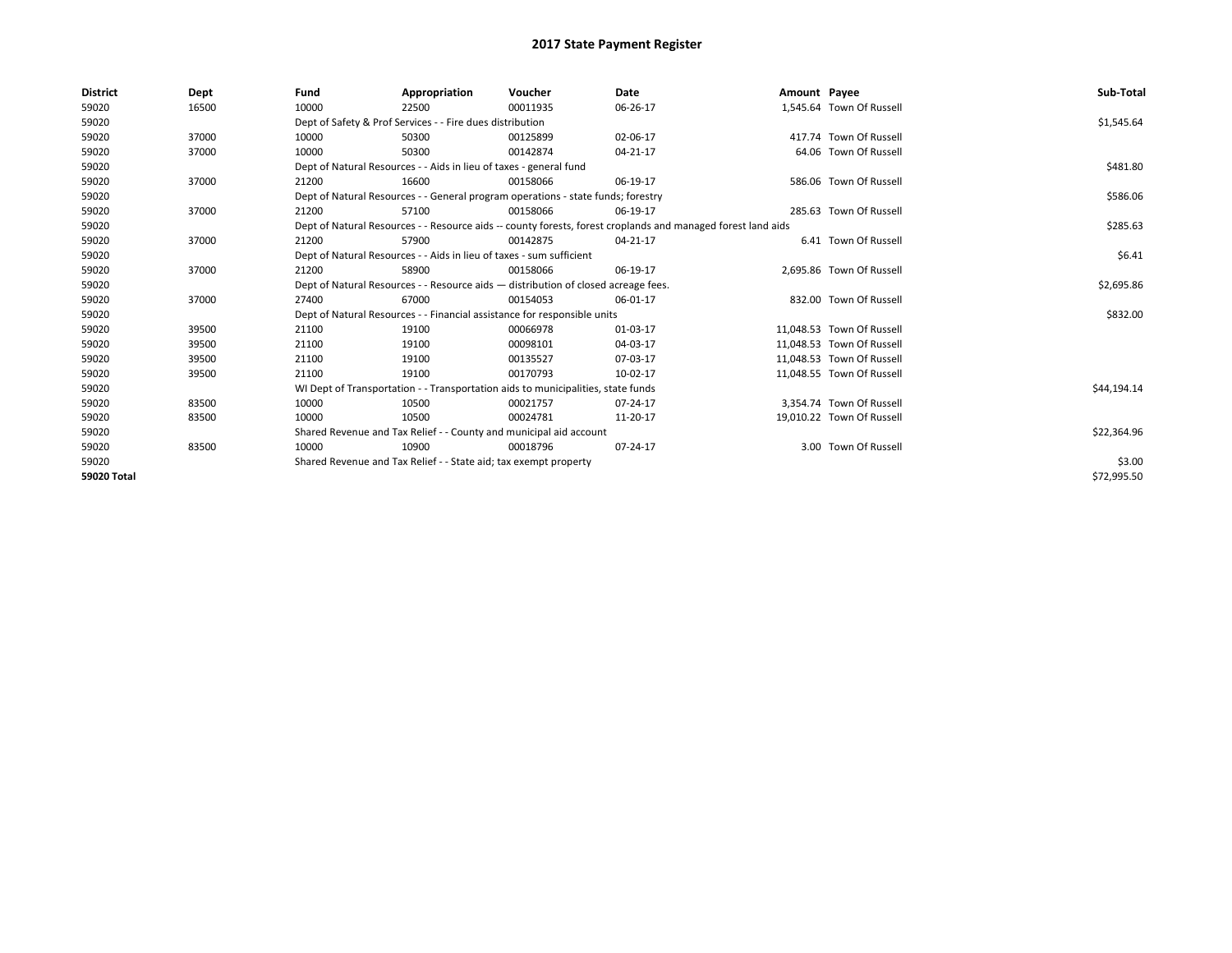| <b>District</b>    | Dept  | Fund  | Appropriation                                                                      | Voucher  | Date                                                                                                         | Amount Payee |                           | Sub-Total   |
|--------------------|-------|-------|------------------------------------------------------------------------------------|----------|--------------------------------------------------------------------------------------------------------------|--------------|---------------------------|-------------|
| 59020              | 16500 | 10000 | 22500                                                                              | 00011935 | 06-26-17                                                                                                     |              | 1,545.64 Town Of Russell  |             |
| 59020              |       |       | Dept of Safety & Prof Services - - Fire dues distribution                          |          |                                                                                                              |              |                           | \$1,545.64  |
| 59020              | 37000 | 10000 | 50300                                                                              | 00125899 | 02-06-17                                                                                                     |              | 417.74 Town Of Russell    |             |
| 59020              | 37000 | 10000 | 50300                                                                              | 00142874 | 04-21-17                                                                                                     |              | 64.06 Town Of Russell     |             |
| 59020              |       |       | Dept of Natural Resources - - Aids in lieu of taxes - general fund                 |          |                                                                                                              |              |                           | \$481.80    |
| 59020              | 37000 | 21200 | 16600                                                                              | 00158066 | 06-19-17                                                                                                     |              | 586.06 Town Of Russell    |             |
| 59020              |       |       | Dept of Natural Resources - - General program operations - state funds; forestry   |          |                                                                                                              |              |                           | \$586.06    |
| 59020              | 37000 | 21200 | 57100                                                                              | 00158066 | 06-19-17                                                                                                     |              | 285.63 Town Of Russell    |             |
| 59020              |       |       |                                                                                    |          | Dept of Natural Resources - - Resource aids -- county forests, forest croplands and managed forest land aids |              |                           | \$285.63    |
| 59020              | 37000 | 21200 | 57900                                                                              | 00142875 | 04-21-17                                                                                                     |              | 6.41 Town Of Russell      |             |
| 59020              |       |       | Dept of Natural Resources - - Aids in lieu of taxes - sum sufficient               |          |                                                                                                              |              |                           | \$6.41      |
| 59020              | 37000 | 21200 | 58900                                                                              | 00158066 | 06-19-17                                                                                                     |              | 2,695.86 Town Of Russell  |             |
| 59020              |       |       | Dept of Natural Resources - - Resource aids - distribution of closed acreage fees. |          |                                                                                                              |              |                           | \$2,695.86  |
| 59020              | 37000 | 27400 | 67000                                                                              | 00154053 | 06-01-17                                                                                                     |              | 832.00 Town Of Russell    |             |
| 59020              |       |       | Dept of Natural Resources - - Financial assistance for responsible units           |          |                                                                                                              |              |                           | \$832.00    |
| 59020              | 39500 | 21100 | 19100                                                                              | 00066978 | 01-03-17                                                                                                     |              | 11,048.53 Town Of Russell |             |
| 59020              | 39500 | 21100 | 19100                                                                              | 00098101 | 04-03-17                                                                                                     |              | 11,048.53 Town Of Russell |             |
| 59020              | 39500 | 21100 | 19100                                                                              | 00135527 | 07-03-17                                                                                                     |              | 11,048.53 Town Of Russell |             |
| 59020              | 39500 | 21100 | 19100                                                                              | 00170793 | 10-02-17                                                                                                     |              | 11,048.55 Town Of Russell |             |
| 59020              |       |       | WI Dept of Transportation - - Transportation aids to municipalities, state funds   |          |                                                                                                              |              |                           | \$44,194.14 |
| 59020              | 83500 | 10000 | 10500                                                                              | 00021757 | 07-24-17                                                                                                     |              | 3,354.74 Town Of Russell  |             |
| 59020              | 83500 | 10000 | 10500                                                                              | 00024781 | 11-20-17                                                                                                     |              | 19,010.22 Town Of Russell |             |
| 59020              |       |       | Shared Revenue and Tax Relief - - County and municipal aid account                 |          |                                                                                                              |              |                           | \$22,364.96 |
| 59020              | 83500 | 10000 | 10900                                                                              | 00018796 | 07-24-17                                                                                                     |              | 3.00 Town Of Russell      |             |
| 59020              |       |       | Shared Revenue and Tax Relief - - State aid; tax exempt property                   |          |                                                                                                              |              |                           | \$3.00      |
| <b>59020 Total</b> |       |       |                                                                                    |          |                                                                                                              |              |                           | \$72,995.50 |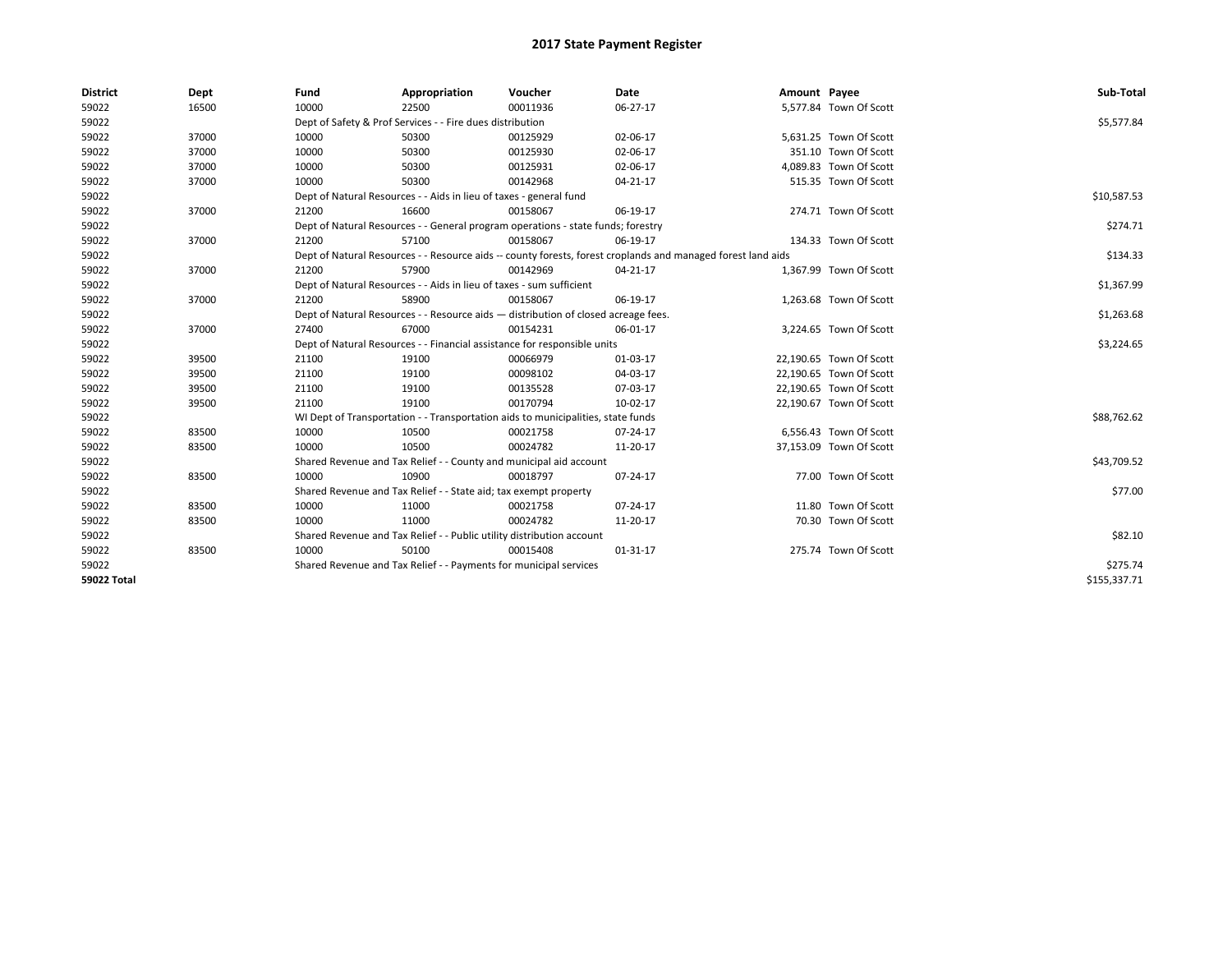| <b>District</b>    | Dept  | Fund  | Appropriation                                                                      | Voucher  | Date                                                                                                         | Amount Payee |                         | Sub-Total    |
|--------------------|-------|-------|------------------------------------------------------------------------------------|----------|--------------------------------------------------------------------------------------------------------------|--------------|-------------------------|--------------|
| 59022              | 16500 | 10000 | 22500                                                                              | 00011936 | 06-27-17                                                                                                     |              | 5,577.84 Town Of Scott  |              |
| 59022              |       |       | Dept of Safety & Prof Services - - Fire dues distribution                          |          |                                                                                                              |              |                         | \$5,577.84   |
| 59022              | 37000 | 10000 | 50300                                                                              | 00125929 | 02-06-17                                                                                                     |              | 5,631.25 Town Of Scott  |              |
| 59022              | 37000 | 10000 | 50300                                                                              | 00125930 | 02-06-17                                                                                                     |              | 351.10 Town Of Scott    |              |
| 59022              | 37000 | 10000 | 50300                                                                              | 00125931 | 02-06-17                                                                                                     |              | 4,089.83 Town Of Scott  |              |
| 59022              | 37000 | 10000 | 50300                                                                              | 00142968 | 04-21-17                                                                                                     |              | 515.35 Town Of Scott    |              |
| 59022              |       |       | Dept of Natural Resources - - Aids in lieu of taxes - general fund                 |          |                                                                                                              |              |                         | \$10,587.53  |
| 59022              | 37000 | 21200 | 16600                                                                              | 00158067 | 06-19-17                                                                                                     |              | 274.71 Town Of Scott    |              |
| 59022              |       |       | Dept of Natural Resources - - General program operations - state funds; forestry   |          |                                                                                                              |              |                         | \$274.71     |
| 59022              | 37000 | 21200 | 57100                                                                              | 00158067 | 06-19-17                                                                                                     |              | 134.33 Town Of Scott    |              |
| 59022              |       |       |                                                                                    |          | Dept of Natural Resources - - Resource aids -- county forests, forest croplands and managed forest land aids |              |                         | \$134.33     |
| 59022              | 37000 | 21200 | 57900                                                                              | 00142969 | $04 - 21 - 17$                                                                                               |              | 1,367.99 Town Of Scott  |              |
| 59022              |       |       | Dept of Natural Resources - - Aids in lieu of taxes - sum sufficient               |          |                                                                                                              |              |                         | \$1,367.99   |
| 59022              | 37000 | 21200 | 58900                                                                              | 00158067 | 06-19-17                                                                                                     |              | 1,263.68 Town Of Scott  |              |
| 59022              |       |       | Dept of Natural Resources - - Resource aids - distribution of closed acreage fees. |          |                                                                                                              |              |                         | \$1,263.68   |
| 59022              | 37000 | 27400 | 67000                                                                              | 00154231 | 06-01-17                                                                                                     |              | 3,224.65 Town Of Scott  |              |
| 59022              |       |       | Dept of Natural Resources - - Financial assistance for responsible units           |          |                                                                                                              |              |                         | \$3,224.65   |
| 59022              | 39500 | 21100 | 19100                                                                              | 00066979 | 01-03-17                                                                                                     |              | 22,190.65 Town Of Scott |              |
| 59022              | 39500 | 21100 | 19100                                                                              | 00098102 | 04-03-17                                                                                                     |              | 22,190.65 Town Of Scott |              |
| 59022              | 39500 | 21100 | 19100                                                                              | 00135528 | 07-03-17                                                                                                     |              | 22,190.65 Town Of Scott |              |
| 59022              | 39500 | 21100 | 19100                                                                              | 00170794 | 10-02-17                                                                                                     |              | 22,190.67 Town Of Scott |              |
| 59022              |       |       | WI Dept of Transportation - - Transportation aids to municipalities, state funds   |          |                                                                                                              |              |                         | \$88,762.62  |
| 59022              | 83500 | 10000 | 10500                                                                              | 00021758 | 07-24-17                                                                                                     |              | 6,556.43 Town Of Scott  |              |
| 59022              | 83500 | 10000 | 10500                                                                              | 00024782 | 11-20-17                                                                                                     |              | 37,153.09 Town Of Scott |              |
| 59022              |       |       | Shared Revenue and Tax Relief - - County and municipal aid account                 |          |                                                                                                              |              |                         | \$43,709.52  |
| 59022              | 83500 | 10000 | 10900                                                                              | 00018797 | 07-24-17                                                                                                     |              | 77.00 Town Of Scott     |              |
| 59022              |       |       | Shared Revenue and Tax Relief - - State aid; tax exempt property                   |          |                                                                                                              |              |                         | \$77.00      |
| 59022              | 83500 | 10000 | 11000                                                                              | 00021758 | 07-24-17                                                                                                     |              | 11.80 Town Of Scott     |              |
| 59022              | 83500 | 10000 | 11000                                                                              | 00024782 | 11-20-17                                                                                                     |              | 70.30 Town Of Scott     |              |
| 59022              |       |       | Shared Revenue and Tax Relief - - Public utility distribution account              |          |                                                                                                              |              |                         | \$82.10      |
| 59022              | 83500 | 10000 | 50100                                                                              | 00015408 | $01 - 31 - 17$                                                                                               |              | 275.74 Town Of Scott    |              |
| 59022              |       |       | Shared Revenue and Tax Relief - - Payments for municipal services                  |          |                                                                                                              |              |                         | \$275.74     |
| <b>59022 Total</b> |       |       |                                                                                    |          |                                                                                                              |              |                         | \$155,337.71 |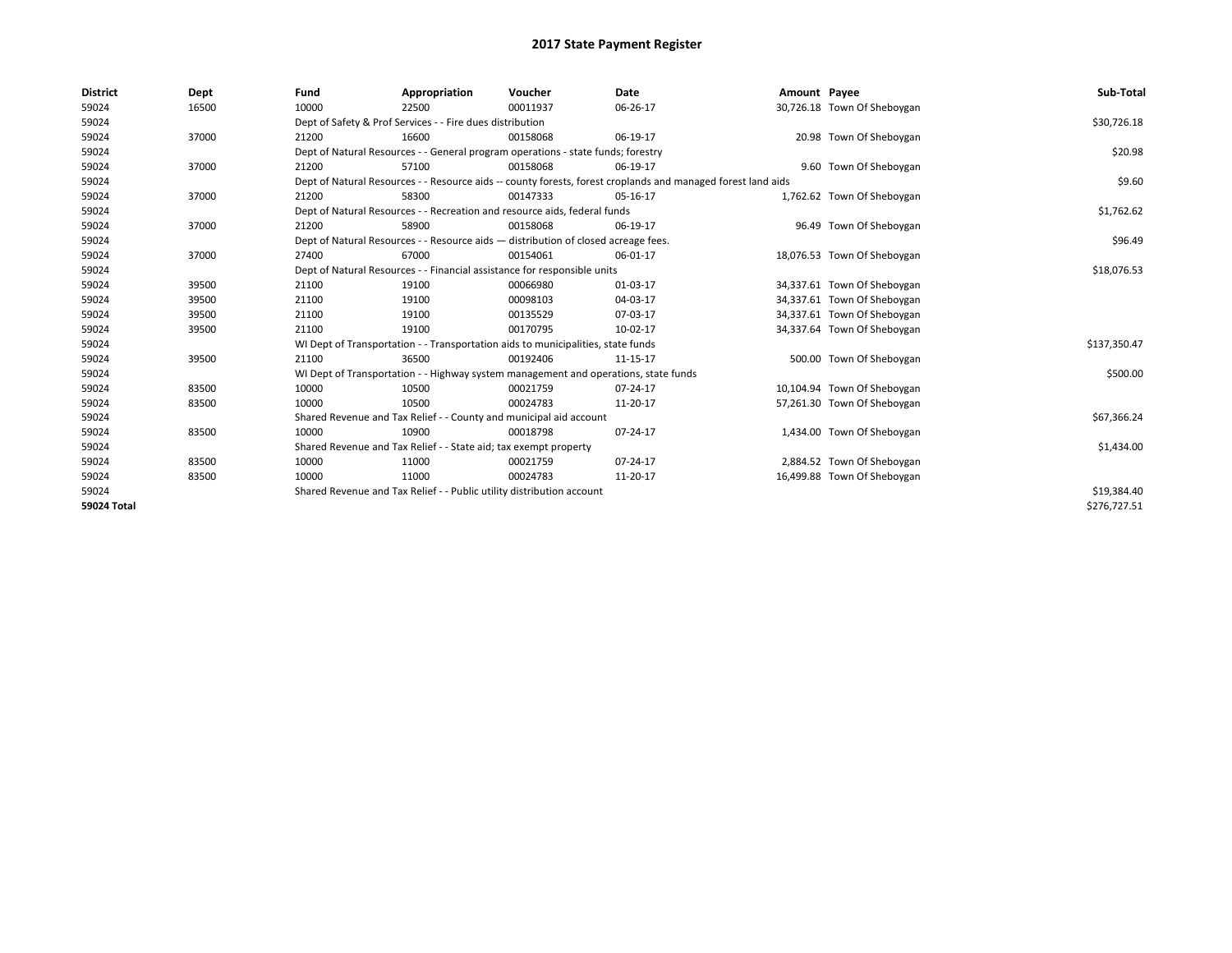| <b>District</b>    | Dept  | Fund  | Appropriation                                                                                                | Voucher  | Date     | Amount Payee |                             | Sub-Total    |
|--------------------|-------|-------|--------------------------------------------------------------------------------------------------------------|----------|----------|--------------|-----------------------------|--------------|
| 59024              | 16500 | 10000 | 22500                                                                                                        | 00011937 | 06-26-17 |              | 30,726.18 Town Of Sheboygan |              |
| 59024              |       |       | Dept of Safety & Prof Services - - Fire dues distribution                                                    |          |          |              |                             | \$30,726.18  |
| 59024              | 37000 | 21200 | 16600                                                                                                        | 00158068 | 06-19-17 |              | 20.98 Town Of Sheboygan     |              |
| 59024              |       |       | Dept of Natural Resources - - General program operations - state funds; forestry                             |          |          |              |                             | \$20.98      |
| 59024              | 37000 | 21200 | 57100                                                                                                        | 00158068 | 06-19-17 |              | 9.60 Town Of Sheboygan      |              |
| 59024              |       |       | Dept of Natural Resources - - Resource aids -- county forests, forest croplands and managed forest land aids |          |          |              |                             | \$9.60       |
| 59024              | 37000 | 21200 | 58300                                                                                                        | 00147333 | 05-16-17 |              | 1,762.62 Town Of Sheboygan  |              |
| 59024              |       |       | Dept of Natural Resources - - Recreation and resource aids, federal funds                                    |          |          |              |                             | \$1,762.62   |
| 59024              | 37000 | 21200 | 58900                                                                                                        | 00158068 | 06-19-17 |              | 96.49 Town Of Sheboygan     |              |
| 59024              |       |       | Dept of Natural Resources - - Resource aids - distribution of closed acreage fees.                           |          |          |              |                             | \$96.49      |
| 59024              | 37000 | 27400 | 67000                                                                                                        | 00154061 | 06-01-17 |              | 18,076.53 Town Of Sheboygan |              |
| 59024              |       |       | Dept of Natural Resources - - Financial assistance for responsible units                                     |          |          |              |                             | \$18,076.53  |
| 59024              | 39500 | 21100 | 19100                                                                                                        | 00066980 | 01-03-17 |              | 34,337.61 Town Of Sheboygan |              |
| 59024              | 39500 | 21100 | 19100                                                                                                        | 00098103 | 04-03-17 |              | 34,337.61 Town Of Sheboygan |              |
| 59024              | 39500 | 21100 | 19100                                                                                                        | 00135529 | 07-03-17 |              | 34,337.61 Town Of Sheboygan |              |
| 59024              | 39500 | 21100 | 19100                                                                                                        | 00170795 | 10-02-17 |              | 34,337.64 Town Of Sheboygan |              |
| 59024              |       |       | WI Dept of Transportation - - Transportation aids to municipalities, state funds                             |          |          |              |                             | \$137,350.47 |
| 59024              | 39500 | 21100 | 36500                                                                                                        | 00192406 | 11-15-17 |              | 500.00 Town Of Sheboygan    |              |
| 59024              |       |       | WI Dept of Transportation - - Highway system management and operations, state funds                          |          |          |              |                             | \$500.00     |
| 59024              | 83500 | 10000 | 10500                                                                                                        | 00021759 | 07-24-17 |              | 10,104.94 Town Of Sheboygan |              |
| 59024              | 83500 | 10000 | 10500                                                                                                        | 00024783 | 11-20-17 |              | 57,261.30 Town Of Sheboygan |              |
| 59024              |       |       | Shared Revenue and Tax Relief - - County and municipal aid account                                           |          |          |              |                             | \$67,366.24  |
| 59024              | 83500 | 10000 | 10900                                                                                                        | 00018798 | 07-24-17 |              | 1,434.00 Town Of Sheboygan  |              |
| 59024              |       |       | Shared Revenue and Tax Relief - - State aid; tax exempt property                                             |          |          |              |                             | \$1,434.00   |
| 59024              | 83500 | 10000 | 11000                                                                                                        | 00021759 | 07-24-17 |              | 2,884.52 Town Of Sheboygan  |              |
| 59024              | 83500 | 10000 | 11000                                                                                                        | 00024783 | 11-20-17 |              | 16,499.88 Town Of Sheboygan |              |
| 59024              |       |       | Shared Revenue and Tax Relief - - Public utility distribution account                                        |          |          |              |                             | \$19,384.40  |
| <b>59024 Total</b> |       |       |                                                                                                              |          |          |              |                             | \$276,727.51 |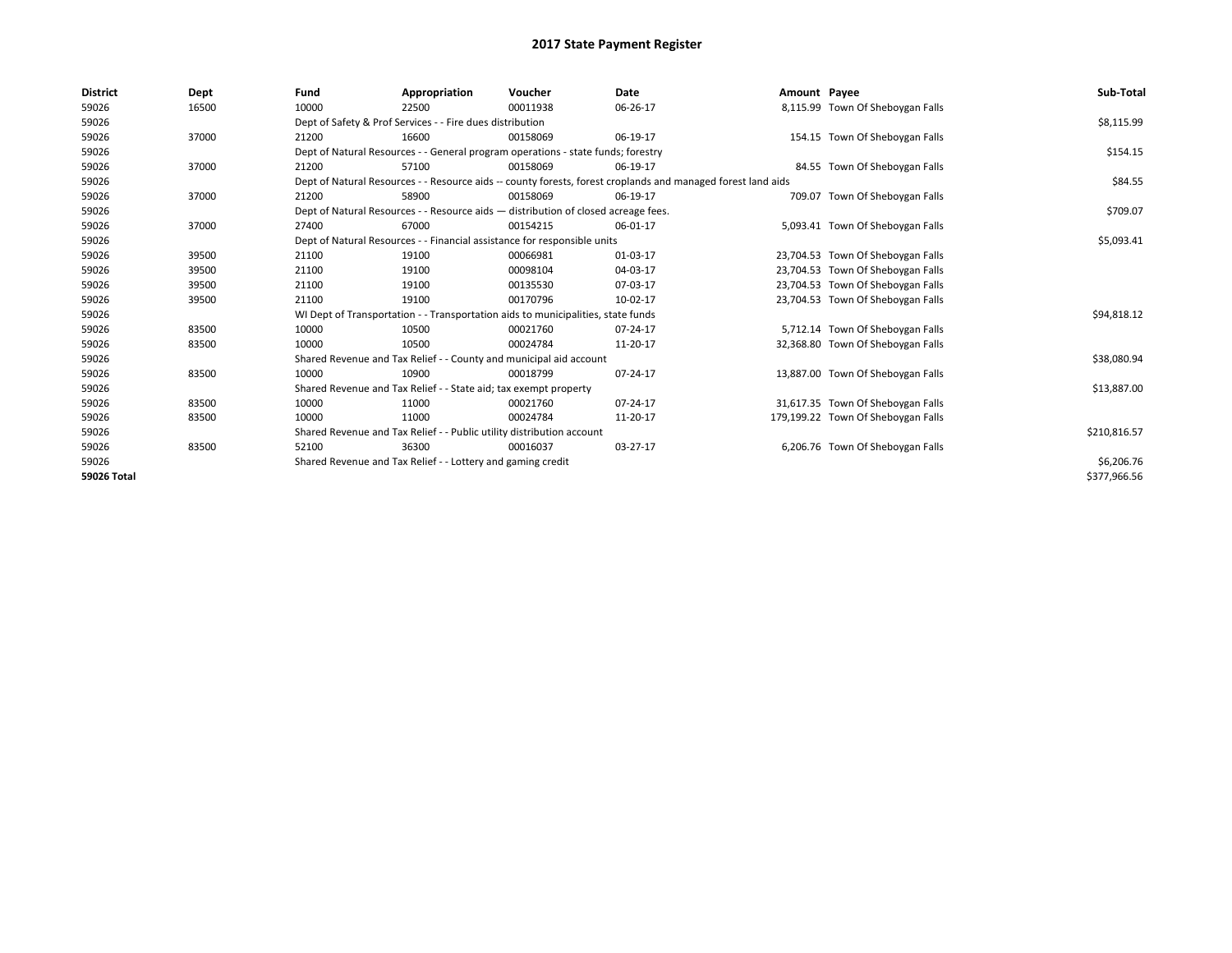| <b>District</b>    | Dept  | Fund  | Appropriation                                                                      | Voucher  | Date                                                                                                         | Amount Payee |                                    | Sub-Total    |
|--------------------|-------|-------|------------------------------------------------------------------------------------|----------|--------------------------------------------------------------------------------------------------------------|--------------|------------------------------------|--------------|
| 59026              | 16500 | 10000 | 22500                                                                              | 00011938 | 06-26-17                                                                                                     |              | 8,115.99 Town Of Sheboygan Falls   |              |
| 59026              |       |       | Dept of Safety & Prof Services - - Fire dues distribution                          |          |                                                                                                              |              |                                    | \$8,115.99   |
| 59026              | 37000 | 21200 | 16600                                                                              | 00158069 | 06-19-17                                                                                                     |              | 154.15 Town Of Sheboygan Falls     |              |
| 59026              |       |       | Dept of Natural Resources - - General program operations - state funds; forestry   |          |                                                                                                              |              |                                    | \$154.15     |
| 59026              | 37000 | 21200 | 57100                                                                              | 00158069 | 06-19-17                                                                                                     |              | 84.55 Town Of Sheboygan Falls      |              |
| 59026              |       |       |                                                                                    |          | Dept of Natural Resources - - Resource aids -- county forests, forest croplands and managed forest land aids |              |                                    | \$84.55      |
| 59026              | 37000 | 21200 | 58900                                                                              | 00158069 | 06-19-17                                                                                                     |              | 709.07 Town Of Sheboygan Falls     |              |
| 59026              |       |       | Dept of Natural Resources - - Resource aids - distribution of closed acreage fees. |          |                                                                                                              |              |                                    | \$709.07     |
| 59026              | 37000 | 27400 | 67000                                                                              | 00154215 | 06-01-17                                                                                                     |              | 5,093.41 Town Of Sheboygan Falls   |              |
| 59026              |       |       | Dept of Natural Resources - - Financial assistance for responsible units           |          |                                                                                                              |              |                                    | \$5,093.41   |
| 59026              | 39500 | 21100 | 19100                                                                              | 00066981 | 01-03-17                                                                                                     |              | 23,704.53 Town Of Sheboygan Falls  |              |
| 59026              | 39500 | 21100 | 19100                                                                              | 00098104 | 04-03-17                                                                                                     |              | 23,704.53 Town Of Sheboygan Falls  |              |
| 59026              | 39500 | 21100 | 19100                                                                              | 00135530 | 07-03-17                                                                                                     |              | 23,704.53 Town Of Sheboygan Falls  |              |
| 59026              | 39500 | 21100 | 19100                                                                              | 00170796 | 10-02-17                                                                                                     |              | 23,704.53 Town Of Sheboygan Falls  |              |
| 59026              |       |       | WI Dept of Transportation - - Transportation aids to municipalities, state funds   |          |                                                                                                              |              |                                    | \$94,818.12  |
| 59026              | 83500 | 10000 | 10500                                                                              | 00021760 | 07-24-17                                                                                                     |              | 5,712.14 Town Of Sheboygan Falls   |              |
| 59026              | 83500 | 10000 | 10500                                                                              | 00024784 | 11-20-17                                                                                                     |              | 32,368.80 Town Of Sheboygan Falls  |              |
| 59026              |       |       | Shared Revenue and Tax Relief - - County and municipal aid account                 |          |                                                                                                              |              |                                    | \$38,080.94  |
| 59026              | 83500 | 10000 | 10900                                                                              | 00018799 | 07-24-17                                                                                                     |              | 13,887.00 Town Of Sheboygan Falls  |              |
| 59026              |       |       | Shared Revenue and Tax Relief - - State aid; tax exempt property                   |          |                                                                                                              |              |                                    | \$13,887.00  |
| 59026              | 83500 | 10000 | 11000                                                                              | 00021760 | 07-24-17                                                                                                     |              | 31,617.35 Town Of Sheboygan Falls  |              |
| 59026              | 83500 | 10000 | 11000                                                                              | 00024784 | 11-20-17                                                                                                     |              | 179,199.22 Town Of Sheboygan Falls |              |
| 59026              |       |       | Shared Revenue and Tax Relief - - Public utility distribution account              |          |                                                                                                              |              |                                    | \$210,816.57 |
| 59026              | 83500 | 52100 | 36300                                                                              | 00016037 | 03-27-17                                                                                                     |              | 6,206.76 Town Of Sheboygan Falls   |              |
| 59026              |       |       | Shared Revenue and Tax Relief - - Lottery and gaming credit                        |          |                                                                                                              |              |                                    | \$6,206.76   |
| <b>59026 Total</b> |       |       |                                                                                    |          |                                                                                                              |              |                                    | \$377,966.56 |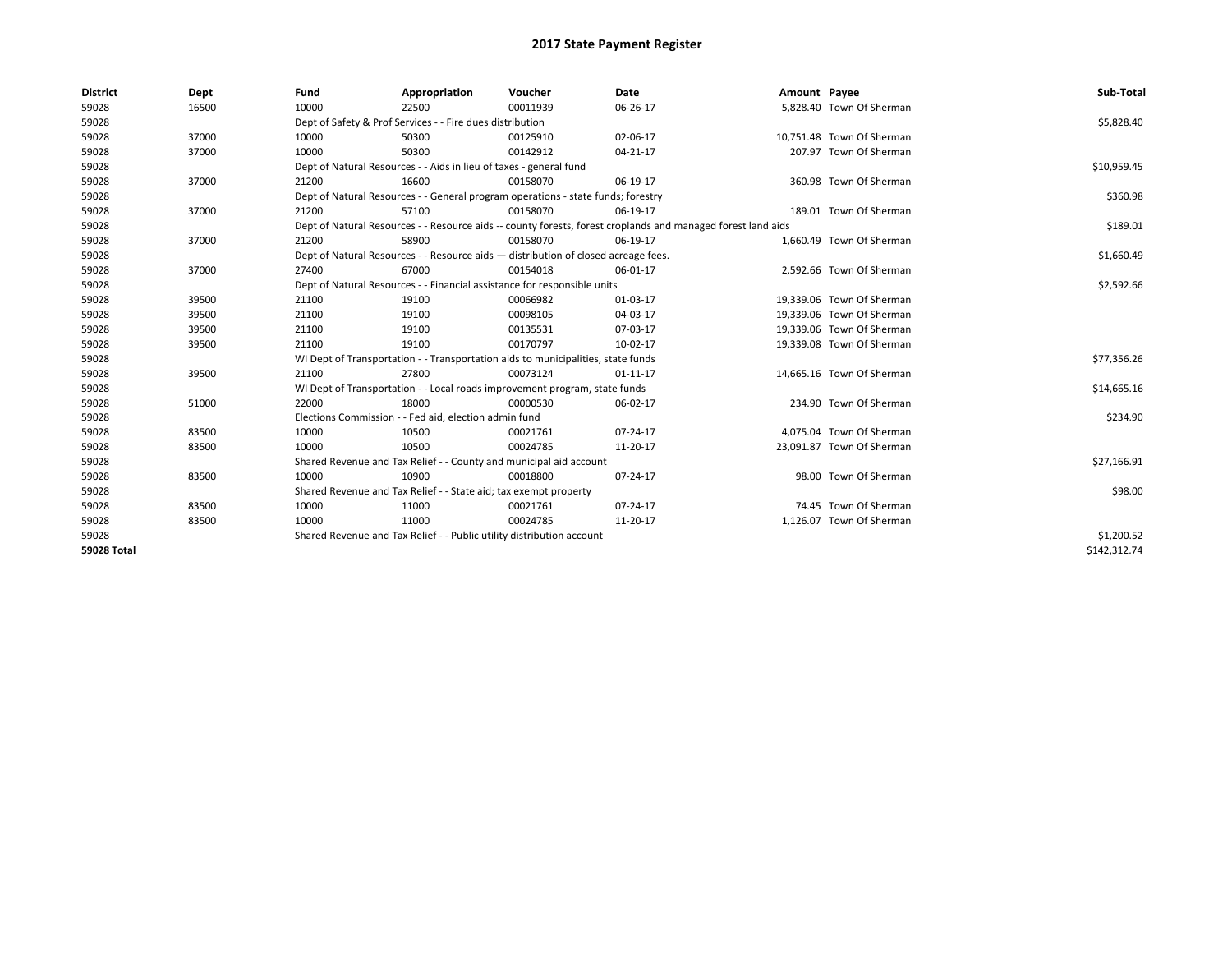| <b>District</b>    | Dept  | Fund  | Appropriation                                                                                                | Voucher  | Date           | Amount Payee |                           | Sub-Total    |
|--------------------|-------|-------|--------------------------------------------------------------------------------------------------------------|----------|----------------|--------------|---------------------------|--------------|
| 59028              | 16500 | 10000 | 22500                                                                                                        | 00011939 | 06-26-17       |              | 5,828.40 Town Of Sherman  |              |
| 59028              |       |       | Dept of Safety & Prof Services - - Fire dues distribution                                                    |          |                |              |                           | \$5,828.40   |
| 59028              | 37000 | 10000 | 50300                                                                                                        | 00125910 | 02-06-17       |              | 10,751.48 Town Of Sherman |              |
| 59028              | 37000 | 10000 | 50300                                                                                                        | 00142912 | $04 - 21 - 17$ |              | 207.97 Town Of Sherman    |              |
| 59028              |       |       | Dept of Natural Resources - - Aids in lieu of taxes - general fund                                           |          |                |              |                           | \$10,959.45  |
| 59028              | 37000 | 21200 | 16600                                                                                                        | 00158070 | 06-19-17       |              | 360.98 Town Of Sherman    |              |
| 59028              |       |       | Dept of Natural Resources - - General program operations - state funds; forestry                             |          |                |              |                           | \$360.98     |
| 59028              | 37000 | 21200 | 57100                                                                                                        | 00158070 | 06-19-17       |              | 189.01 Town Of Sherman    |              |
| 59028              |       |       | Dept of Natural Resources - - Resource aids -- county forests, forest croplands and managed forest land aids |          |                |              |                           | \$189.01     |
| 59028              | 37000 | 21200 | 58900                                                                                                        | 00158070 | 06-19-17       |              | 1,660.49 Town Of Sherman  |              |
| 59028              |       |       | Dept of Natural Resources - - Resource aids - distribution of closed acreage fees.                           |          |                |              |                           | \$1,660.49   |
| 59028              | 37000 | 27400 | 67000                                                                                                        | 00154018 | 06-01-17       |              | 2,592.66 Town Of Sherman  |              |
| 59028              |       |       | Dept of Natural Resources - - Financial assistance for responsible units                                     |          |                |              |                           | \$2,592.66   |
| 59028              | 39500 | 21100 | 19100                                                                                                        | 00066982 | 01-03-17       |              | 19,339.06 Town Of Sherman |              |
| 59028              | 39500 | 21100 | 19100                                                                                                        | 00098105 | 04-03-17       |              | 19,339.06 Town Of Sherman |              |
| 59028              | 39500 | 21100 | 19100                                                                                                        | 00135531 | 07-03-17       |              | 19.339.06 Town Of Sherman |              |
| 59028              | 39500 | 21100 | 19100                                                                                                        | 00170797 | 10-02-17       |              | 19,339.08 Town Of Sherman |              |
| 59028              |       |       | WI Dept of Transportation - - Transportation aids to municipalities, state funds                             |          |                |              |                           | \$77,356.26  |
| 59028              | 39500 | 21100 | 27800                                                                                                        | 00073124 | $01 - 11 - 17$ |              | 14,665.16 Town Of Sherman |              |
| 59028              |       |       | WI Dept of Transportation - - Local roads improvement program, state funds                                   |          |                |              |                           | \$14,665.16  |
| 59028              | 51000 | 22000 | 18000                                                                                                        | 00000530 | 06-02-17       |              | 234.90 Town Of Sherman    |              |
| 59028              |       |       | Elections Commission - - Fed aid, election admin fund                                                        |          |                |              |                           | \$234.90     |
| 59028              | 83500 | 10000 | 10500                                                                                                        | 00021761 | 07-24-17       |              | 4,075.04 Town Of Sherman  |              |
| 59028              | 83500 | 10000 | 10500                                                                                                        | 00024785 | 11-20-17       |              | 23,091.87 Town Of Sherman |              |
| 59028              |       |       | Shared Revenue and Tax Relief - - County and municipal aid account                                           |          |                |              |                           | \$27,166.91  |
| 59028              | 83500 | 10000 | 10900                                                                                                        | 00018800 | 07-24-17       |              | 98.00 Town Of Sherman     |              |
| 59028              |       |       | Shared Revenue and Tax Relief - - State aid; tax exempt property                                             |          |                |              |                           | \$98.00      |
| 59028              | 83500 | 10000 | 11000                                                                                                        | 00021761 | 07-24-17       |              | 74.45 Town Of Sherman     |              |
| 59028              | 83500 | 10000 | 11000                                                                                                        | 00024785 | 11-20-17       |              | 1,126.07 Town Of Sherman  |              |
| 59028              |       |       | Shared Revenue and Tax Relief - - Public utility distribution account                                        |          |                |              |                           | \$1,200.52   |
| <b>59028 Total</b> |       |       |                                                                                                              |          |                |              |                           | \$142,312.74 |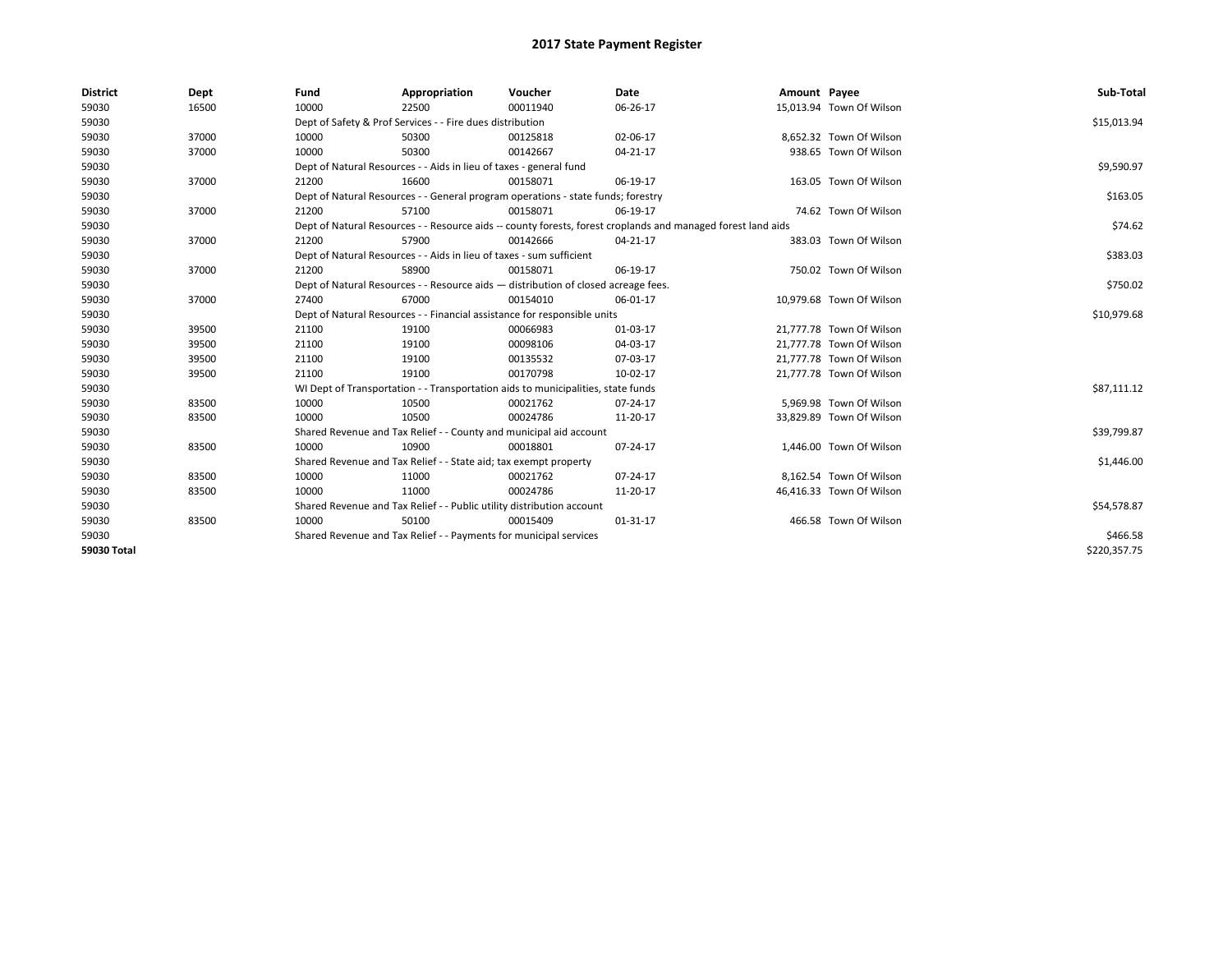| <b>District</b> | Dept  | Fund  | Appropriation                                                                                                | Voucher  | Date           | Amount Payee |                          | Sub-Total    |
|-----------------|-------|-------|--------------------------------------------------------------------------------------------------------------|----------|----------------|--------------|--------------------------|--------------|
| 59030           | 16500 | 10000 | 22500                                                                                                        | 00011940 | 06-26-17       |              | 15,013.94 Town Of Wilson |              |
| 59030           |       |       | Dept of Safety & Prof Services - - Fire dues distribution                                                    |          |                |              |                          | \$15,013.94  |
| 59030           | 37000 | 10000 | 50300                                                                                                        | 00125818 | 02-06-17       |              | 8,652.32 Town Of Wilson  |              |
| 59030           | 37000 | 10000 | 50300                                                                                                        | 00142667 | $04 - 21 - 17$ |              | 938.65 Town Of Wilson    |              |
| 59030           |       |       | Dept of Natural Resources - - Aids in lieu of taxes - general fund                                           |          |                |              |                          | \$9,590.97   |
| 59030           | 37000 | 21200 | 16600                                                                                                        | 00158071 | 06-19-17       |              | 163.05 Town Of Wilson    |              |
| 59030           |       |       | Dept of Natural Resources - - General program operations - state funds; forestry                             |          |                |              |                          | \$163.05     |
| 59030           | 37000 | 21200 | 57100                                                                                                        | 00158071 | 06-19-17       |              | 74.62 Town Of Wilson     |              |
| 59030           |       |       | Dept of Natural Resources - - Resource aids -- county forests, forest croplands and managed forest land aids |          |                |              |                          | \$74.62      |
| 59030           | 37000 | 21200 | 57900                                                                                                        | 00142666 | 04-21-17       |              | 383.03 Town Of Wilson    |              |
| 59030           |       |       | Dept of Natural Resources - - Aids in lieu of taxes - sum sufficient                                         |          |                |              |                          | \$383.03     |
| 59030           | 37000 | 21200 | 58900                                                                                                        | 00158071 | 06-19-17       |              | 750.02 Town Of Wilson    |              |
| 59030           |       |       | Dept of Natural Resources - - Resource aids - distribution of closed acreage fees.                           |          |                |              |                          | \$750.02     |
| 59030           | 37000 | 27400 | 67000                                                                                                        | 00154010 | 06-01-17       |              | 10,979.68 Town Of Wilson |              |
| 59030           |       |       | Dept of Natural Resources - - Financial assistance for responsible units                                     |          |                |              |                          | \$10,979.68  |
| 59030           | 39500 | 21100 | 19100                                                                                                        | 00066983 | 01-03-17       |              | 21,777.78 Town Of Wilson |              |
| 59030           | 39500 | 21100 | 19100                                                                                                        | 00098106 | 04-03-17       |              | 21,777.78 Town Of Wilson |              |
| 59030           | 39500 | 21100 | 19100                                                                                                        | 00135532 | 07-03-17       |              | 21,777.78 Town Of Wilson |              |
| 59030           | 39500 | 21100 | 19100                                                                                                        | 00170798 | 10-02-17       |              | 21,777.78 Town Of Wilson |              |
| 59030           |       |       | WI Dept of Transportation - - Transportation aids to municipalities, state funds                             |          |                |              |                          | \$87,111.12  |
| 59030           | 83500 | 10000 | 10500                                                                                                        | 00021762 | 07-24-17       |              | 5,969.98 Town Of Wilson  |              |
| 59030           | 83500 | 10000 | 10500                                                                                                        | 00024786 | 11-20-17       |              | 33,829.89 Town Of Wilson |              |
| 59030           |       |       | Shared Revenue and Tax Relief - - County and municipal aid account                                           |          |                |              |                          | \$39,799.87  |
| 59030           | 83500 | 10000 | 10900                                                                                                        | 00018801 | 07-24-17       |              | 1,446.00 Town Of Wilson  |              |
| 59030           |       |       | Shared Revenue and Tax Relief - - State aid; tax exempt property                                             |          |                |              |                          | \$1,446.00   |
| 59030           | 83500 | 10000 | 11000                                                                                                        | 00021762 | $07 - 24 - 17$ |              | 8,162.54 Town Of Wilson  |              |
| 59030           | 83500 | 10000 | 11000                                                                                                        | 00024786 | 11-20-17       |              | 46,416.33 Town Of Wilson |              |
| 59030           |       |       | Shared Revenue and Tax Relief - - Public utility distribution account                                        |          |                |              |                          | \$54,578.87  |
| 59030           | 83500 | 10000 | 50100                                                                                                        | 00015409 | $01 - 31 - 17$ |              | 466.58 Town Of Wilson    |              |
| 59030           |       |       | Shared Revenue and Tax Relief - - Payments for municipal services                                            |          |                |              |                          | \$466.58     |
| 59030 Total     |       |       |                                                                                                              |          |                |              |                          | \$220,357.75 |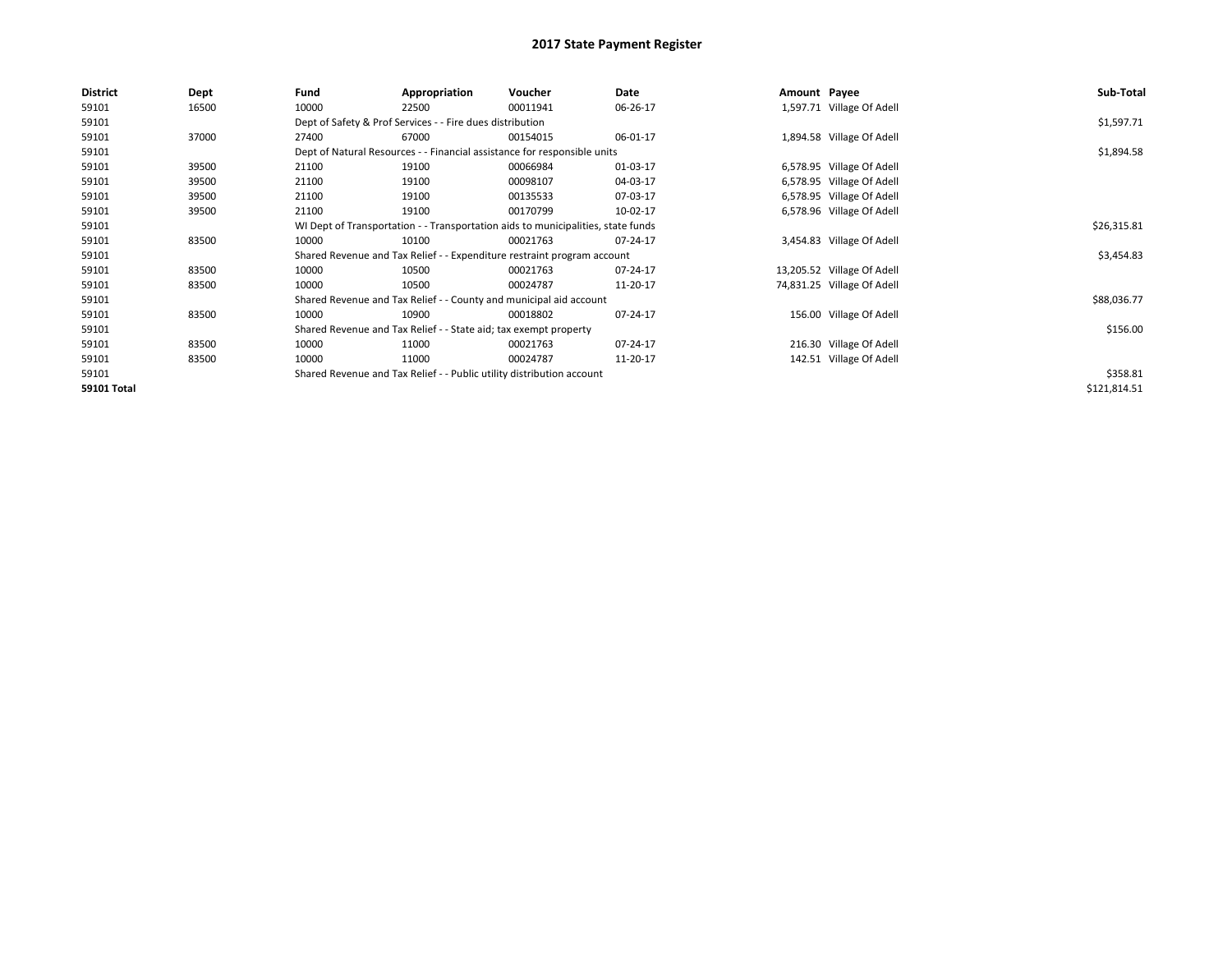| <b>District</b> | Dept  | Fund  | Appropriation                                                                    | Voucher  | Date     | Amount Payee |                            | Sub-Total    |
|-----------------|-------|-------|----------------------------------------------------------------------------------|----------|----------|--------------|----------------------------|--------------|
| 59101           | 16500 | 10000 | 22500                                                                            | 00011941 | 06-26-17 |              | 1,597.71 Village Of Adell  |              |
| 59101           |       |       | Dept of Safety & Prof Services - - Fire dues distribution                        |          |          |              |                            | \$1,597.71   |
| 59101           | 37000 | 27400 | 67000                                                                            | 00154015 | 06-01-17 |              | 1,894.58 Village Of Adell  |              |
| 59101           |       |       | Dept of Natural Resources - - Financial assistance for responsible units         |          |          |              |                            | \$1,894.58   |
| 59101           | 39500 | 21100 | 19100                                                                            | 00066984 | 01-03-17 |              | 6,578.95 Village Of Adell  |              |
| 59101           | 39500 | 21100 | 19100                                                                            | 00098107 | 04-03-17 |              | 6,578.95 Village Of Adell  |              |
| 59101           | 39500 | 21100 | 19100                                                                            | 00135533 | 07-03-17 |              | 6,578.95 Village Of Adell  |              |
| 59101           | 39500 | 21100 | 19100                                                                            | 00170799 | 10-02-17 |              | 6,578.96 Village Of Adell  |              |
| 59101           |       |       | WI Dept of Transportation - - Transportation aids to municipalities, state funds |          |          |              |                            | \$26,315.81  |
| 59101           | 83500 | 10000 | 10100                                                                            | 00021763 | 07-24-17 |              | 3,454.83 Village Of Adell  |              |
| 59101           |       |       | Shared Revenue and Tax Relief - - Expenditure restraint program account          |          |          |              |                            | \$3,454.83   |
| 59101           | 83500 | 10000 | 10500                                                                            | 00021763 | 07-24-17 |              | 13,205.52 Village Of Adell |              |
| 59101           | 83500 | 10000 | 10500                                                                            | 00024787 | 11-20-17 |              | 74,831.25 Village Of Adell |              |
| 59101           |       |       | Shared Revenue and Tax Relief - - County and municipal aid account               |          |          |              |                            | \$88,036.77  |
| 59101           | 83500 | 10000 | 10900                                                                            | 00018802 | 07-24-17 |              | 156.00 Village Of Adell    |              |
| 59101           |       |       | Shared Revenue and Tax Relief - - State aid; tax exempt property                 |          |          |              |                            | \$156.00     |
| 59101           | 83500 | 10000 | 11000                                                                            | 00021763 | 07-24-17 |              | 216.30 Village Of Adell    |              |
| 59101           | 83500 | 10000 | 11000                                                                            | 00024787 | 11-20-17 |              | 142.51 Village Of Adell    |              |
| 59101           |       |       | Shared Revenue and Tax Relief - - Public utility distribution account            |          |          |              |                            | \$358.81     |
| 59101 Total     |       |       |                                                                                  |          |          |              |                            | \$121,814.51 |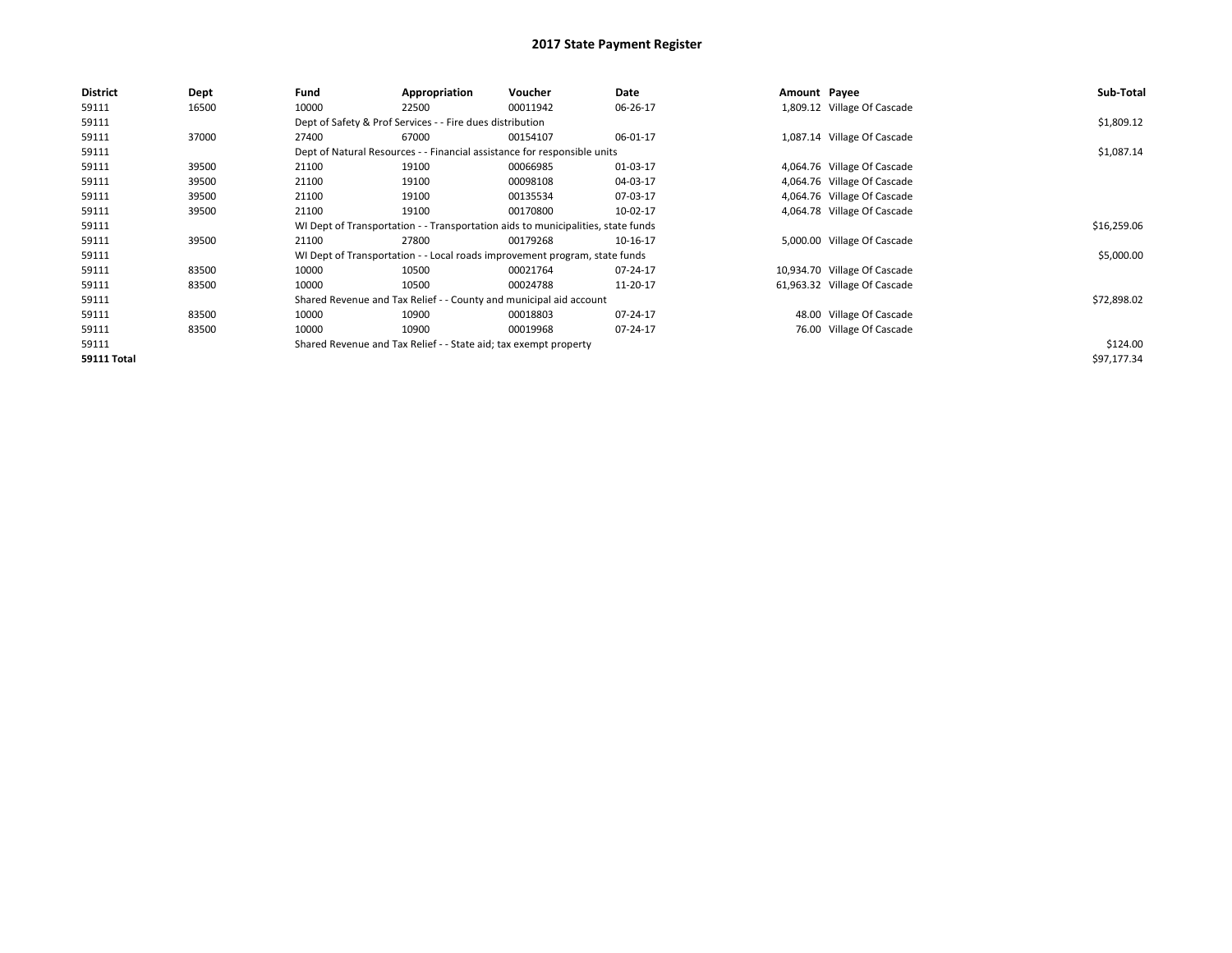| <b>District</b>    | Dept  | Fund  | Appropriation                                                    | Voucher                                                                          | Date     | Amount Payee |                              | Sub-Total   |
|--------------------|-------|-------|------------------------------------------------------------------|----------------------------------------------------------------------------------|----------|--------------|------------------------------|-------------|
| 59111              | 16500 | 10000 | 22500                                                            | 00011942                                                                         | 06-26-17 |              | 1,809.12 Village Of Cascade  |             |
| 59111              |       |       | Dept of Safety & Prof Services - - Fire dues distribution        |                                                                                  |          |              |                              | \$1,809.12  |
| 59111              | 37000 | 27400 | 67000                                                            | 00154107                                                                         | 06-01-17 |              | 1,087.14 Village Of Cascade  |             |
| 59111              |       |       |                                                                  | Dept of Natural Resources - - Financial assistance for responsible units         |          |              |                              | \$1,087.14  |
| 59111              | 39500 | 21100 | 19100                                                            | 00066985                                                                         | 01-03-17 |              | 4,064.76 Village Of Cascade  |             |
| 59111              | 39500 | 21100 | 19100                                                            | 00098108                                                                         | 04-03-17 |              | 4,064.76 Village Of Cascade  |             |
| 59111              | 39500 | 21100 | 19100                                                            | 00135534                                                                         | 07-03-17 |              | 4,064.76 Village Of Cascade  |             |
| 59111              | 39500 | 21100 | 19100                                                            | 00170800                                                                         | 10-02-17 |              | 4,064.78 Village Of Cascade  |             |
| 59111              |       |       |                                                                  | WI Dept of Transportation - - Transportation aids to municipalities, state funds |          |              |                              | \$16,259.06 |
| 59111              | 39500 | 21100 | 27800                                                            | 00179268                                                                         | 10-16-17 |              | 5,000.00 Village Of Cascade  |             |
| 59111              |       |       |                                                                  | WI Dept of Transportation - - Local roads improvement program, state funds       |          |              |                              | \$5,000.00  |
| 59111              | 83500 | 10000 | 10500                                                            | 00021764                                                                         | 07-24-17 |              | 10,934.70 Village Of Cascade |             |
| 59111              | 83500 | 10000 | 10500                                                            | 00024788                                                                         | 11-20-17 |              | 61,963.32 Village Of Cascade |             |
| 59111              |       |       |                                                                  | Shared Revenue and Tax Relief - - County and municipal aid account               |          |              |                              | \$72,898.02 |
| 59111              | 83500 | 10000 | 10900                                                            | 00018803                                                                         | 07-24-17 |              | 48.00 Village Of Cascade     |             |
| 59111              | 83500 | 10000 | 10900                                                            | 00019968                                                                         | 07-24-17 |              | 76.00 Village Of Cascade     |             |
| 59111              |       |       | Shared Revenue and Tax Relief - - State aid; tax exempt property |                                                                                  |          |              |                              | \$124.00    |
| <b>59111 Total</b> |       |       |                                                                  |                                                                                  |          |              |                              | \$97,177.34 |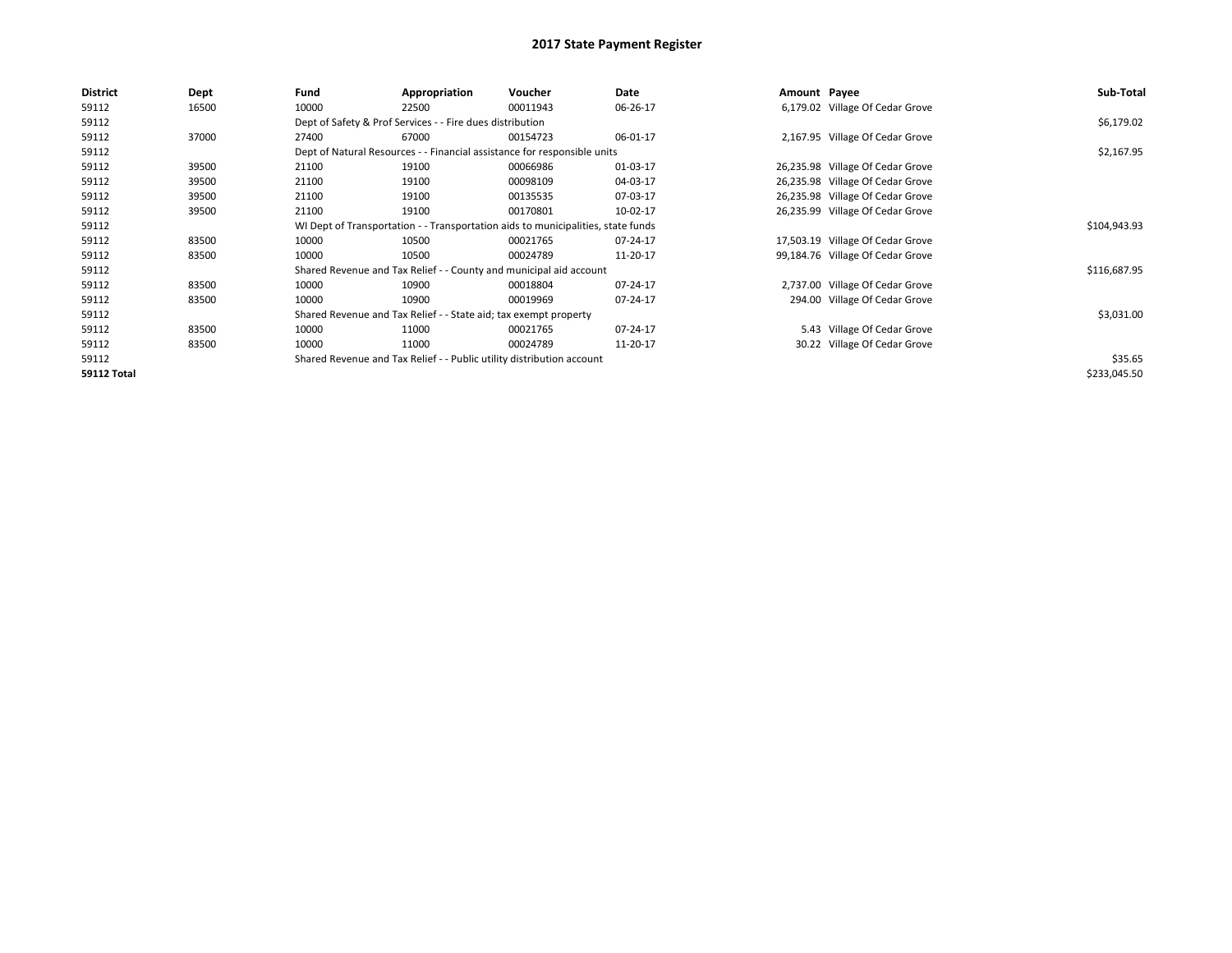| District           | Dept  | Fund  | Appropriation                                                                    | Voucher  | Date     | Amount Payee |                                  | Sub-Total    |  |  |
|--------------------|-------|-------|----------------------------------------------------------------------------------|----------|----------|--------------|----------------------------------|--------------|--|--|
| 59112              | 16500 | 10000 | 22500                                                                            | 00011943 | 06-26-17 |              | 6,179.02 Village Of Cedar Grove  |              |  |  |
| 59112              |       |       | Dept of Safety & Prof Services - - Fire dues distribution                        |          |          |              |                                  | \$6,179.02   |  |  |
| 59112              | 37000 | 27400 | 67000                                                                            | 00154723 | 06-01-17 |              | 2,167.95 Village Of Cedar Grove  |              |  |  |
| 59112              |       |       | Dept of Natural Resources - - Financial assistance for responsible units         |          |          |              |                                  | \$2,167.95   |  |  |
| 59112              | 39500 | 21100 | 19100                                                                            | 00066986 | 01-03-17 |              | 26,235.98 Village Of Cedar Grove |              |  |  |
| 59112              | 39500 | 21100 | 19100                                                                            | 00098109 | 04-03-17 |              | 26,235.98 Village Of Cedar Grove |              |  |  |
| 59112              | 39500 | 21100 | 19100                                                                            | 00135535 | 07-03-17 |              | 26,235.98 Village Of Cedar Grove |              |  |  |
| 59112              | 39500 | 21100 | 19100                                                                            | 00170801 | 10-02-17 |              | 26,235.99 Village Of Cedar Grove |              |  |  |
| 59112              |       |       | WI Dept of Transportation - - Transportation aids to municipalities, state funds |          |          |              |                                  |              |  |  |
| 59112              | 83500 | 10000 | 10500                                                                            | 00021765 | 07-24-17 |              | 17,503.19 Village Of Cedar Grove |              |  |  |
| 59112              | 83500 | 10000 | 10500                                                                            | 00024789 | 11-20-17 |              | 99,184.76 Village Of Cedar Grove |              |  |  |
| 59112              |       |       | Shared Revenue and Tax Relief - - County and municipal aid account               |          |          |              |                                  | \$116,687.95 |  |  |
| 59112              | 83500 | 10000 | 10900                                                                            | 00018804 | 07-24-17 |              | 2,737.00 Village Of Cedar Grove  |              |  |  |
| 59112              | 83500 | 10000 | 10900                                                                            | 00019969 | 07-24-17 |              | 294.00 Village Of Cedar Grove    |              |  |  |
| 59112              |       |       | Shared Revenue and Tax Relief - - State aid; tax exempt property                 |          |          |              |                                  | \$3,031.00   |  |  |
| 59112              | 83500 | 10000 | 11000                                                                            | 00021765 | 07-24-17 |              | 5.43 Village Of Cedar Grove      |              |  |  |
| 59112              | 83500 | 10000 | 11000                                                                            | 00024789 | 11-20-17 |              | 30.22 Village Of Cedar Grove     |              |  |  |
| 59112              |       |       | Shared Revenue and Tax Relief - - Public utility distribution account            |          |          |              |                                  | \$35.65      |  |  |
| <b>59112 Total</b> |       |       |                                                                                  |          |          |              |                                  | \$233,045.50 |  |  |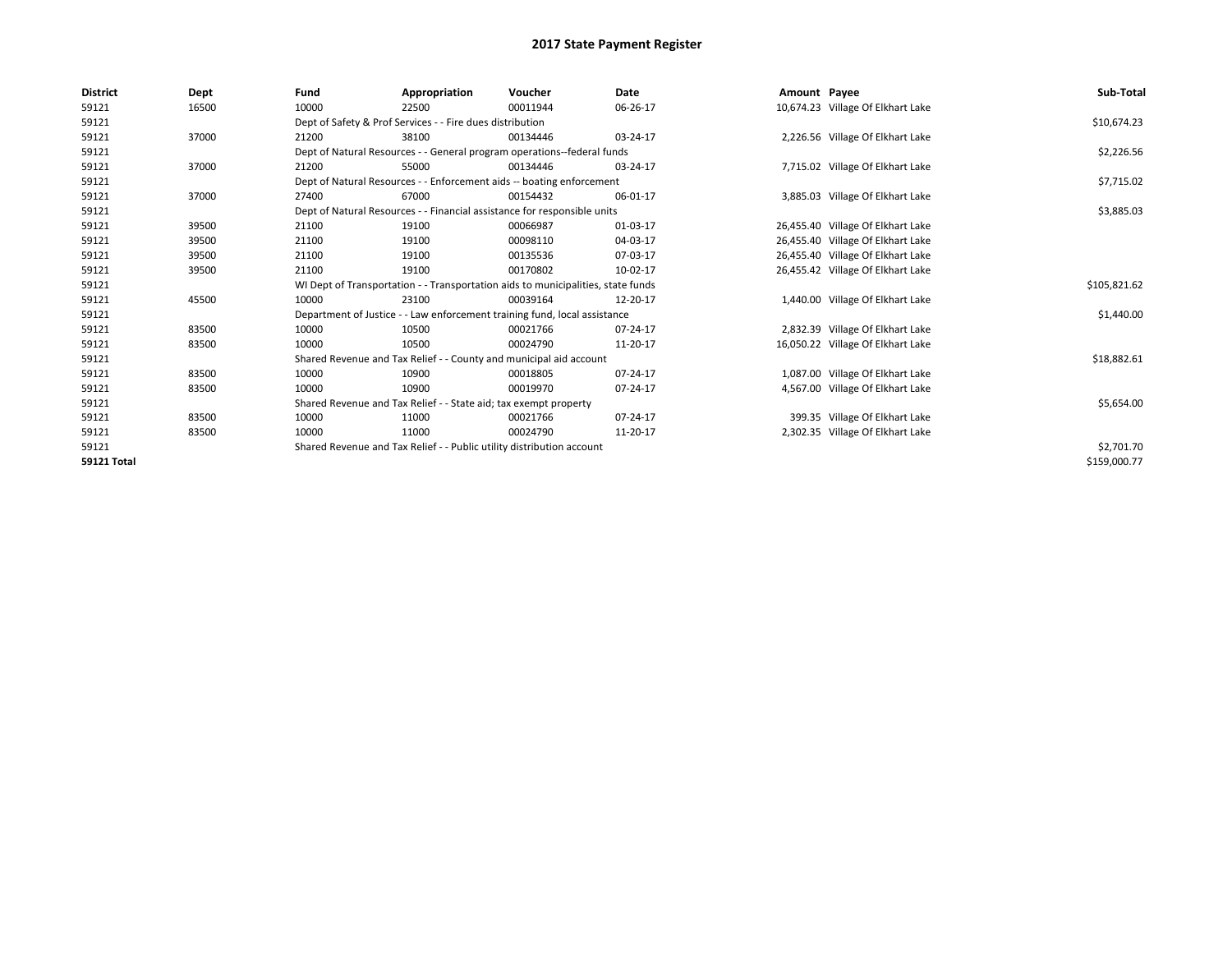| <b>District</b>    | Dept  | Fund  | Appropriation                                                                    | Voucher  | Date     | Amount Payee |                                   | Sub-Total    |
|--------------------|-------|-------|----------------------------------------------------------------------------------|----------|----------|--------------|-----------------------------------|--------------|
| 59121              | 16500 | 10000 | 22500                                                                            | 00011944 | 06-26-17 |              | 10,674.23 Village Of Elkhart Lake |              |
| 59121              |       |       | Dept of Safety & Prof Services - - Fire dues distribution                        |          |          |              |                                   | \$10,674.23  |
| 59121              | 37000 | 21200 | 38100                                                                            | 00134446 | 03-24-17 |              | 2,226.56 Village Of Elkhart Lake  |              |
| 59121              |       |       | Dept of Natural Resources - - General program operations--federal funds          |          |          |              |                                   | \$2,226.56   |
| 59121              | 37000 | 21200 | 55000                                                                            | 00134446 | 03-24-17 |              | 7,715.02 Village Of Elkhart Lake  |              |
| 59121              |       |       | Dept of Natural Resources - - Enforcement aids -- boating enforcement            |          |          |              |                                   | \$7,715.02   |
| 59121              | 37000 | 27400 | 67000                                                                            | 00154432 | 06-01-17 |              | 3,885.03 Village Of Elkhart Lake  |              |
| 59121              |       |       | Dept of Natural Resources - - Financial assistance for responsible units         |          |          |              |                                   | \$3,885.03   |
| 59121              | 39500 | 21100 | 19100                                                                            | 00066987 | 01-03-17 |              | 26,455.40 Village Of Elkhart Lake |              |
| 59121              | 39500 | 21100 | 19100                                                                            | 00098110 | 04-03-17 |              | 26,455.40 Village Of Elkhart Lake |              |
| 59121              | 39500 | 21100 | 19100                                                                            | 00135536 | 07-03-17 |              | 26,455.40 Village Of Elkhart Lake |              |
| 59121              | 39500 | 21100 | 19100                                                                            | 00170802 | 10-02-17 |              | 26,455.42 Village Of Elkhart Lake |              |
| 59121              |       |       | WI Dept of Transportation - - Transportation aids to municipalities, state funds |          |          |              |                                   | \$105,821.62 |
| 59121              | 45500 | 10000 | 23100                                                                            | 00039164 | 12-20-17 |              | 1,440.00 Village Of Elkhart Lake  |              |
| 59121              |       |       | Department of Justice - - Law enforcement training fund, local assistance        |          |          |              |                                   | \$1,440.00   |
| 59121              | 83500 | 10000 | 10500                                                                            | 00021766 | 07-24-17 |              | 2,832.39 Village Of Elkhart Lake  |              |
| 59121              | 83500 | 10000 | 10500                                                                            | 00024790 | 11-20-17 |              | 16,050.22 Village Of Elkhart Lake |              |
| 59121              |       |       | Shared Revenue and Tax Relief - - County and municipal aid account               |          |          |              |                                   | \$18,882.61  |
| 59121              | 83500 | 10000 | 10900                                                                            | 00018805 | 07-24-17 |              | 1,087.00 Village Of Elkhart Lake  |              |
| 59121              | 83500 | 10000 | 10900                                                                            | 00019970 | 07-24-17 |              | 4,567.00 Village Of Elkhart Lake  |              |
| 59121              |       |       | Shared Revenue and Tax Relief - - State aid; tax exempt property                 |          |          |              |                                   | \$5,654.00   |
| 59121              | 83500 | 10000 | 11000                                                                            | 00021766 | 07-24-17 |              | 399.35 Village Of Elkhart Lake    |              |
| 59121              | 83500 | 10000 | 11000                                                                            | 00024790 | 11-20-17 |              | 2,302.35 Village Of Elkhart Lake  |              |
| 59121              |       |       | Shared Revenue and Tax Relief - - Public utility distribution account            |          |          |              |                                   | \$2,701.70   |
| <b>59121 Total</b> |       |       |                                                                                  |          |          |              |                                   | \$159,000.77 |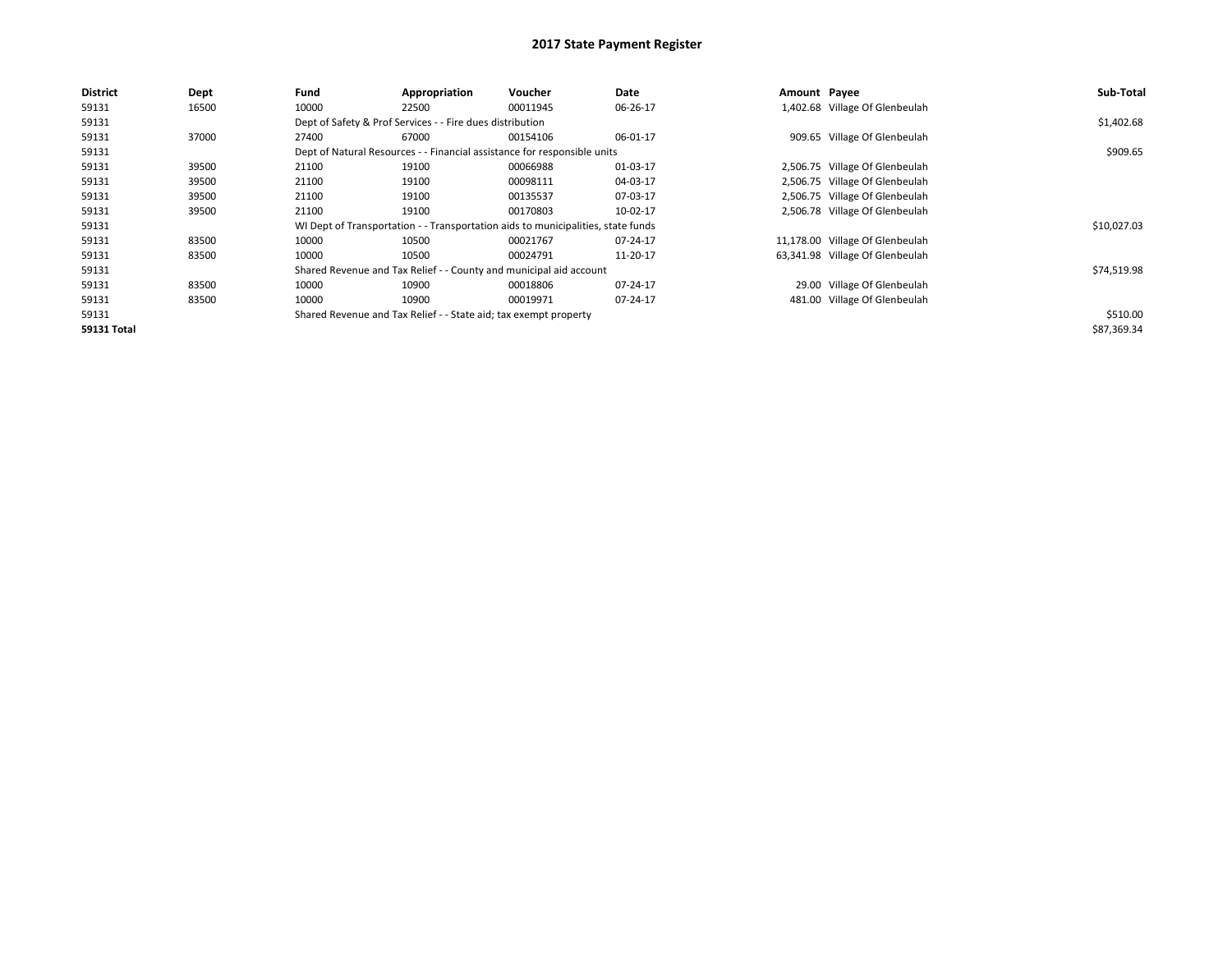| <b>District</b> | <b>Dept</b> | Fund  | Appropriation                                                    | Voucher                                                                          | Date     | Amount Payee |                                 | Sub-Total   |
|-----------------|-------------|-------|------------------------------------------------------------------|----------------------------------------------------------------------------------|----------|--------------|---------------------------------|-------------|
| 59131           | 16500       | 10000 | 22500                                                            | 00011945                                                                         | 06-26-17 |              | 1,402.68 Village Of Glenbeulah  |             |
| 59131           |             |       | Dept of Safety & Prof Services - - Fire dues distribution        |                                                                                  |          |              |                                 | \$1,402.68  |
| 59131           | 37000       | 27400 | 67000                                                            | 00154106                                                                         | 06-01-17 |              | 909.65 Village Of Glenbeulah    |             |
| 59131           |             |       |                                                                  | Dept of Natural Resources - - Financial assistance for responsible units         |          |              |                                 | \$909.65    |
| 59131           | 39500       | 21100 | 19100                                                            | 00066988                                                                         | 01-03-17 |              | 2,506.75 Village Of Glenbeulah  |             |
| 59131           | 39500       | 21100 | 19100                                                            | 00098111                                                                         | 04-03-17 |              | 2,506.75 Village Of Glenbeulah  |             |
| 59131           | 39500       | 21100 | 19100                                                            | 00135537                                                                         | 07-03-17 |              | 2,506.75 Village Of Glenbeulah  |             |
| 59131           | 39500       | 21100 | 19100                                                            | 00170803                                                                         | 10-02-17 |              | 2,506.78 Village Of Glenbeulah  |             |
| 59131           |             |       |                                                                  | WI Dept of Transportation - - Transportation aids to municipalities, state funds |          |              |                                 | \$10,027.03 |
| 59131           | 83500       | 10000 | 10500                                                            | 00021767                                                                         | 07-24-17 |              | 11,178.00 Village Of Glenbeulah |             |
| 59131           | 83500       | 10000 | 10500                                                            | 00024791                                                                         | 11-20-17 |              | 63,341.98 Village Of Glenbeulah |             |
| 59131           |             |       |                                                                  | Shared Revenue and Tax Relief - - County and municipal aid account               |          |              |                                 | \$74,519.98 |
| 59131           | 83500       | 10000 | 10900                                                            | 00018806                                                                         | 07-24-17 |              | 29.00 Village Of Glenbeulah     |             |
| 59131           | 83500       | 10000 | 10900                                                            | 00019971                                                                         | 07-24-17 |              | 481.00 Village Of Glenbeulah    |             |
| 59131           |             |       | Shared Revenue and Tax Relief - - State aid; tax exempt property |                                                                                  |          |              |                                 | \$510.00    |
| 59131 Total     |             |       |                                                                  |                                                                                  |          |              |                                 | \$87,369.34 |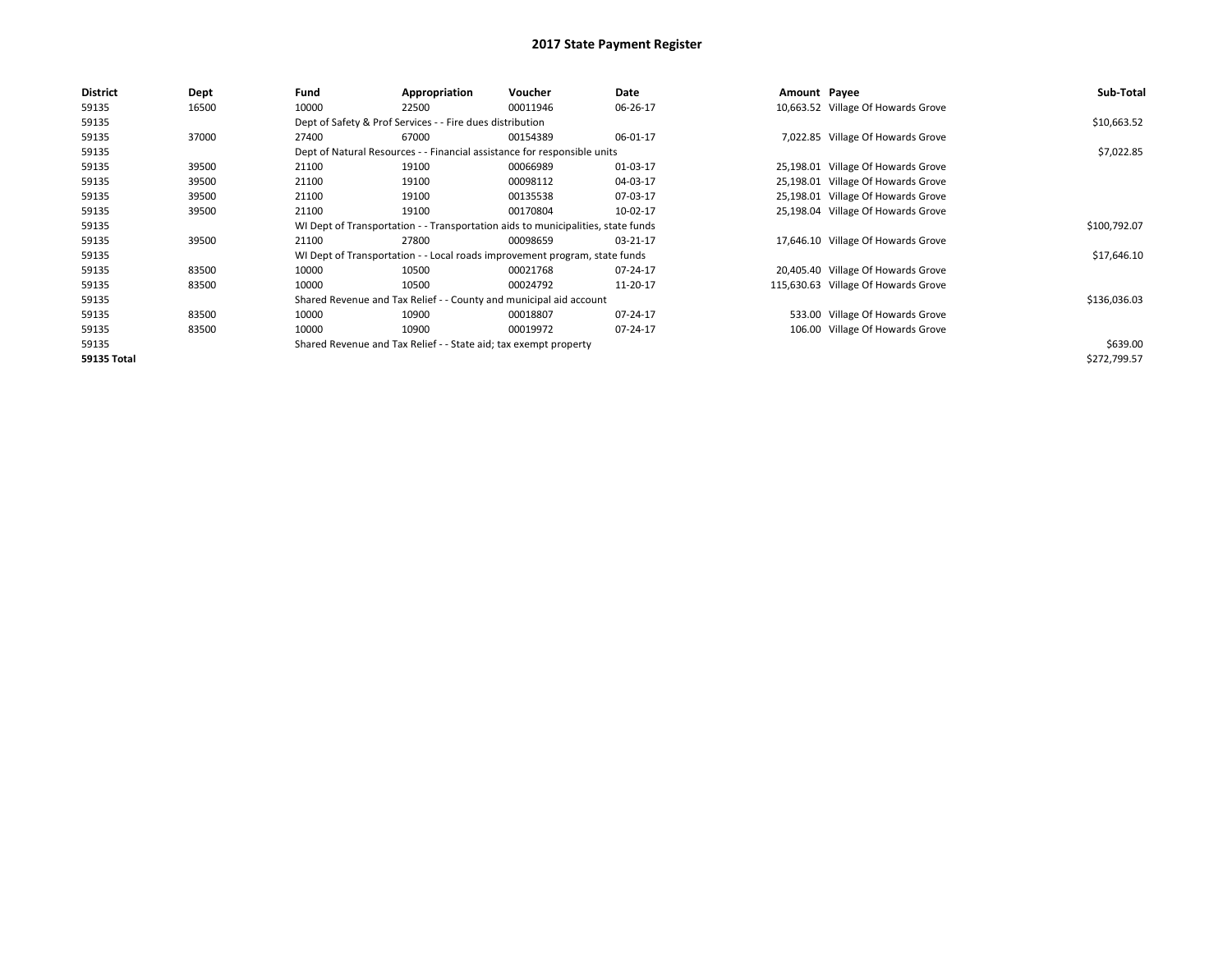| District           | <b>Dept</b> | Fund  | Appropriation                                                                    | Voucher  | Date     | Amount Payee |                                     | Sub-Total    |  |  |
|--------------------|-------------|-------|----------------------------------------------------------------------------------|----------|----------|--------------|-------------------------------------|--------------|--|--|
| 59135              | 16500       | 10000 | 22500                                                                            | 00011946 | 06-26-17 |              | 10,663.52 Village Of Howards Grove  |              |  |  |
| 59135              |             |       | Dept of Safety & Prof Services - - Fire dues distribution                        |          |          |              |                                     | \$10,663.52  |  |  |
| 59135              | 37000       | 27400 | 67000                                                                            | 00154389 | 06-01-17 |              | 7,022.85 Village Of Howards Grove   |              |  |  |
| 59135              |             |       | Dept of Natural Resources - - Financial assistance for responsible units         |          |          |              |                                     | \$7,022.85   |  |  |
| 59135              | 39500       | 21100 | 19100                                                                            | 00066989 | 01-03-17 |              | 25,198.01 Village Of Howards Grove  |              |  |  |
| 59135              | 39500       | 21100 | 19100                                                                            | 00098112 | 04-03-17 |              | 25,198.01 Village Of Howards Grove  |              |  |  |
| 59135              | 39500       | 21100 | 19100                                                                            | 00135538 | 07-03-17 |              | 25,198.01 Village Of Howards Grove  |              |  |  |
| 59135              | 39500       | 21100 | 19100                                                                            | 00170804 | 10-02-17 |              | 25,198.04 Village Of Howards Grove  |              |  |  |
| 59135              |             |       | WI Dept of Transportation - - Transportation aids to municipalities, state funds |          |          |              |                                     |              |  |  |
| 59135              | 39500       | 21100 | 27800                                                                            | 00098659 | 03-21-17 |              | 17,646.10 Village Of Howards Grove  |              |  |  |
| 59135              |             |       | WI Dept of Transportation - - Local roads improvement program, state funds       |          |          |              |                                     | \$17,646.10  |  |  |
| 59135              | 83500       | 10000 | 10500                                                                            | 00021768 | 07-24-17 |              | 20,405.40 Village Of Howards Grove  |              |  |  |
| 59135              | 83500       | 10000 | 10500                                                                            | 00024792 | 11-20-17 |              | 115,630.63 Village Of Howards Grove |              |  |  |
| 59135              |             |       | Shared Revenue and Tax Relief - - County and municipal aid account               |          |          |              |                                     | \$136,036.03 |  |  |
| 59135              | 83500       | 10000 | 10900                                                                            | 00018807 | 07-24-17 |              | 533.00 Village Of Howards Grove     |              |  |  |
| 59135              | 83500       | 10000 | 10900                                                                            | 00019972 | 07-24-17 |              | 106.00 Village Of Howards Grove     |              |  |  |
| 59135              |             |       | Shared Revenue and Tax Relief - - State aid; tax exempt property                 |          |          |              |                                     | \$639.00     |  |  |
| <b>59135 Total</b> |             |       |                                                                                  |          |          |              |                                     | \$272,799.57 |  |  |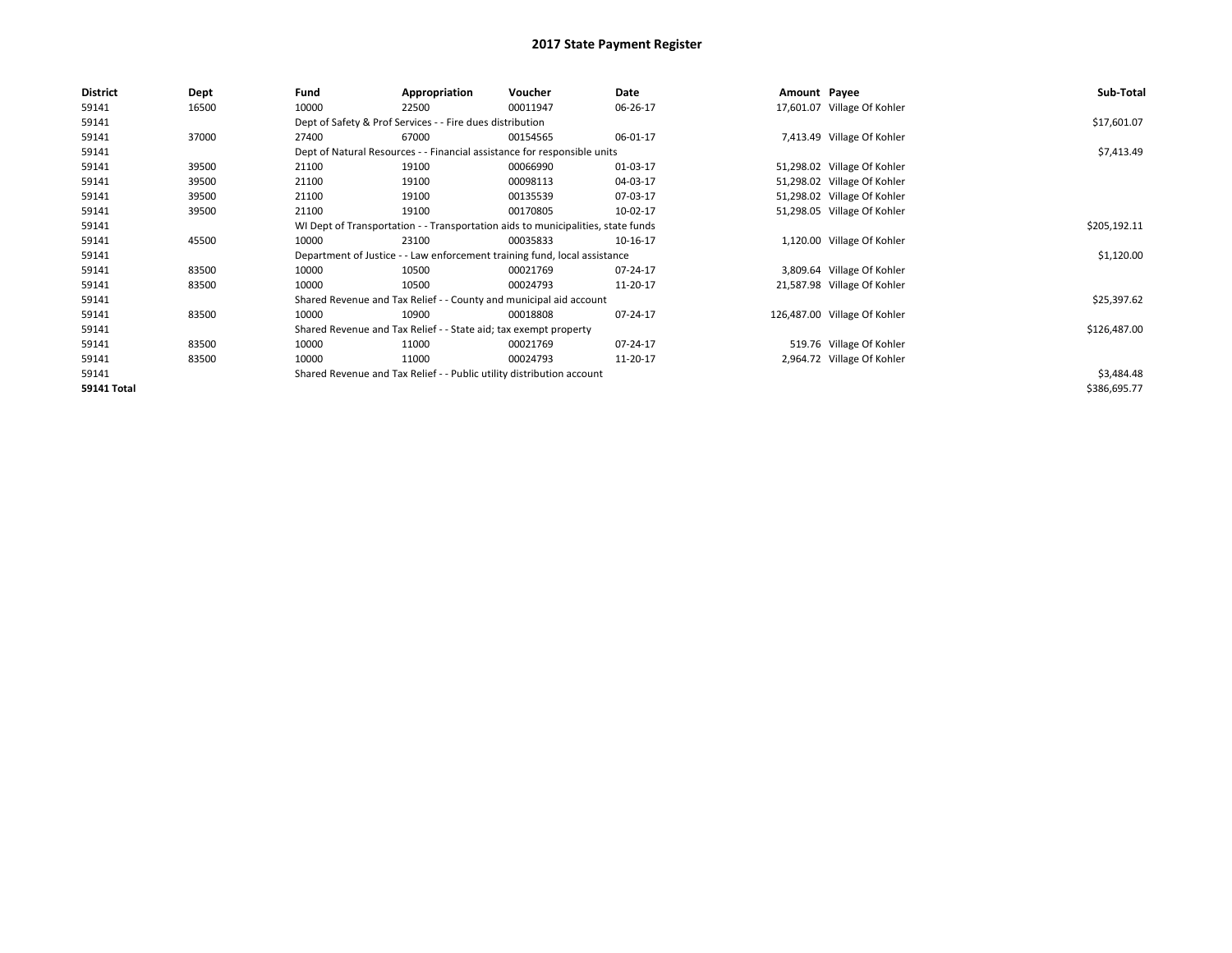| <b>District</b>    | Dept  | Fund                                                                             | Appropriation                                                    | Voucher                                                                   | Date     | Amount Payee |                              | Sub-Total    |
|--------------------|-------|----------------------------------------------------------------------------------|------------------------------------------------------------------|---------------------------------------------------------------------------|----------|--------------|------------------------------|--------------|
| 59141              | 16500 | 10000                                                                            | 22500                                                            | 00011947                                                                  | 06-26-17 |              | 17,601.07 Village Of Kohler  |              |
| 59141              |       |                                                                                  | Dept of Safety & Prof Services - - Fire dues distribution        |                                                                           |          |              |                              | \$17,601.07  |
| 59141              | 37000 | 27400                                                                            | 67000                                                            | 00154565                                                                  | 06-01-17 |              | 7,413.49 Village Of Kohler   |              |
| 59141              |       |                                                                                  |                                                                  | Dept of Natural Resources - - Financial assistance for responsible units  |          |              |                              | \$7,413.49   |
| 59141              | 39500 | 21100                                                                            | 19100                                                            | 00066990                                                                  | 01-03-17 |              | 51,298.02 Village Of Kohler  |              |
| 59141              | 39500 | 21100                                                                            | 19100                                                            | 00098113                                                                  | 04-03-17 |              | 51,298.02 Village Of Kohler  |              |
| 59141              | 39500 | 21100                                                                            | 19100                                                            | 00135539                                                                  | 07-03-17 |              | 51,298.02 Village Of Kohler  |              |
| 59141              | 39500 | 21100                                                                            | 19100                                                            | 00170805                                                                  | 10-02-17 |              | 51,298.05 Village Of Kohler  |              |
| 59141              |       | WI Dept of Transportation - - Transportation aids to municipalities, state funds |                                                                  | \$205,192.11                                                              |          |              |                              |              |
| 59141              | 45500 | 10000                                                                            | 23100                                                            | 00035833                                                                  | 10-16-17 |              | 1,120.00 Village Of Kohler   |              |
| 59141              |       |                                                                                  |                                                                  | Department of Justice - - Law enforcement training fund, local assistance |          |              |                              | \$1,120.00   |
| 59141              | 83500 | 10000                                                                            | 10500                                                            | 00021769                                                                  | 07-24-17 |              | 3,809.64 Village Of Kohler   |              |
| 59141              | 83500 | 10000                                                                            | 10500                                                            | 00024793                                                                  | 11-20-17 |              | 21,587.98 Village Of Kohler  |              |
| 59141              |       |                                                                                  |                                                                  | Shared Revenue and Tax Relief - - County and municipal aid account        |          |              |                              | \$25,397.62  |
| 59141              | 83500 | 10000                                                                            | 10900                                                            | 00018808                                                                  | 07-24-17 |              | 126,487.00 Village Of Kohler |              |
| 59141              |       |                                                                                  | Shared Revenue and Tax Relief - - State aid; tax exempt property |                                                                           |          |              |                              | \$126,487.00 |
| 59141              | 83500 | 10000                                                                            | 11000                                                            | 00021769                                                                  | 07-24-17 |              | 519.76 Village Of Kohler     |              |
| 59141              | 83500 | 10000                                                                            | 11000                                                            | 00024793                                                                  | 11-20-17 |              | 2,964.72 Village Of Kohler   |              |
| 59141              |       |                                                                                  |                                                                  | Shared Revenue and Tax Relief - - Public utility distribution account     |          |              |                              | \$3,484.48   |
| <b>59141 Total</b> |       |                                                                                  |                                                                  |                                                                           |          |              |                              | \$386,695.77 |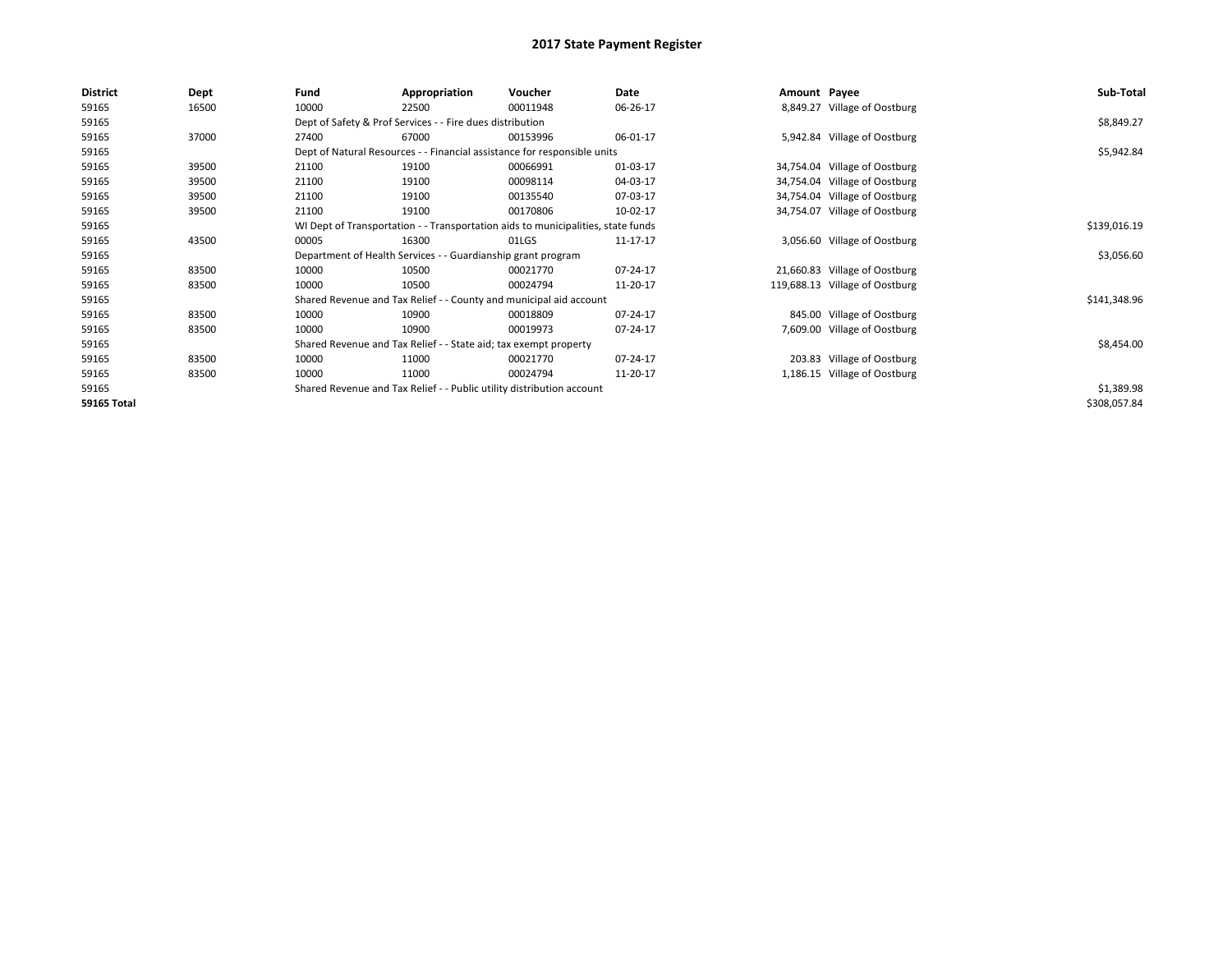| <b>District</b>    | <b>Dept</b> | Fund                                                                             | Appropriation                                                            | Voucher      | Date     | Amount Payee |                                | Sub-Total    |
|--------------------|-------------|----------------------------------------------------------------------------------|--------------------------------------------------------------------------|--------------|----------|--------------|--------------------------------|--------------|
| 59165              | 16500       | 10000                                                                            | 22500                                                                    | 00011948     | 06-26-17 |              | 8,849.27 Village of Oostburg   |              |
| 59165              |             |                                                                                  | Dept of Safety & Prof Services - - Fire dues distribution                |              |          |              |                                | \$8,849.27   |
| 59165              | 37000       | 27400                                                                            | 67000                                                                    | 00153996     | 06-01-17 |              | 5,942.84 Village of Oostburg   |              |
| 59165              |             |                                                                                  | Dept of Natural Resources - - Financial assistance for responsible units |              |          |              |                                | \$5,942.84   |
| 59165              | 39500       | 21100                                                                            | 19100                                                                    | 00066991     | 01-03-17 |              | 34,754.04 Village of Oostburg  |              |
| 59165              | 39500       | 21100                                                                            | 19100                                                                    | 00098114     | 04-03-17 |              | 34,754.04 Village of Oostburg  |              |
| 59165              | 39500       | 21100                                                                            | 19100                                                                    | 00135540     | 07-03-17 |              | 34,754.04 Village of Oostburg  |              |
| 59165              | 39500       | 21100                                                                            | 19100                                                                    | 00170806     | 10-02-17 |              | 34,754.07 Village of Oostburg  |              |
| 59165              |             | WI Dept of Transportation - - Transportation aids to municipalities, state funds |                                                                          | \$139,016.19 |          |              |                                |              |
| 59165              | 43500       | 00005                                                                            | 16300                                                                    | 01LGS        | 11-17-17 |              | 3,056.60 Village of Oostburg   |              |
| 59165              |             |                                                                                  | Department of Health Services - - Guardianship grant program             |              |          |              |                                | \$3,056.60   |
| 59165              | 83500       | 10000                                                                            | 10500                                                                    | 00021770     | 07-24-17 |              | 21,660.83 Village of Oostburg  |              |
| 59165              | 83500       | 10000                                                                            | 10500                                                                    | 00024794     | 11-20-17 |              | 119,688.13 Village of Oostburg |              |
| 59165              |             |                                                                                  | Shared Revenue and Tax Relief - - County and municipal aid account       |              |          |              |                                | \$141,348.96 |
| 59165              | 83500       | 10000                                                                            | 10900                                                                    | 00018809     | 07-24-17 |              | 845.00 Village of Oostburg     |              |
| 59165              | 83500       | 10000                                                                            | 10900                                                                    | 00019973     | 07-24-17 |              | 7,609.00 Village of Oostburg   |              |
| 59165              |             |                                                                                  | Shared Revenue and Tax Relief - - State aid; tax exempt property         |              |          |              |                                | \$8,454.00   |
| 59165              | 83500       | 10000                                                                            | 11000                                                                    | 00021770     | 07-24-17 |              | 203.83 Village of Oostburg     |              |
| 59165              | 83500       | 10000                                                                            | 11000                                                                    | 00024794     | 11-20-17 |              | 1,186.15 Village of Oostburg   |              |
| 59165              |             |                                                                                  | Shared Revenue and Tax Relief - - Public utility distribution account    |              |          |              |                                | \$1,389.98   |
| <b>59165 Total</b> |             |                                                                                  |                                                                          |              |          |              |                                | \$308,057.84 |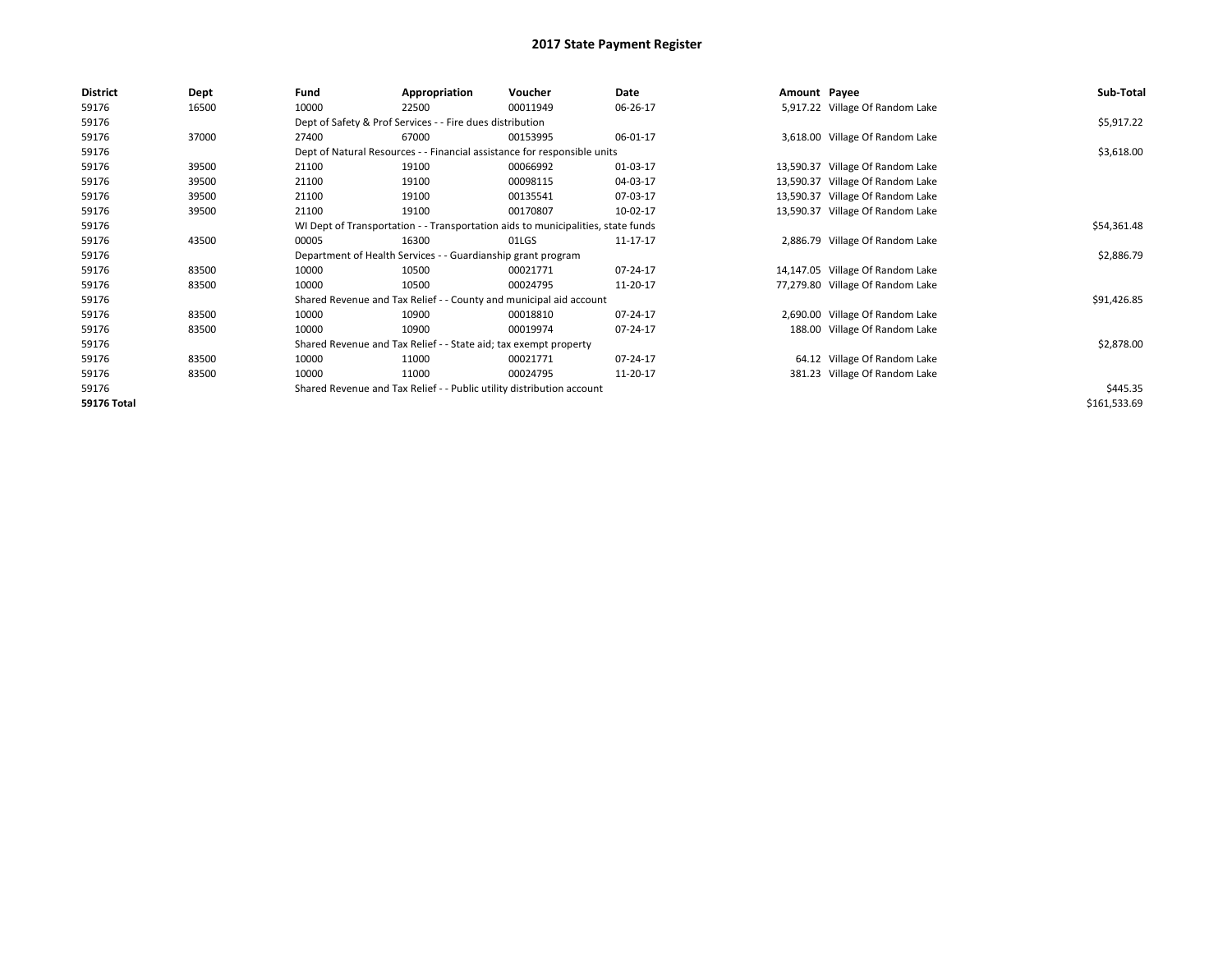| <b>District</b>    | Dept  | Fund  | Appropriation                                                                    | Voucher  | Date     | Amount Payee |                                  | Sub-Total    |  |  |  |
|--------------------|-------|-------|----------------------------------------------------------------------------------|----------|----------|--------------|----------------------------------|--------------|--|--|--|
| 59176              | 16500 | 10000 | 22500                                                                            | 00011949 | 06-26-17 |              | 5,917.22 Village Of Random Lake  |              |  |  |  |
| 59176              |       |       | Dept of Safety & Prof Services - - Fire dues distribution                        |          |          |              |                                  | \$5,917.22   |  |  |  |
| 59176              | 37000 | 27400 | 67000                                                                            | 00153995 | 06-01-17 |              | 3,618.00 Village Of Random Lake  |              |  |  |  |
| 59176              |       |       | Dept of Natural Resources - - Financial assistance for responsible units         |          |          |              |                                  | \$3,618.00   |  |  |  |
| 59176              | 39500 | 21100 | 19100                                                                            | 00066992 | 01-03-17 |              | 13,590.37 Village Of Random Lake |              |  |  |  |
| 59176              | 39500 | 21100 | 19100                                                                            | 00098115 | 04-03-17 | 13,590.37    | Village Of Random Lake           |              |  |  |  |
| 59176              | 39500 | 21100 | 19100                                                                            | 00135541 | 07-03-17 | 13,590.37    | Village Of Random Lake           |              |  |  |  |
| 59176              | 39500 | 21100 | 19100                                                                            | 00170807 | 10-02-17 |              | 13,590.37 Village Of Random Lake |              |  |  |  |
| 59176              |       |       | WI Dept of Transportation - - Transportation aids to municipalities, state funds |          |          |              |                                  |              |  |  |  |
| 59176              | 43500 | 00005 | 16300                                                                            | 01LGS    | 11-17-17 |              | 2,886.79 Village Of Random Lake  |              |  |  |  |
| 59176              |       |       | Department of Health Services - - Guardianship grant program                     |          |          |              |                                  | \$2,886.79   |  |  |  |
| 59176              | 83500 | 10000 | 10500                                                                            | 00021771 | 07-24-17 |              | 14,147.05 Village Of Random Lake |              |  |  |  |
| 59176              | 83500 | 10000 | 10500                                                                            | 00024795 | 11-20-17 |              | 77,279.80 Village Of Random Lake |              |  |  |  |
| 59176              |       |       | Shared Revenue and Tax Relief - - County and municipal aid account               |          |          |              |                                  | \$91,426.85  |  |  |  |
| 59176              | 83500 | 10000 | 10900                                                                            | 00018810 | 07-24-17 |              | 2,690.00 Village Of Random Lake  |              |  |  |  |
| 59176              | 83500 | 10000 | 10900                                                                            | 00019974 | 07-24-17 |              | 188.00 Village Of Random Lake    |              |  |  |  |
| 59176              |       |       | Shared Revenue and Tax Relief - - State aid; tax exempt property                 |          |          |              |                                  | \$2,878.00   |  |  |  |
| 59176              | 83500 | 10000 | 11000                                                                            | 00021771 | 07-24-17 |              | 64.12 Village Of Random Lake     |              |  |  |  |
| 59176              | 83500 | 10000 | 11000                                                                            | 00024795 | 11-20-17 |              | 381.23 Village Of Random Lake    |              |  |  |  |
| 59176              |       |       | Shared Revenue and Tax Relief - - Public utility distribution account            |          |          |              |                                  | \$445.35     |  |  |  |
| <b>59176 Total</b> |       |       |                                                                                  |          |          |              |                                  | \$161,533.69 |  |  |  |
|                    |       |       |                                                                                  |          |          |              |                                  |              |  |  |  |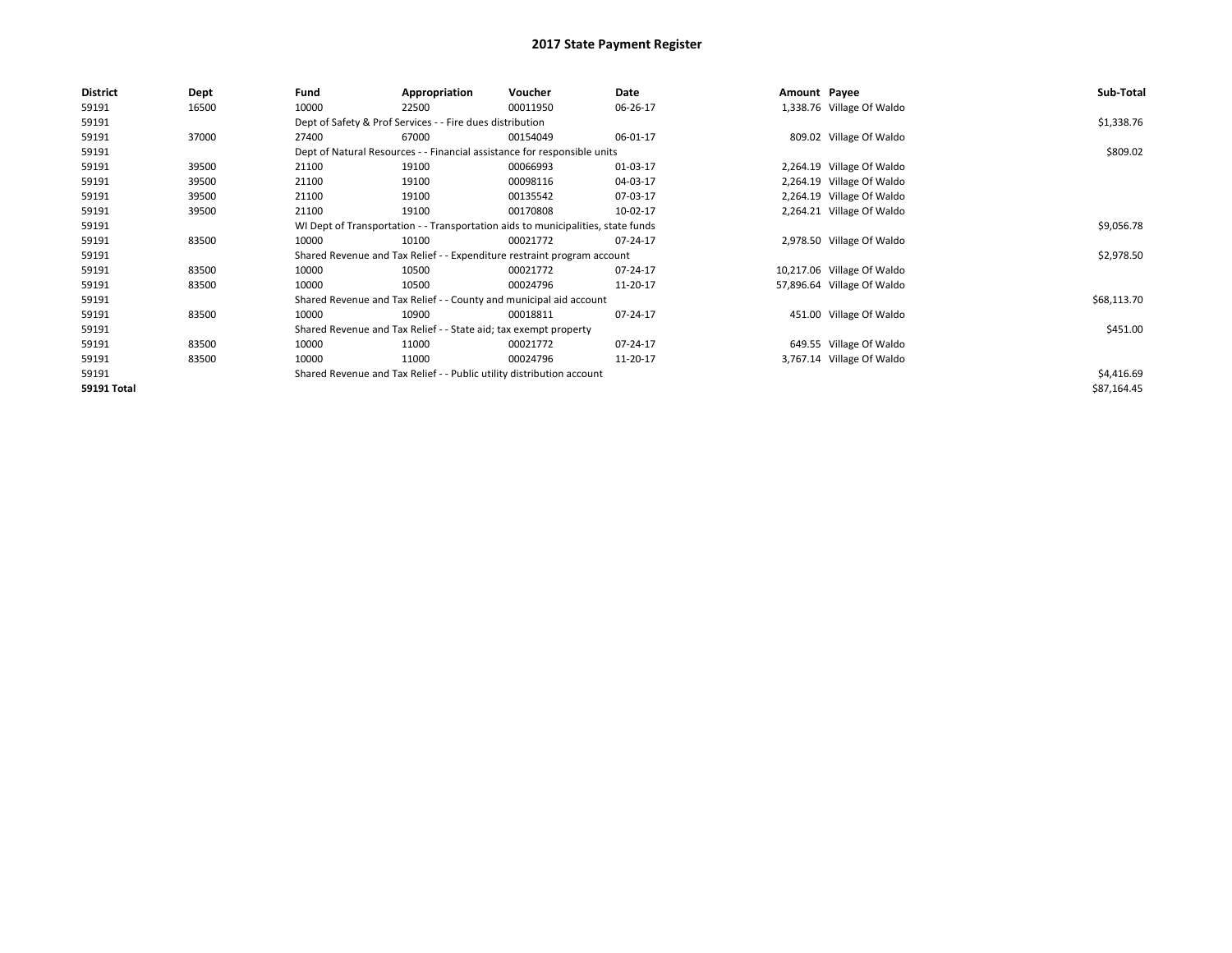| <b>District</b>    | Dept  | Fund                                                                             | Appropriation                                                            | Voucher    | Date     | Amount Payee |                            | Sub-Total   |
|--------------------|-------|----------------------------------------------------------------------------------|--------------------------------------------------------------------------|------------|----------|--------------|----------------------------|-------------|
| 59191              | 16500 | 10000                                                                            | 22500                                                                    | 00011950   | 06-26-17 |              | 1,338.76 Village Of Waldo  |             |
| 59191              |       |                                                                                  | Dept of Safety & Prof Services - - Fire dues distribution                |            |          |              |                            | \$1,338.76  |
| 59191              | 37000 | 27400                                                                            | 67000                                                                    | 00154049   | 06-01-17 |              | 809.02 Village Of Waldo    |             |
| 59191              |       |                                                                                  | Dept of Natural Resources - - Financial assistance for responsible units |            |          |              |                            | \$809.02    |
| 59191              | 39500 | 21100                                                                            | 19100                                                                    | 00066993   | 01-03-17 |              | 2,264.19 Village Of Waldo  |             |
| 59191              | 39500 | 21100                                                                            | 19100                                                                    | 00098116   | 04-03-17 |              | 2,264.19 Village Of Waldo  |             |
| 59191              | 39500 | 21100                                                                            | 19100                                                                    | 00135542   | 07-03-17 |              | 2,264.19 Village Of Waldo  |             |
| 59191              | 39500 | 21100                                                                            | 19100                                                                    | 00170808   | 10-02-17 |              | 2,264.21 Village Of Waldo  |             |
| 59191              |       | WI Dept of Transportation - - Transportation aids to municipalities, state funds |                                                                          | \$9,056.78 |          |              |                            |             |
| 59191              | 83500 | 10000                                                                            | 10100                                                                    | 00021772   | 07-24-17 |              | 2,978.50 Village Of Waldo  |             |
| 59191              |       |                                                                                  | Shared Revenue and Tax Relief - - Expenditure restraint program account  |            |          |              |                            | \$2,978.50  |
| 59191              | 83500 | 10000                                                                            | 10500                                                                    | 00021772   | 07-24-17 |              | 10,217.06 Village Of Waldo |             |
| 59191              | 83500 | 10000                                                                            | 10500                                                                    | 00024796   | 11-20-17 |              | 57,896.64 Village Of Waldo |             |
| 59191              |       |                                                                                  | Shared Revenue and Tax Relief - - County and municipal aid account       |            |          |              |                            | \$68,113.70 |
| 59191              | 83500 | 10000                                                                            | 10900                                                                    | 00018811   | 07-24-17 |              | 451.00 Village Of Waldo    |             |
| 59191              |       |                                                                                  | Shared Revenue and Tax Relief - - State aid; tax exempt property         |            |          |              |                            | \$451.00    |
| 59191              | 83500 | 10000                                                                            | 11000                                                                    | 00021772   | 07-24-17 |              | 649.55 Village Of Waldo    |             |
| 59191              | 83500 | 10000                                                                            | 11000                                                                    | 00024796   | 11-20-17 |              | 3,767.14 Village Of Waldo  |             |
| 59191              |       |                                                                                  | Shared Revenue and Tax Relief - - Public utility distribution account    |            |          |              |                            | \$4,416.69  |
| <b>59191 Total</b> |       |                                                                                  |                                                                          |            |          |              |                            | \$87,164.45 |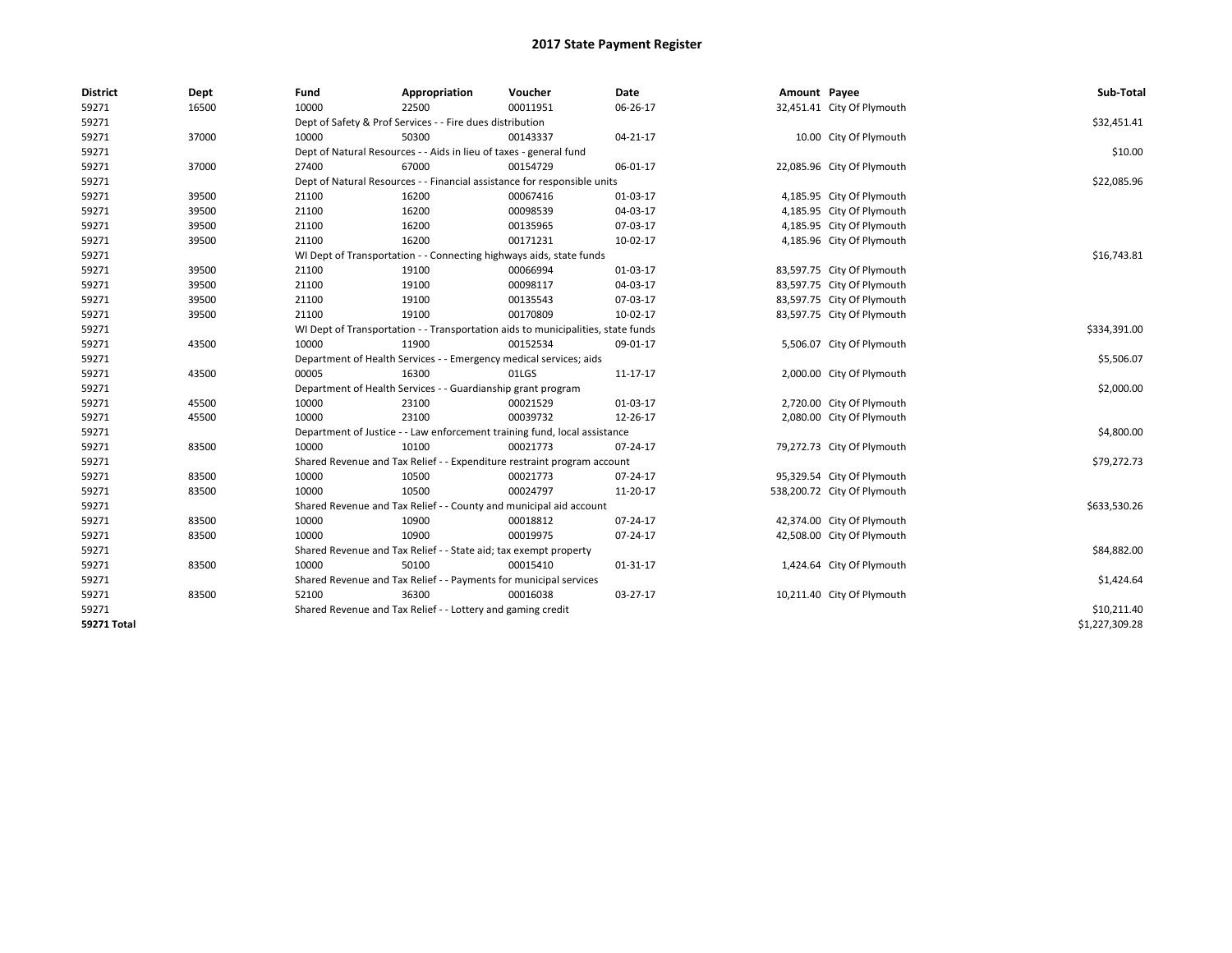| <b>District</b> | Dept  | Fund  | Appropriation                                                                    | Voucher  | Date           | Amount Payee |                             | Sub-Total      |  |  |
|-----------------|-------|-------|----------------------------------------------------------------------------------|----------|----------------|--------------|-----------------------------|----------------|--|--|
| 59271           | 16500 | 10000 | 22500                                                                            | 00011951 | 06-26-17       |              | 32,451.41 City Of Plymouth  |                |  |  |
| 59271           |       |       | Dept of Safety & Prof Services - - Fire dues distribution                        |          |                |              |                             | \$32,451.41    |  |  |
| 59271           | 37000 | 10000 | 50300                                                                            | 00143337 | $04 - 21 - 17$ |              | 10.00 City Of Plymouth      |                |  |  |
| 59271           |       |       | Dept of Natural Resources - - Aids in lieu of taxes - general fund               |          |                |              |                             | \$10.00        |  |  |
| 59271           | 37000 | 27400 | 67000                                                                            | 00154729 | 06-01-17       |              | 22,085.96 City Of Plymouth  |                |  |  |
| 59271           |       |       | Dept of Natural Resources - - Financial assistance for responsible units         |          |                |              |                             | \$22,085.96    |  |  |
| 59271           | 39500 | 21100 | 16200                                                                            | 00067416 | 01-03-17       |              | 4,185.95 City Of Plymouth   |                |  |  |
| 59271           | 39500 | 21100 | 16200                                                                            | 00098539 | 04-03-17       |              | 4,185.95 City Of Plymouth   |                |  |  |
| 59271           | 39500 | 21100 | 16200                                                                            | 00135965 | 07-03-17       |              | 4,185.95 City Of Plymouth   |                |  |  |
| 59271           | 39500 | 21100 | 16200                                                                            | 00171231 | 10-02-17       |              | 4,185.96 City Of Plymouth   |                |  |  |
| 59271           |       |       | WI Dept of Transportation - - Connecting highways aids, state funds              |          |                |              |                             | \$16,743.81    |  |  |
| 59271           | 39500 | 21100 | 19100                                                                            | 00066994 | 01-03-17       |              | 83,597.75 City Of Plymouth  |                |  |  |
| 59271           | 39500 | 21100 | 19100                                                                            | 00098117 | 04-03-17       |              | 83,597.75 City Of Plymouth  |                |  |  |
| 59271           | 39500 | 21100 | 19100                                                                            | 00135543 | 07-03-17       |              | 83,597.75 City Of Plymouth  |                |  |  |
| 59271           | 39500 | 21100 | 19100                                                                            | 00170809 | 10-02-17       |              | 83,597.75 City Of Plymouth  |                |  |  |
| 59271           |       |       | WI Dept of Transportation - - Transportation aids to municipalities, state funds |          |                |              |                             |                |  |  |
| 59271           | 43500 | 10000 | 11900                                                                            | 00152534 | 09-01-17       |              | 5,506.07 City Of Plymouth   |                |  |  |
| 59271           |       |       | Department of Health Services - - Emergency medical services; aids               |          |                |              |                             |                |  |  |
| 59271           | 43500 | 00005 | 16300                                                                            | 01LGS    | 11-17-17       |              | 2,000.00 City Of Plymouth   |                |  |  |
| 59271           |       |       | Department of Health Services - - Guardianship grant program                     |          |                |              |                             | \$2,000.00     |  |  |
| 59271           | 45500 | 10000 | 23100                                                                            | 00021529 | 01-03-17       |              | 2,720.00 City Of Plymouth   |                |  |  |
| 59271           | 45500 | 10000 | 23100                                                                            | 00039732 | 12-26-17       |              | 2,080.00 City Of Plymouth   |                |  |  |
| 59271           |       |       | Department of Justice - - Law enforcement training fund, local assistance        |          |                |              |                             | \$4,800.00     |  |  |
| 59271           | 83500 | 10000 | 10100                                                                            | 00021773 | 07-24-17       |              | 79,272.73 City Of Plymouth  |                |  |  |
| 59271           |       |       | Shared Revenue and Tax Relief - - Expenditure restraint program account          |          |                |              |                             | \$79,272.73    |  |  |
| 59271           | 83500 | 10000 | 10500                                                                            | 00021773 | 07-24-17       |              | 95,329.54 City Of Plymouth  |                |  |  |
| 59271           | 83500 | 10000 | 10500                                                                            | 00024797 | 11-20-17       |              | 538,200.72 City Of Plymouth |                |  |  |
| 59271           |       |       | Shared Revenue and Tax Relief - - County and municipal aid account               |          |                |              |                             | \$633,530.26   |  |  |
| 59271           | 83500 | 10000 | 10900                                                                            | 00018812 | 07-24-17       |              | 42,374.00 City Of Plymouth  |                |  |  |
| 59271           | 83500 | 10000 | 10900                                                                            | 00019975 | 07-24-17       |              | 42,508.00 City Of Plymouth  |                |  |  |
| 59271           |       |       | Shared Revenue and Tax Relief - - State aid; tax exempt property                 |          |                |              |                             | \$84,882.00    |  |  |
| 59271           | 83500 | 10000 | 50100                                                                            | 00015410 | 01-31-17       |              | 1,424.64 City Of Plymouth   |                |  |  |
| 59271           |       |       | Shared Revenue and Tax Relief - - Payments for municipal services                |          |                |              |                             | \$1,424.64     |  |  |
| 59271           | 83500 | 52100 | 36300                                                                            | 00016038 | 03-27-17       |              | 10,211.40 City Of Plymouth  |                |  |  |
| 59271           |       |       | Shared Revenue and Tax Relief - - Lottery and gaming credit                      |          |                |              |                             | \$10,211.40    |  |  |
| 59271 Total     |       |       |                                                                                  |          |                |              |                             | \$1,227,309.28 |  |  |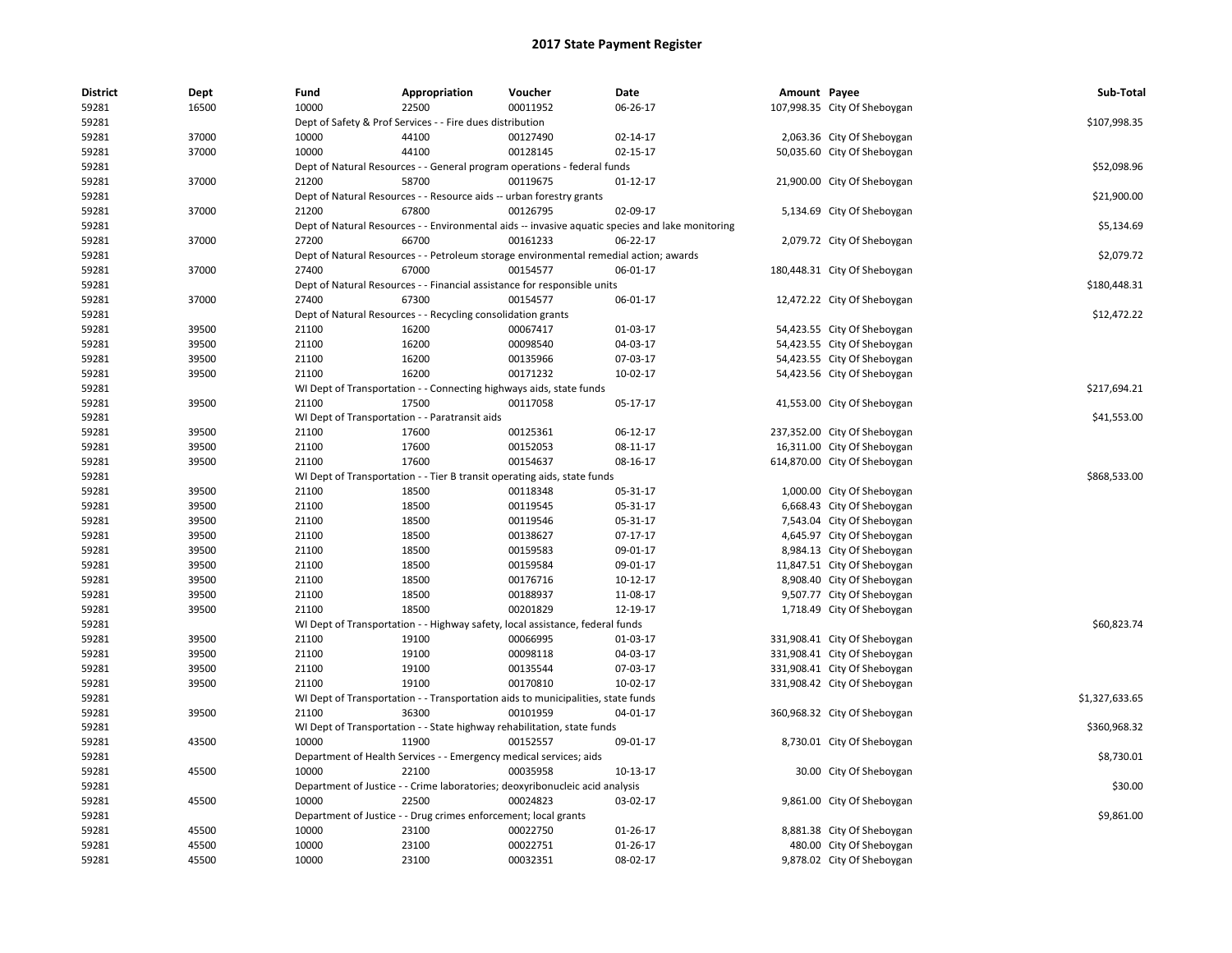| <b>District</b> | Dept  | Fund  | Appropriation                                                        | Voucher                                                                               | Date                                                                                             | Amount Payee |                              | Sub-Total      |
|-----------------|-------|-------|----------------------------------------------------------------------|---------------------------------------------------------------------------------------|--------------------------------------------------------------------------------------------------|--------------|------------------------------|----------------|
| 59281           | 16500 | 10000 | 22500                                                                | 00011952                                                                              | 06-26-17                                                                                         |              | 107,998.35 City Of Sheboygan |                |
| 59281           |       |       | Dept of Safety & Prof Services - - Fire dues distribution            |                                                                                       |                                                                                                  |              |                              | \$107,998.35   |
| 59281           | 37000 | 10000 | 44100                                                                | 00127490                                                                              | 02-14-17                                                                                         |              | 2,063.36 City Of Sheboygan   |                |
| 59281           | 37000 | 10000 | 44100                                                                | 00128145                                                                              | 02-15-17                                                                                         |              | 50,035.60 City Of Sheboygan  |                |
| 59281           |       |       |                                                                      | Dept of Natural Resources - - General program operations - federal funds              |                                                                                                  |              |                              | \$52,098.96    |
| 59281           | 37000 | 21200 | 58700                                                                | 00119675                                                                              | $01 - 12 - 17$                                                                                   |              | 21,900.00 City Of Sheboygan  |                |
| 59281           |       |       | Dept of Natural Resources - - Resource aids -- urban forestry grants |                                                                                       |                                                                                                  |              |                              | \$21,900.00    |
| 59281           | 37000 | 21200 | 67800                                                                | 00126795                                                                              | 02-09-17                                                                                         |              | 5,134.69 City Of Sheboygan   |                |
| 59281           |       |       |                                                                      |                                                                                       | Dept of Natural Resources - - Environmental aids -- invasive aquatic species and lake monitoring |              |                              | \$5,134.69     |
| 59281           | 37000 | 27200 | 66700                                                                | 00161233                                                                              | 06-22-17                                                                                         |              | 2,079.72 City Of Sheboygan   |                |
| 59281           |       |       |                                                                      | Dept of Natural Resources - - Petroleum storage environmental remedial action; awards |                                                                                                  |              |                              | \$2,079.72     |
| 59281           | 37000 | 27400 | 67000                                                                | 00154577                                                                              | 06-01-17                                                                                         |              | 180,448.31 City Of Sheboygan |                |
| 59281           |       |       |                                                                      | Dept of Natural Resources - - Financial assistance for responsible units              |                                                                                                  |              |                              | \$180,448.31   |
| 59281           | 37000 | 27400 | 67300                                                                | 00154577                                                                              | 06-01-17                                                                                         |              | 12,472.22 City Of Sheboygan  |                |
| 59281           |       |       | Dept of Natural Resources - - Recycling consolidation grants         |                                                                                       |                                                                                                  |              |                              | \$12,472.22    |
| 59281           | 39500 | 21100 | 16200                                                                | 00067417                                                                              | 01-03-17                                                                                         |              | 54,423.55 City Of Sheboygan  |                |
| 59281           | 39500 | 21100 | 16200                                                                | 00098540                                                                              | 04-03-17                                                                                         |              | 54,423.55 City Of Sheboygan  |                |
| 59281           | 39500 | 21100 | 16200                                                                | 00135966                                                                              | 07-03-17                                                                                         |              | 54,423.55 City Of Sheboygan  |                |
| 59281           | 39500 | 21100 | 16200                                                                | 00171232                                                                              | 10-02-17                                                                                         |              | 54,423.56 City Of Sheboygan  |                |
| 59281           |       |       | WI Dept of Transportation - - Connecting highways aids, state funds  |                                                                                       |                                                                                                  |              |                              | \$217,694.21   |
| 59281           | 39500 | 21100 | 17500                                                                | 00117058                                                                              | 05-17-17                                                                                         |              | 41,553.00 City Of Sheboygan  |                |
| 59281           |       |       | WI Dept of Transportation - - Paratransit aids                       |                                                                                       |                                                                                                  |              |                              | \$41,553.00    |
| 59281           | 39500 | 21100 | 17600                                                                | 00125361                                                                              | 06-12-17                                                                                         |              | 237,352.00 City Of Sheboygan |                |
| 59281           | 39500 | 21100 | 17600                                                                | 00152053                                                                              | 08-11-17                                                                                         |              | 16,311.00 City Of Sheboygan  |                |
| 59281           | 39500 | 21100 | 17600                                                                | 00154637                                                                              | 08-16-17                                                                                         |              | 614,870.00 City Of Sheboygan |                |
| 59281           |       |       |                                                                      | WI Dept of Transportation - - Tier B transit operating aids, state funds              |                                                                                                  |              |                              | \$868,533.00   |
| 59281           | 39500 | 21100 | 18500                                                                | 00118348                                                                              | 05-31-17                                                                                         |              | 1,000.00 City Of Sheboygan   |                |
| 59281           | 39500 | 21100 | 18500                                                                | 00119545                                                                              | 05-31-17                                                                                         |              | 6,668.43 City Of Sheboygan   |                |
| 59281           | 39500 | 21100 | 18500                                                                | 00119546                                                                              | 05-31-17                                                                                         |              | 7,543.04 City Of Sheboygan   |                |
| 59281           | 39500 | 21100 | 18500                                                                | 00138627                                                                              | $07-17-17$                                                                                       |              | 4,645.97 City Of Sheboygan   |                |
| 59281           | 39500 | 21100 | 18500                                                                | 00159583                                                                              | 09-01-17                                                                                         |              | 8,984.13 City Of Sheboygan   |                |
| 59281           | 39500 | 21100 | 18500                                                                | 00159584                                                                              | 09-01-17                                                                                         |              | 11,847.51 City Of Sheboygan  |                |
| 59281           | 39500 | 21100 | 18500                                                                | 00176716                                                                              | 10-12-17                                                                                         |              | 8,908.40 City Of Sheboygan   |                |
| 59281           | 39500 | 21100 | 18500                                                                | 00188937                                                                              | 11-08-17                                                                                         |              | 9,507.77 City Of Sheboygan   |                |
| 59281           | 39500 | 21100 | 18500                                                                | 00201829                                                                              | 12-19-17                                                                                         |              | 1,718.49 City Of Sheboygan   |                |
| 59281           |       |       |                                                                      | WI Dept of Transportation - - Highway safety, local assistance, federal funds         |                                                                                                  |              |                              | \$60,823.74    |
| 59281           | 39500 | 21100 | 19100                                                                | 00066995                                                                              | 01-03-17                                                                                         |              | 331,908.41 City Of Sheboygan |                |
| 59281           | 39500 | 21100 | 19100                                                                | 00098118                                                                              | 04-03-17                                                                                         |              | 331,908.41 City Of Sheboygan |                |
| 59281           | 39500 | 21100 | 19100                                                                | 00135544                                                                              | 07-03-17                                                                                         |              | 331,908.41 City Of Sheboygan |                |
| 59281           | 39500 | 21100 | 19100                                                                | 00170810                                                                              | 10-02-17                                                                                         |              | 331,908.42 City Of Sheboygan |                |
| 59281           |       |       |                                                                      | WI Dept of Transportation - - Transportation aids to municipalities, state funds      |                                                                                                  |              |                              | \$1,327,633.65 |
| 59281           | 39500 | 21100 | 36300                                                                | 00101959                                                                              | 04-01-17                                                                                         |              | 360,968.32 City Of Sheboygan |                |
| 59281           |       |       |                                                                      | WI Dept of Transportation - - State highway rehabilitation, state funds               |                                                                                                  |              |                              | \$360,968.32   |
| 59281           | 43500 | 10000 | 11900                                                                | 00152557                                                                              | 09-01-17                                                                                         |              | 8,730.01 City Of Sheboygan   |                |
| 59281           |       |       | Department of Health Services - - Emergency medical services; aids   |                                                                                       |                                                                                                  |              |                              | \$8,730.01     |
| 59281           | 45500 | 10000 | 22100                                                                | 00035958                                                                              | 10-13-17                                                                                         |              | 30.00 City Of Sheboygan      |                |
| 59281           |       |       |                                                                      | Department of Justice - - Crime laboratories; deoxyribonucleic acid analysis          |                                                                                                  |              |                              | \$30.00        |
| 59281           | 45500 | 10000 | 22500                                                                | 00024823                                                                              | 03-02-17                                                                                         |              | 9,861.00 City Of Sheboygan   |                |
| 59281           |       |       | Department of Justice - - Drug crimes enforcement; local grants      |                                                                                       |                                                                                                  |              |                              | \$9,861.00     |
| 59281           | 45500 | 10000 | 23100                                                                | 00022750                                                                              | 01-26-17                                                                                         |              | 8,881.38 City Of Sheboygan   |                |
| 59281           | 45500 | 10000 | 23100                                                                | 00022751                                                                              | 01-26-17                                                                                         |              | 480.00 City Of Sheboygan     |                |
| 59281           | 45500 | 10000 | 23100                                                                | 00032351                                                                              | 08-02-17                                                                                         |              | 9,878.02 City Of Sheboygan   |                |
|                 |       |       |                                                                      |                                                                                       |                                                                                                  |              |                              |                |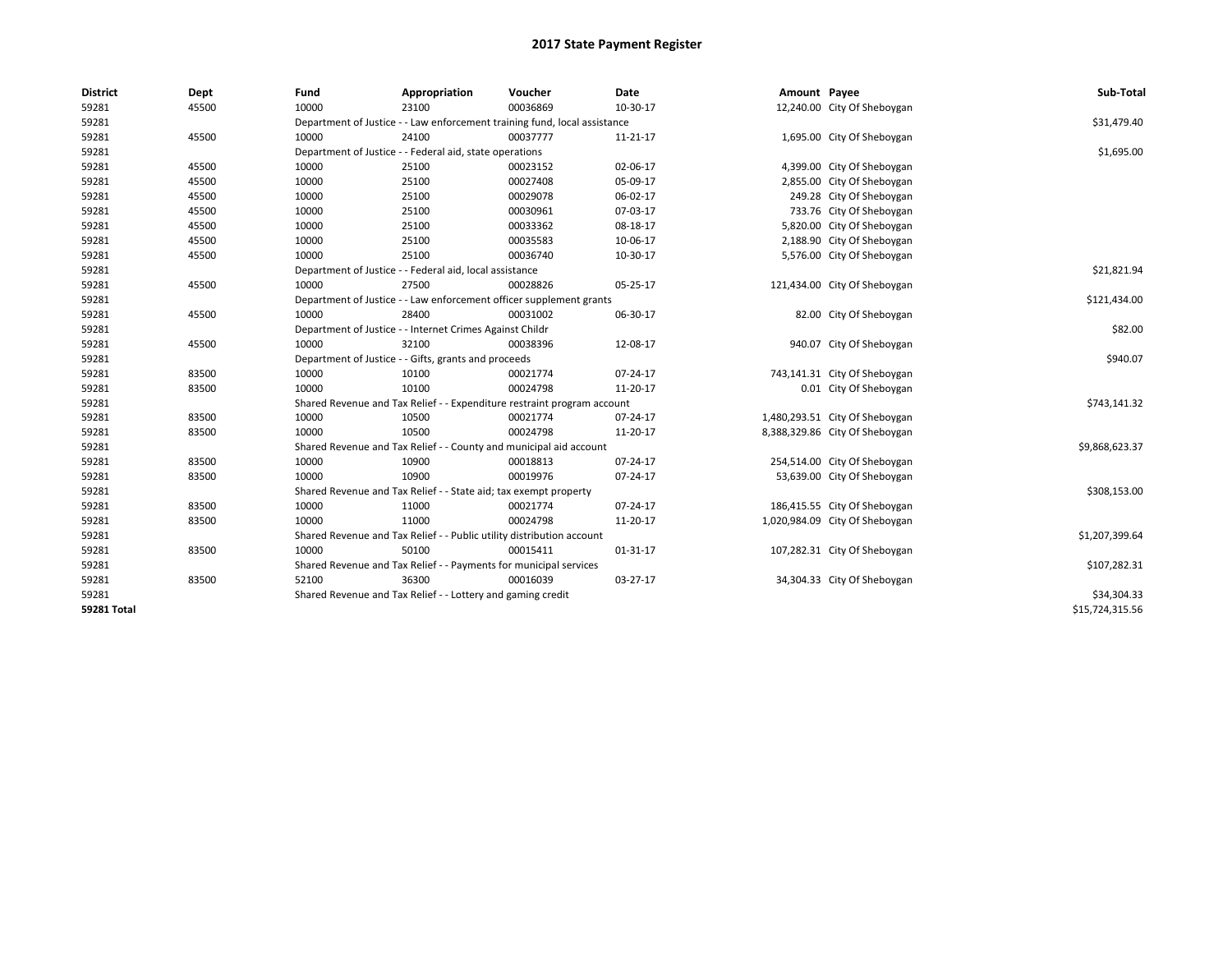| <b>District</b>    | Dept  | Fund  | Appropriation                                                             | Voucher  | Date        | Amount Payee |                                | Sub-Total       |  |  |
|--------------------|-------|-------|---------------------------------------------------------------------------|----------|-------------|--------------|--------------------------------|-----------------|--|--|
| 59281              | 45500 | 10000 | 23100                                                                     | 00036869 | 10-30-17    |              | 12,240.00 City Of Sheboygan    |                 |  |  |
| 59281              |       |       | Department of Justice - - Law enforcement training fund, local assistance |          |             |              |                                | \$31,479.40     |  |  |
| 59281              | 45500 | 10000 | 24100                                                                     | 00037777 | 11-21-17    |              | 1,695.00 City Of Sheboygan     |                 |  |  |
| 59281              |       |       | Department of Justice - - Federal aid, state operations                   |          |             |              |                                | \$1,695.00      |  |  |
| 59281              | 45500 | 10000 | 25100                                                                     | 00023152 | 02-06-17    |              | 4,399.00 City Of Sheboygan     |                 |  |  |
| 59281              | 45500 | 10000 | 25100                                                                     | 00027408 | 05-09-17    |              | 2,855.00 City Of Sheboygan     |                 |  |  |
| 59281              | 45500 | 10000 | 25100                                                                     | 00029078 | 06-02-17    |              | 249.28 City Of Sheboygan       |                 |  |  |
| 59281              | 45500 | 10000 | 25100                                                                     | 00030961 | 07-03-17    |              | 733.76 City Of Sheboygan       |                 |  |  |
| 59281              | 45500 | 10000 | 25100                                                                     | 00033362 | 08-18-17    |              | 5,820.00 City Of Sheboygan     |                 |  |  |
| 59281              | 45500 | 10000 | 25100                                                                     | 00035583 | 10-06-17    |              | 2,188.90 City Of Sheboygan     |                 |  |  |
| 59281              | 45500 | 10000 | 25100                                                                     | 00036740 | 10-30-17    |              | 5,576.00 City Of Sheboygan     |                 |  |  |
| 59281              |       |       | Department of Justice - - Federal aid, local assistance                   |          | \$21,821.94 |              |                                |                 |  |  |
| 59281              | 45500 | 10000 | 27500                                                                     | 00028826 | 05-25-17    |              | 121,434.00 City Of Sheboygan   |                 |  |  |
| 59281              |       |       | Department of Justice - - Law enforcement officer supplement grants       |          |             |              |                                | \$121,434.00    |  |  |
| 59281              | 45500 | 10000 | 28400                                                                     | 00031002 | 06-30-17    |              | 82.00 City Of Sheboygan        |                 |  |  |
| 59281              |       |       | Department of Justice - - Internet Crimes Against Childr                  |          |             |              |                                |                 |  |  |
| 59281              | 45500 | 10000 | 32100                                                                     | 00038396 | 12-08-17    |              | 940.07 City Of Sheboygan       |                 |  |  |
| 59281              |       |       | Department of Justice - - Gifts, grants and proceeds                      |          |             |              |                                | \$940.07        |  |  |
| 59281              | 83500 | 10000 | 10100                                                                     | 00021774 | 07-24-17    |              | 743,141.31 City Of Sheboygan   |                 |  |  |
| 59281              | 83500 | 10000 | 10100                                                                     | 00024798 | 11-20-17    |              | 0.01 City Of Sheboygan         |                 |  |  |
| 59281              |       |       | Shared Revenue and Tax Relief - - Expenditure restraint program account   |          |             |              |                                | \$743,141.32    |  |  |
| 59281              | 83500 | 10000 | 10500                                                                     | 00021774 | 07-24-17    |              | 1,480,293.51 City Of Sheboygan |                 |  |  |
| 59281              | 83500 | 10000 | 10500                                                                     | 00024798 | 11-20-17    |              | 8,388,329.86 City Of Sheboygan |                 |  |  |
| 59281              |       |       | Shared Revenue and Tax Relief - - County and municipal aid account        |          |             |              |                                | \$9,868,623.37  |  |  |
| 59281              | 83500 | 10000 | 10900                                                                     | 00018813 | 07-24-17    |              | 254,514.00 City Of Sheboygan   |                 |  |  |
| 59281              | 83500 | 10000 | 10900                                                                     | 00019976 | 07-24-17    |              | 53,639.00 City Of Sheboygan    |                 |  |  |
| 59281              |       |       | Shared Revenue and Tax Relief - - State aid; tax exempt property          |          |             |              |                                | \$308,153.00    |  |  |
| 59281              | 83500 | 10000 | 11000                                                                     | 00021774 | 07-24-17    |              | 186,415.55 City Of Sheboygan   |                 |  |  |
| 59281              | 83500 | 10000 | 11000                                                                     | 00024798 | 11-20-17    |              | 1,020,984.09 City Of Sheboygan |                 |  |  |
| 59281              |       |       | Shared Revenue and Tax Relief - - Public utility distribution account     |          |             |              |                                | \$1,207,399.64  |  |  |
| 59281              | 83500 | 10000 | 50100                                                                     | 00015411 | 01-31-17    |              | 107,282.31 City Of Sheboygan   |                 |  |  |
| 59281              |       |       | Shared Revenue and Tax Relief - - Payments for municipal services         |          |             |              |                                | \$107,282.31    |  |  |
| 59281              | 83500 | 52100 | 36300                                                                     | 00016039 | 03-27-17    |              | 34,304.33 City Of Sheboygan    |                 |  |  |
| 59281              |       |       | Shared Revenue and Tax Relief - - Lottery and gaming credit               |          |             |              |                                | \$34,304.33     |  |  |
| <b>59281 Total</b> |       |       |                                                                           |          |             |              |                                | \$15,724,315.56 |  |  |